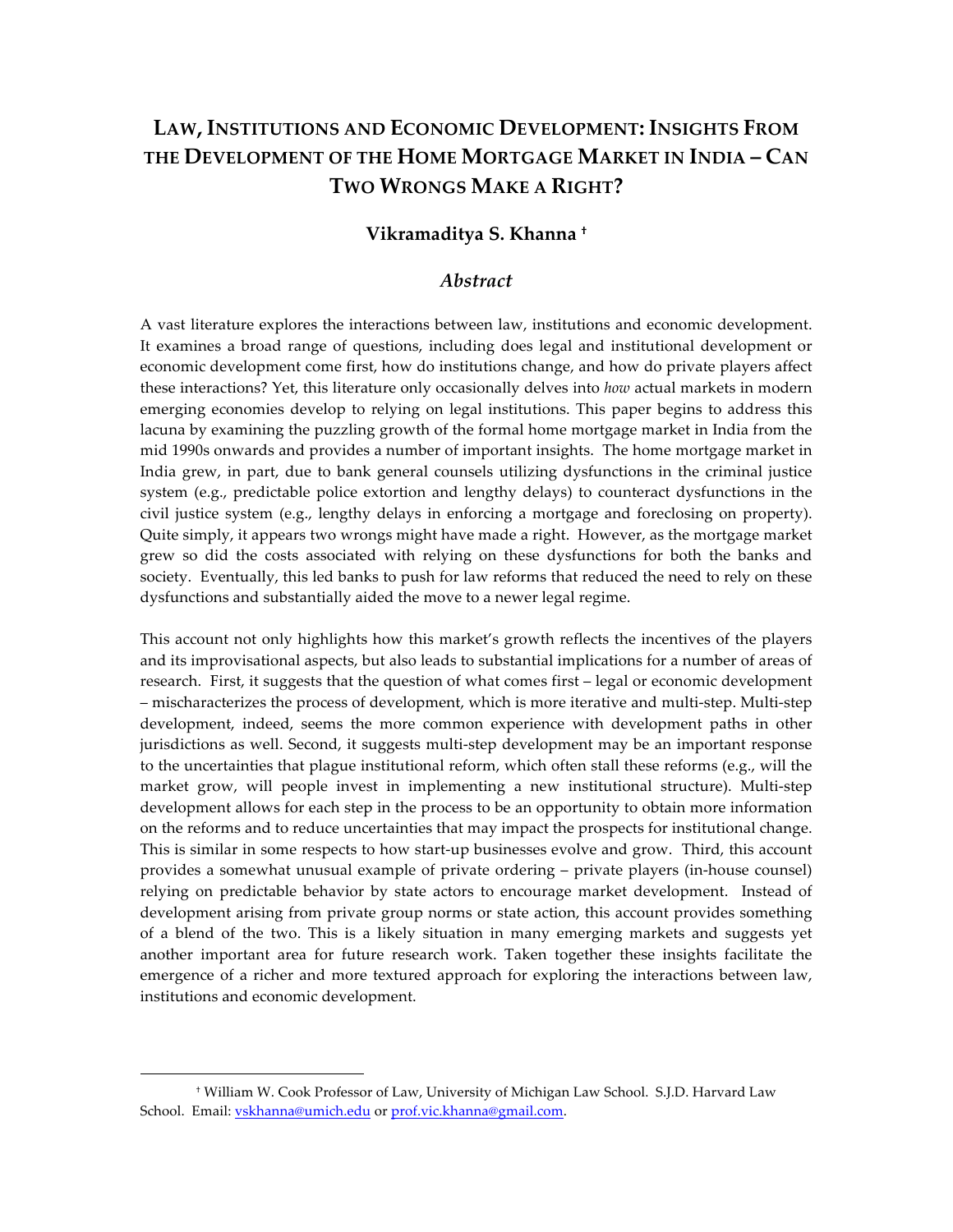# **LAW, INSTITUTIONS AND ECONOMIC DEVELOPMENT: INSIGHTS FROM THE DEVELOPMENT OF THE HOME MORTGAGE MARKET IN INDIA – CAN TWO WRONGS MAKE A RIGHT?**

#### **Vikramaditya S. Khanna †**

#### *Abstract*

A vast literature explores the interactions between law, institutions and economic development. It examines a broad range of questions, including does legal and institutional development or economic development come first, how do institutions change, and how do private players affect these interactions? Yet, this literature only occasionally delves into *how* actual markets in modern emerging economies develop to relying on legal institutions. This paper begins to address this lacuna by examining the puzzling growth of the formal home mortgage market in India from the mid 1990s onwards and provides a number of important insights. The home mortgage market in India grew, in part, due to bank general counsels utilizing dysfunctions in the criminal justice system (e.g., predictable police extortion and lengthy delays) to counteract dysfunctions in the civil justice system (e.g., lengthy delays in enforcing a mortgage and foreclosing on property). Quite simply, it appears two wrongs might have made a right. However, as the mortgage market grew so did the costs associated with relying on these dysfunctions for both the banks and society. Eventually, this led banks to push for law reforms that reduced the need to rely on these dysfunctions and substantially aided the move to a newer legal regime.

This account not only highlights how this market's growth reflects the incentives of the players and its improvisational aspects, but also leads to substantial implications for a number of areas of research. First, it suggests that the question of what comes first – legal or economic development – mischaracterizes the process of development, which is more iterative and multi-step. Multi-step development, indeed, seems the more common experience with development paths in other jurisdictions as well. Second, it suggests multi-step development may be an important response to the uncertainties that plague institutional reform, which often stall these reforms (e.g., will the market grow, will people invest in implementing a new institutional structure). Multi-step development allows for each step in the process to be an opportunity to obtain more information on the reforms and to reduce uncertainties that may impact the prospects for institutional change. This is similar in some respects to how start-up businesses evolve and grow. Third, this account provides a somewhat unusual example of private ordering – private players (in-house counsel) relying on predictable behavior by state actors to encourage market development. Instead of development arising from private group norms or state action, this account provides something of a blend of the two. This is a likely situation in many emerging markets and suggests yet another important area for future research work. Taken together these insights facilitate the emergence of a richer and more textured approach for exploring the interactions between law, institutions and economic development.

<sup>†</sup> William W. Cook Professor of Law, University of Michigan Law School. S.J.D. Harvard Law School. Email: vskhanna@umich.edu or prof.vic.khanna@gmail.com.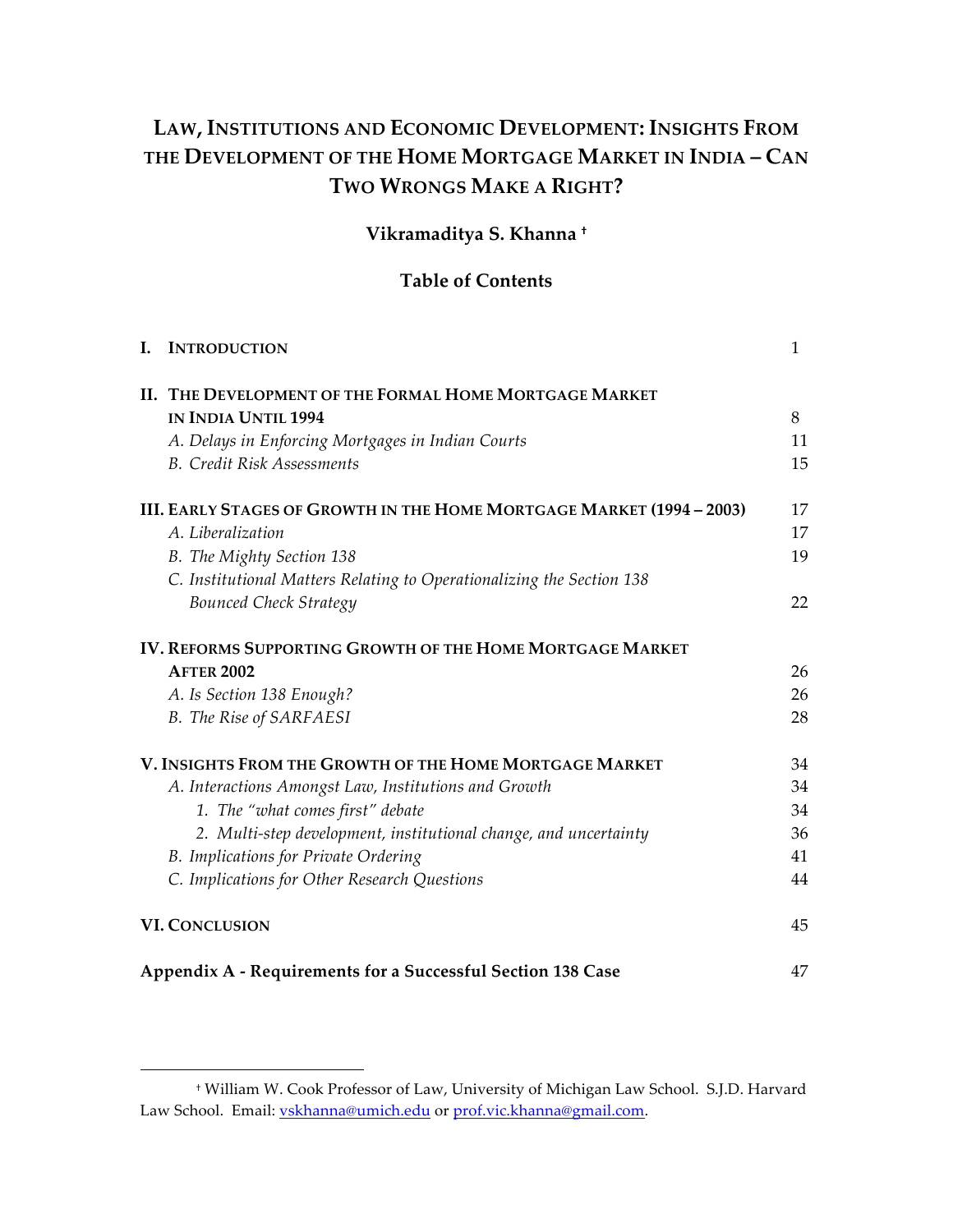# **LAW, INSTITUTIONS AND ECONOMIC DEVELOPMENT: INSIGHTS FROM THE DEVELOPMENT OF THE HOME MORTGAGE MARKET IN INDIA – CAN TWO WRONGS MAKE A RIGHT?**

# **Vikramaditya S. Khanna †**

# **Table of Contents**

| I. | <b>INTRODUCTION</b>                                                   | 1  |
|----|-----------------------------------------------------------------------|----|
|    | II. THE DEVELOPMENT OF THE FORMAL HOME MORTGAGE MARKET                |    |
|    | <b>IN INDIA UNTIL 1994</b>                                            | 8  |
|    | A. Delays in Enforcing Mortgages in Indian Courts                     | 11 |
|    | <b>B.</b> Credit Risk Assessments                                     | 15 |
|    | III. EARLY STAGES OF GROWTH IN THE HOME MORTGAGE MARKET (1994 – 2003) | 17 |
|    | A. Liberalization                                                     | 17 |
|    | B. The Mighty Section 138                                             | 19 |
|    | C. Institutional Matters Relating to Operationalizing the Section 138 |    |
|    | <b>Bounced Check Strategy</b>                                         | 22 |
|    | IV. REFORMS SUPPORTING GROWTH OF THE HOME MORTGAGE MARKET             |    |
|    | <b>AFTER 2002</b>                                                     | 26 |
|    | A. Is Section 138 Enough?                                             | 26 |
|    | <b>B.</b> The Rise of SARFAESI                                        | 28 |
|    | V. INSIGHTS FROM THE GROWTH OF THE HOME MORTGAGE MARKET               | 34 |
|    | A. Interactions Amongst Law, Institutions and Growth                  | 34 |
|    | 1. The "what comes first" debate                                      | 34 |
|    | 2. Multi-step development, institutional change, and uncertainty      | 36 |
|    | B. Implications for Private Ordering                                  | 41 |
|    | C. Implications for Other Research Questions                          | 44 |
|    | <b>VI. CONCLUSION</b>                                                 | 45 |
|    | Appendix A - Requirements for a Successful Section 138 Case           | 47 |

<sup>†</sup> William W. Cook Professor of Law, University of Michigan Law School. S.J.D. Harvard Law School. Email: vskhanna@umich.edu or prof.vic.khanna@gmail.com.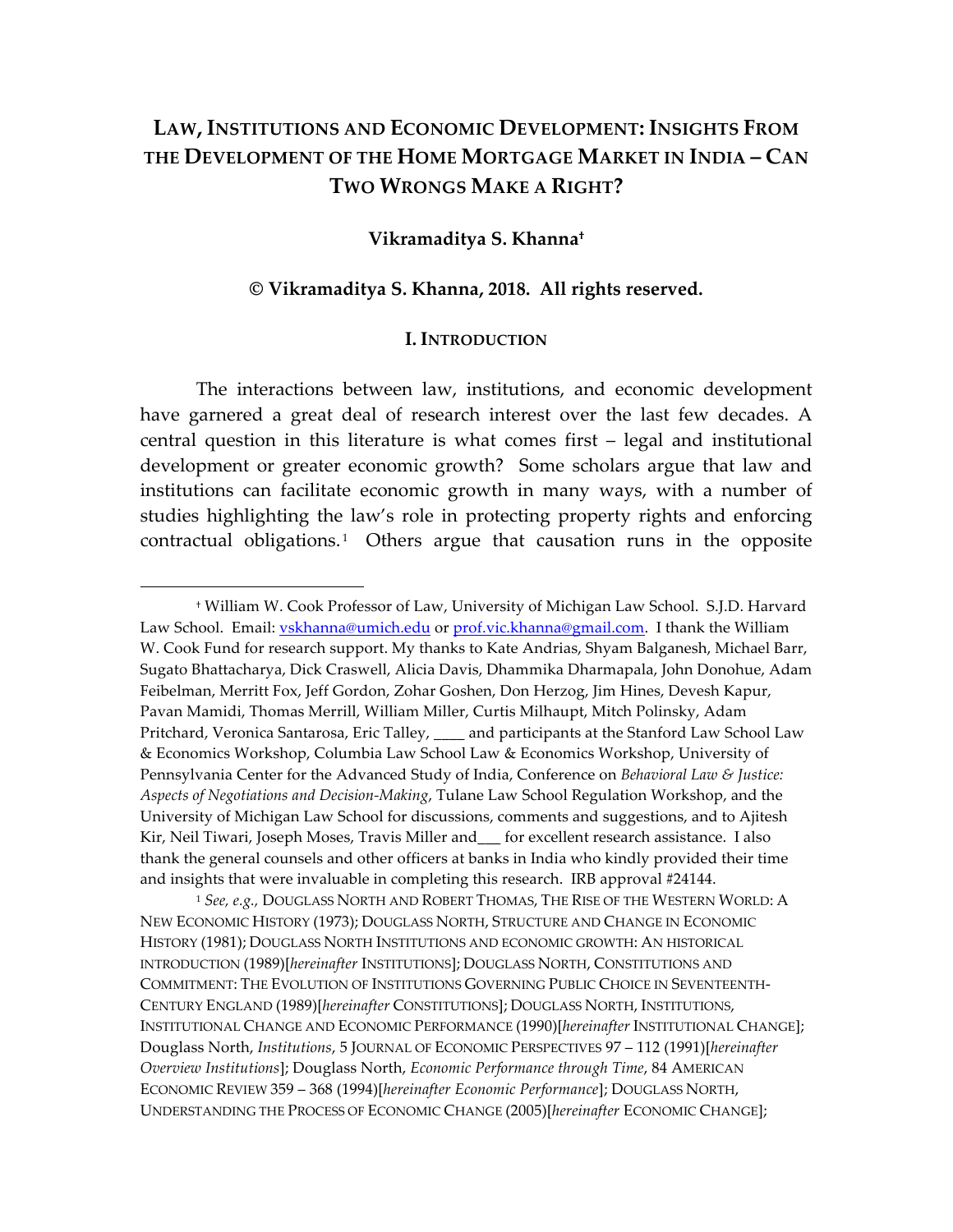# **LAW, INSTITUTIONS AND ECONOMIC DEVELOPMENT: INSIGHTS FROM THE DEVELOPMENT OF THE HOME MORTGAGE MARKET IN INDIA – CAN TWO WRONGS MAKE A RIGHT?**

#### **Vikramaditya S. Khanna†**

#### **© Vikramaditya S. Khanna, 2018. All rights reserved.**

#### **I. INTRODUCTION**

The interactions between law, institutions, and economic development have garnered a great deal of research interest over the last few decades. A central question in this literature is what comes first – legal and institutional development or greater economic growth? Some scholars argue that law and institutions can facilitate economic growth in many ways, with a number of studies highlighting the law's role in protecting property rights and enforcing contractual obligations.<sup>1</sup> Others argue that causation runs in the opposite

<sup>†</sup> William W. Cook Professor of Law, University of Michigan Law School. S.J.D. Harvard Law School. Email: vskhanna@umich.edu or prof.vic.khanna@gmail.com. I thank the William W. Cook Fund for research support. My thanks to Kate Andrias, Shyam Balganesh, Michael Barr, Sugato Bhattacharya, Dick Craswell, Alicia Davis, Dhammika Dharmapala, John Donohue, Adam Feibelman, Merritt Fox, Jeff Gordon, Zohar Goshen, Don Herzog, Jim Hines, Devesh Kapur, Pavan Mamidi, Thomas Merrill, William Miller, Curtis Milhaupt, Mitch Polinsky, Adam Pritchard, Veronica Santarosa, Eric Talley, \_\_\_\_ and participants at the Stanford Law School Law & Economics Workshop, Columbia Law School Law & Economics Workshop, University of Pennsylvania Center for the Advanced Study of India, Conference on *Behavioral Law & Justice: Aspects of Negotiations and Decision-Making*, Tulane Law School Regulation Workshop, and the University of Michigan Law School for discussions, comments and suggestions, and to Ajitesh Kir, Neil Tiwari, Joseph Moses, Travis Miller and\_\_\_ for excellent research assistance. I also thank the general counsels and other officers at banks in India who kindly provided their time and insights that were invaluable in completing this research. IRB approval #24144.

<sup>1</sup> *See, e.g.,* DOUGLASS NORTH AND ROBERT THOMAS, THE RISE OF THE WESTERN WORLD: A NEW ECONOMIC HISTORY (1973); DOUGLASS NORTH, STRUCTURE AND CHANGE IN ECONOMIC HISTORY (1981); DOUGLASS NORTH INSTITUTIONS AND ECONOMIC GROWTH: AN HISTORICAL INTRODUCTION (1989)[*hereinafter* INSTITUTIONS]; DOUGLASS NORTH, CONSTITUTIONS AND COMMITMENT: THE EVOLUTION OF INSTITUTIONS GOVERNING PUBLIC CHOICE IN SEVENTEENTH-CENTURY ENGLAND (1989)[*hereinafter* CONSTITUTIONS]; DOUGLASS NORTH, INSTITUTIONS, INSTITUTIONAL CHANGE AND ECONOMIC PERFORMANCE (1990)[*hereinafter* INSTITUTIONAL CHANGE]; Douglass North, *Institutions*, 5 JOURNAL OF ECONOMIC PERSPECTIVES 97 – 112 (1991)[*hereinafter Overview Institutions*]; Douglass North, *Economic Performance through Time*, 84 AMERICAN ECONOMIC REVIEW 359 – 368 (1994)[*hereinafter Economic Performance*]; DOUGLASS NORTH, UNDERSTANDING THE PROCESS OF ECONOMIC CHANGE (2005)[*hereinafter* ECONOMIC CHANGE];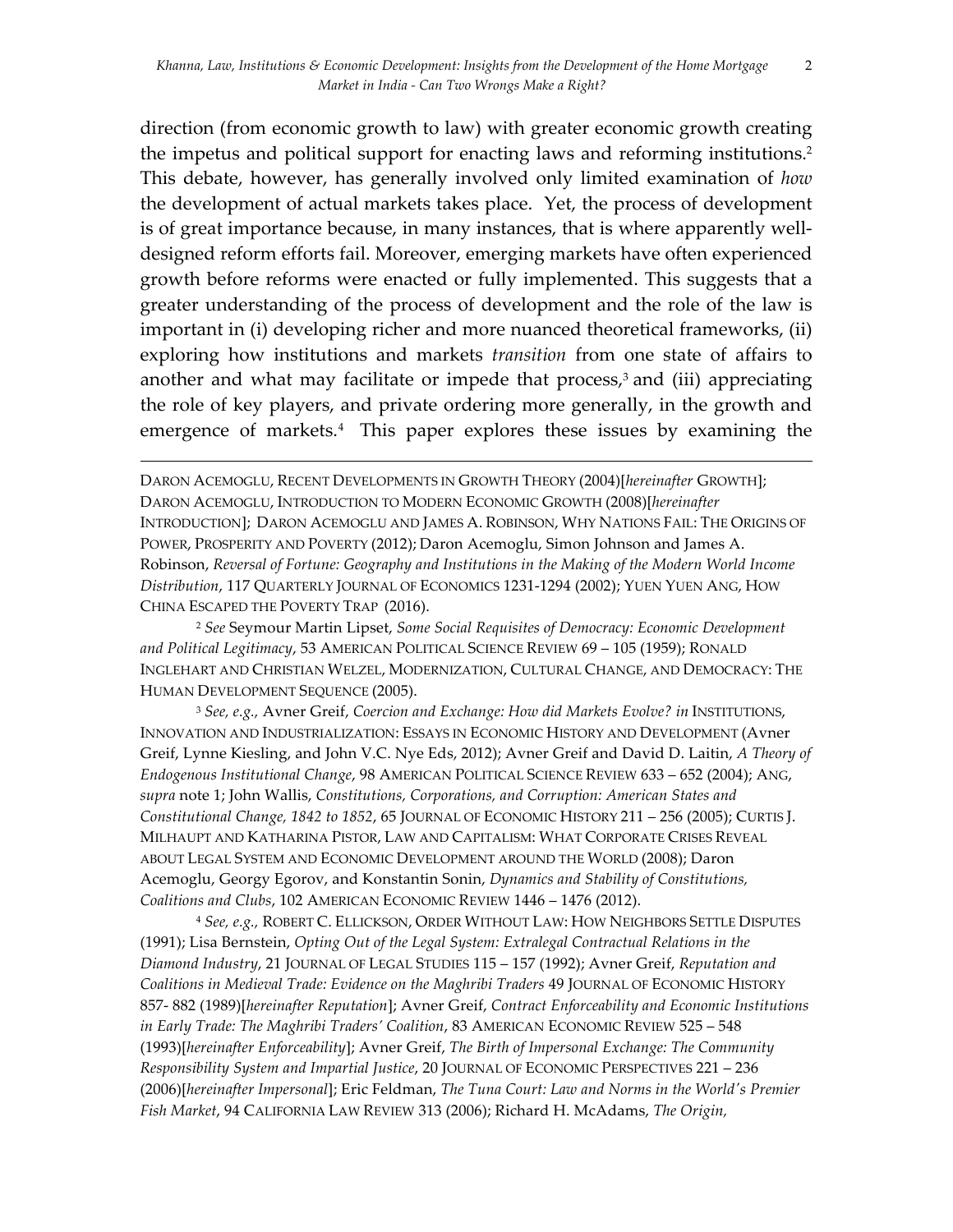direction (from economic growth to law) with greater economic growth creating the impetus and political support for enacting laws and reforming institutions. 2 This debate, however, has generally involved only limited examination of *how*  the development of actual markets takes place. Yet, the process of development is of great importance because, in many instances, that is where apparently welldesigned reform efforts fail. Moreover, emerging markets have often experienced growth before reforms were enacted or fully implemented. This suggests that a greater understanding of the process of development and the role of the law is important in (i) developing richer and more nuanced theoretical frameworks, (ii) exploring how institutions and markets *transition* from one state of affairs to another and what may facilitate or impede that process, <sup>3</sup> and (iii) appreciating the role of key players, and private ordering more generally, in the growth and emergence of markets.<sup>4</sup> This paper explores these issues by examining the

DARON ACEMOGLU, RECENT DEVELOPMENTS IN GROWTH THEORY (2004)[*hereinafter* GROWTH]; DARON ACEMOGLU, INTRODUCTION TO MODERN ECONOMIC GROWTH (2008)[*hereinafter*  INTRODUCTION]; DARON ACEMOGLU AND JAMES A. ROBINSON, WHY NATIONS FAIL: THE ORIGINS OF POWER, PROSPERITY AND POVERTY (2012); Daron Acemoglu, Simon Johnson and James A. Robinson, *Reversal of Fortune: Geography and Institutions in the Making of the Modern World Income Distribution*, 117 QUARTERLY JOURNAL OF ECONOMICS 1231-1294 (2002); YUEN YUEN ANG, HOW CHINA ESCAPED THE POVERTY TRAP (2016).

<u> 1989 - Andrea San Andrea San Andrea San Andrea San Andrea San Andrea San Andrea San Andrea San Andrea San An</u>

<sup>2</sup> *See* Seymour Martin Lipset, *Some Social Requisites of Democracy: Economic Development and Political Legitimacy*, 53 AMERICAN POLITICAL SCIENCE REVIEW 69 – 105 (1959); RONALD INGLEHART AND CHRISTIAN WELZEL, MODERNIZATION, CULTURAL CHANGE, AND DEMOCRACY: THE HUMAN DEVELOPMENT SEQUENCE (2005).

<sup>3</sup> *See, e.g.,* Avner Greif, *Coercion and Exchange: How did Markets Evolve? in* INSTITUTIONS, INNOVATION AND INDUSTRIALIZATION: ESSAYS IN ECONOMIC HISTORY AND DEVELOPMENT (Avner Greif, Lynne Kiesling, and John V.C. Nye Eds, 2012); Avner Greif and David D. Laitin, *A Theory of Endogenous Institutional Change*, 98 AMERICAN POLITICAL SCIENCE REVIEW 633 – 652 (2004); ANG, *supra* note 1; John Wallis, *Constitutions, Corporations, and Corruption: American States and Constitutional Change, 1842 to 1852*, 65 JOURNAL OF ECONOMIC HISTORY 211 – 256 (2005); CURTIS J. MILHAUPT AND KATHARINA PISTOR, LAW AND CAPITALISM: WHAT CORPORATE CRISES REVEAL ABOUT LEGAL SYSTEM AND ECONOMIC DEVELOPMENT AROUND THE WORLD (2008); Daron Acemoglu, Georgy Egorov, and Konstantin Sonin, *Dynamics and Stability of Constitutions, Coalitions and Clubs*, 102 AMERICAN ECONOMIC REVIEW 1446 – 1476 (2012).

<sup>4</sup> *See, e.g.,* ROBERT C. ELLICKSON, ORDER WITHOUT LAW: HOW NEIGHBORS SETTLE DISPUTES (1991); Lisa Bernstein, *Opting Out of the Legal System: Extralegal Contractual Relations in the Diamond Industry*, 21 JOURNAL OF LEGAL STUDIES 115 – 157 (1992); Avner Greif, *Reputation and Coalitions in Medieval Trade: Evidence on the Maghribi Traders* 49 JOURNAL OF ECONOMIC HISTORY 857- 882 (1989)[*hereinafter Reputation*]; Avner Greif, *Contract Enforceability and Economic Institutions in Early Trade: The Maghribi Traders' Coalition*, 83 AMERICAN ECONOMIC REVIEW 525 – 548 (1993)[*hereinafter Enforceability*]; Avner Greif, *The Birth of Impersonal Exchange: The Community Responsibility System and Impartial Justice*, 20 JOURNAL OF ECONOMIC PERSPECTIVES 221 – 236 (2006)[*hereinafter Impersonal*]; Eric Feldman, *The Tuna Court: Law and Norms in the World's Premier Fish Market*, 94 CALIFORNIA LAW REVIEW 313 (2006); Richard H. McAdams, *The Origin,*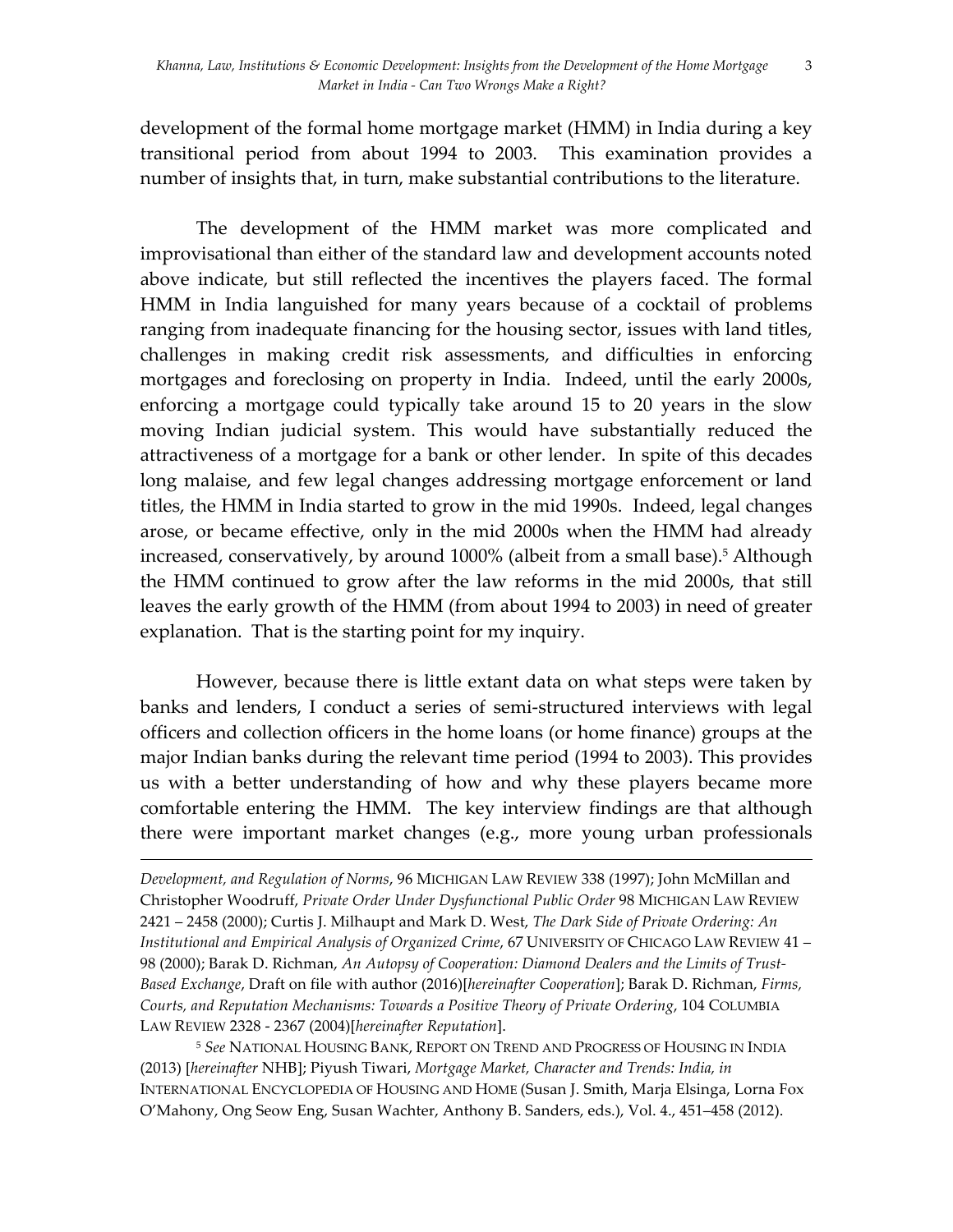development of the formal home mortgage market (HMM) in India during a key transitional period from about 1994 to 2003. This examination provides a number of insights that, in turn, make substantial contributions to the literature.

The development of the HMM market was more complicated and improvisational than either of the standard law and development accounts noted above indicate, but still reflected the incentives the players faced. The formal HMM in India languished for many years because of a cocktail of problems ranging from inadequate financing for the housing sector, issues with land titles, challenges in making credit risk assessments, and difficulties in enforcing mortgages and foreclosing on property in India. Indeed, until the early 2000s, enforcing a mortgage could typically take around 15 to 20 years in the slow moving Indian judicial system. This would have substantially reduced the attractiveness of a mortgage for a bank or other lender. In spite of this decades long malaise, and few legal changes addressing mortgage enforcement or land titles, the HMM in India started to grow in the mid 1990s. Indeed, legal changes arose, or became effective, only in the mid 2000s when the HMM had already increased, conservatively, by around 1000% (albeit from a small base). <sup>5</sup> Although the HMM continued to grow after the law reforms in the mid 2000s, that still leaves the early growth of the HMM (from about 1994 to 2003) in need of greater explanation. That is the starting point for my inquiry.

However, because there is little extant data on what steps were taken by banks and lenders, I conduct a series of semi-structured interviews with legal officers and collection officers in the home loans (or home finance) groups at the major Indian banks during the relevant time period (1994 to 2003). This provides us with a better understanding of how and why these players became more comfortable entering the HMM. The key interview findings are that although there were important market changes (e.g., more young urban professionals

<u> 1989 - Andrea Santa Andrea Andrea Andrea Andrea Andrea Andrea Andrea Andrea Andrea Andrea Andrea Andrea Andr</u>

*Development, and Regulation of Norms*, 96 MICHIGAN LAW REVIEW 338 (1997); John McMillan and Christopher Woodruff, *Private Order Under Dysfunctional Public Order* 98 MICHIGAN LAW REVIEW 2421 – 2458 (2000); Curtis J. Milhaupt and Mark D. West, *The Dark Side of Private Ordering: An Institutional and Empirical Analysis of Organized Crime*, 67 UNIVERSITY OF CHICAGO LAW REVIEW 41 – 98 (2000); Barak D. Richman, *An Autopsy of Cooperation: Diamond Dealers and the Limits of Trust-Based Exchange*, Draft on file with author (2016)[*hereinafter Cooperation*]; Barak D. Richman, *Firms, Courts, and Reputation Mechanisms: Towards a Positive Theory of Private Ordering*, 104 COLUMBIA LAW REVIEW 2328 - 2367 (2004)[*hereinafter Reputation*].

<sup>5</sup> *See* NATIONAL HOUSING BANK, REPORT ON TREND AND PROGRESS OF HOUSING IN INDIA (2013) [*hereinafter* NHB]; Piyush Tiwari, *Mortgage Market, Character and Trends: India, in* INTERNATIONAL ENCYCLOPEDIA OF HOUSING AND HOME (Susan J. Smith, Marja Elsinga, Lorna Fox O'Mahony, Ong Seow Eng, Susan Wachter, Anthony B. Sanders, eds.), Vol. 4., 451–458 (2012).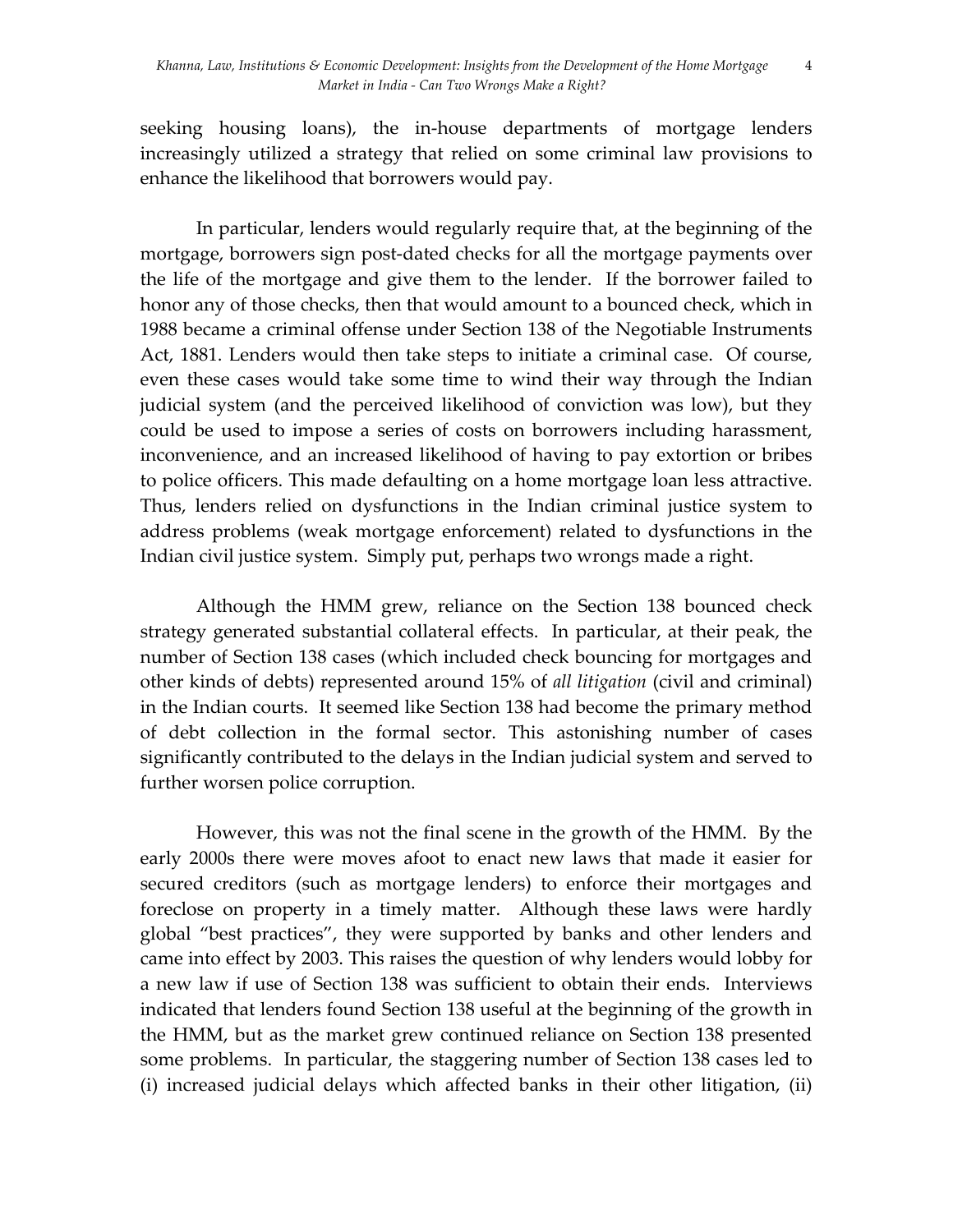4

seeking housing loans), the in-house departments of mortgage lenders increasingly utilized a strategy that relied on some criminal law provisions to enhance the likelihood that borrowers would pay.

In particular, lenders would regularly require that, at the beginning of the mortgage, borrowers sign post-dated checks for all the mortgage payments over the life of the mortgage and give them to the lender. If the borrower failed to honor any of those checks, then that would amount to a bounced check, which in 1988 became a criminal offense under Section 138 of the Negotiable Instruments Act, 1881. Lenders would then take steps to initiate a criminal case. Of course, even these cases would take some time to wind their way through the Indian judicial system (and the perceived likelihood of conviction was low), but they could be used to impose a series of costs on borrowers including harassment, inconvenience, and an increased likelihood of having to pay extortion or bribes to police officers. This made defaulting on a home mortgage loan less attractive. Thus, lenders relied on dysfunctions in the Indian criminal justice system to address problems (weak mortgage enforcement) related to dysfunctions in the Indian civil justice system. Simply put, perhaps two wrongs made a right.

Although the HMM grew, reliance on the Section 138 bounced check strategy generated substantial collateral effects. In particular, at their peak, the number of Section 138 cases (which included check bouncing for mortgages and other kinds of debts) represented around 15% of *all litigation* (civil and criminal) in the Indian courts. It seemed like Section 138 had become the primary method of debt collection in the formal sector. This astonishing number of cases significantly contributed to the delays in the Indian judicial system and served to further worsen police corruption.

However, this was not the final scene in the growth of the HMM. By the early 2000s there were moves afoot to enact new laws that made it easier for secured creditors (such as mortgage lenders) to enforce their mortgages and foreclose on property in a timely matter. Although these laws were hardly global "best practices", they were supported by banks and other lenders and came into effect by 2003. This raises the question of why lenders would lobby for a new law if use of Section 138 was sufficient to obtain their ends. Interviews indicated that lenders found Section 138 useful at the beginning of the growth in the HMM, but as the market grew continued reliance on Section 138 presented some problems. In particular, the staggering number of Section 138 cases led to (i) increased judicial delays which affected banks in their other litigation, (ii)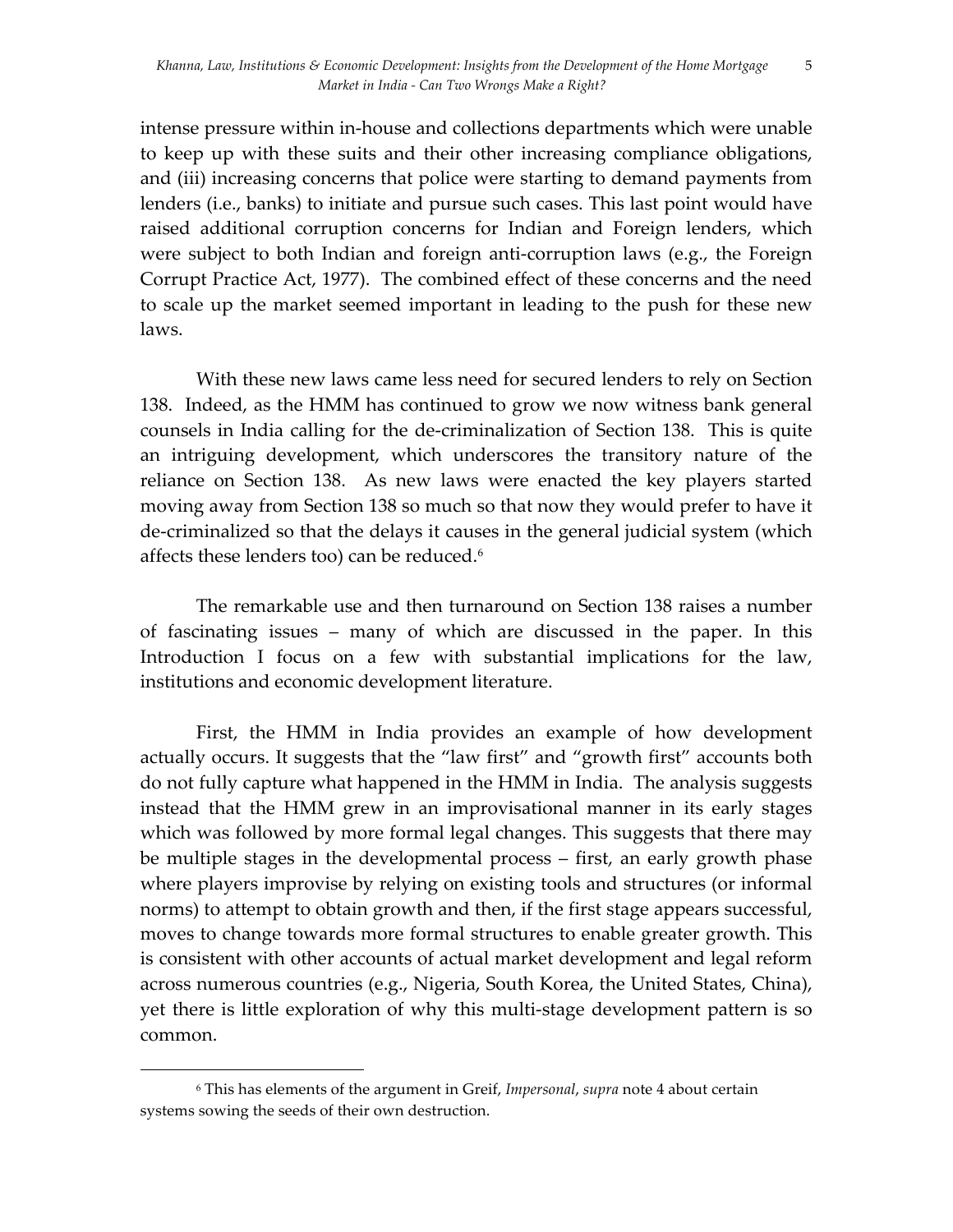5

intense pressure within in-house and collections departments which were unable to keep up with these suits and their other increasing compliance obligations, and (iii) increasing concerns that police were starting to demand payments from lenders (i.e., banks) to initiate and pursue such cases. This last point would have raised additional corruption concerns for Indian and Foreign lenders, which were subject to both Indian and foreign anti-corruption laws (e.g., the Foreign Corrupt Practice Act, 1977). The combined effect of these concerns and the need to scale up the market seemed important in leading to the push for these new laws.

With these new laws came less need for secured lenders to rely on Section 138. Indeed, as the HMM has continued to grow we now witness bank general counsels in India calling for the de-criminalization of Section 138. This is quite an intriguing development, which underscores the transitory nature of the reliance on Section 138. As new laws were enacted the key players started moving away from Section 138 so much so that now they would prefer to have it de-criminalized so that the delays it causes in the general judicial system (which affects these lenders too) can be reduced.<sup>6</sup>

The remarkable use and then turnaround on Section 138 raises a number of fascinating issues – many of which are discussed in the paper. In this Introduction I focus on a few with substantial implications for the law, institutions and economic development literature.

First, the HMM in India provides an example of how development actually occurs. It suggests that the "law first" and "growth first" accounts both do not fully capture what happened in the HMM in India. The analysis suggests instead that the HMM grew in an improvisational manner in its early stages which was followed by more formal legal changes. This suggests that there may be multiple stages in the developmental process – first, an early growth phase where players improvise by relying on existing tools and structures (or informal norms) to attempt to obtain growth and then, if the first stage appears successful, moves to change towards more formal structures to enable greater growth. This is consistent with other accounts of actual market development and legal reform across numerous countries (e.g., Nigeria, South Korea, the United States, China), yet there is little exploration of why this multi-stage development pattern is so common.

<sup>6</sup> This has elements of the argument in Greif, *Impersonal*, *supra* note 4 about certain systems sowing the seeds of their own destruction.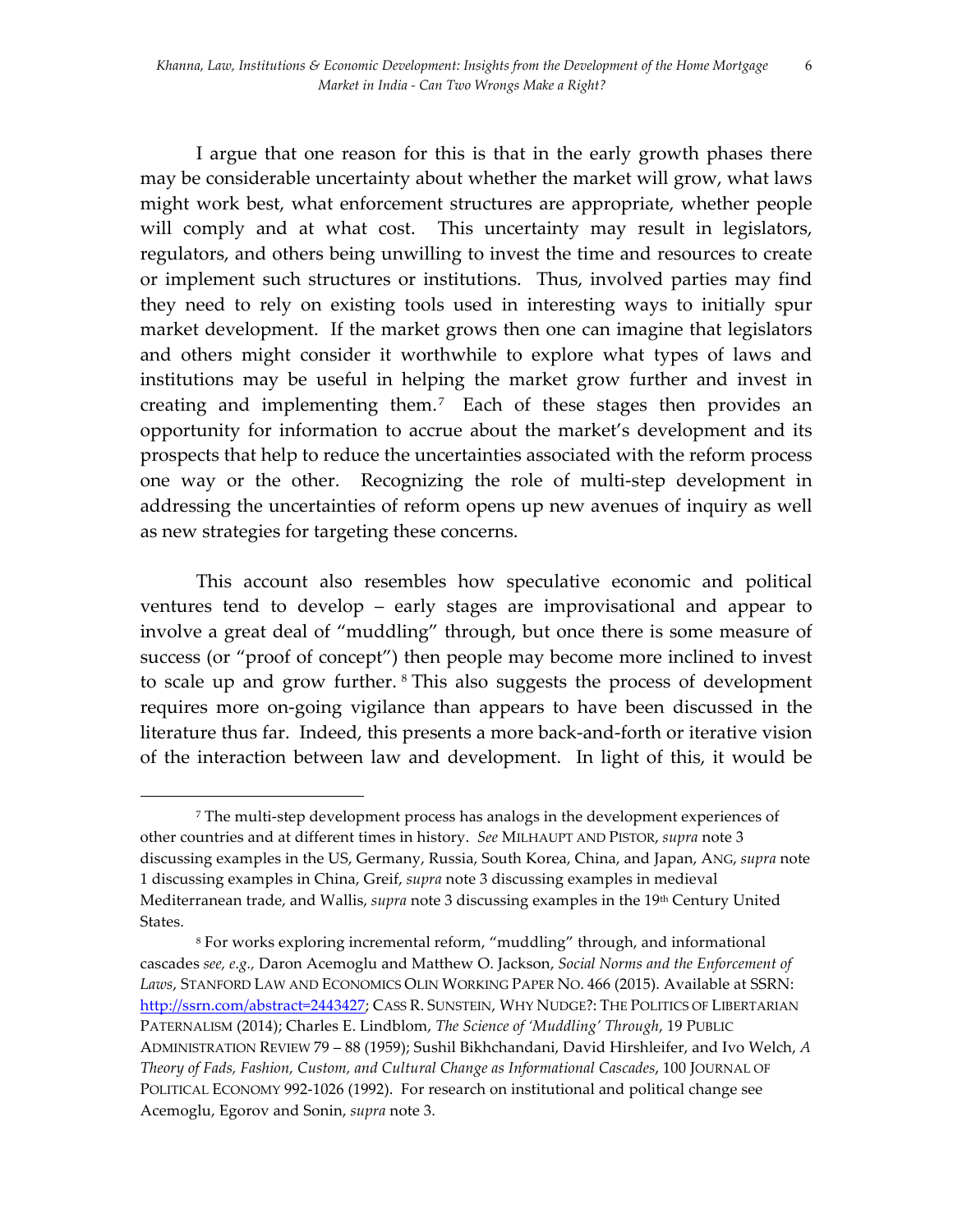I argue that one reason for this is that in the early growth phases there may be considerable uncertainty about whether the market will grow, what laws might work best, what enforcement structures are appropriate, whether people will comply and at what cost. This uncertainty may result in legislators, regulators, and others being unwilling to invest the time and resources to create or implement such structures or institutions. Thus, involved parties may find they need to rely on existing tools used in interesting ways to initially spur market development. If the market grows then one can imagine that legislators and others might consider it worthwhile to explore what types of laws and institutions may be useful in helping the market grow further and invest in creating and implementing them.<sup>7</sup> Each of these stages then provides an opportunity for information to accrue about the market's development and its prospects that help to reduce the uncertainties associated with the reform process one way or the other. Recognizing the role of multi-step development in addressing the uncertainties of reform opens up new avenues of inquiry as well as new strategies for targeting these concerns.

This account also resembles how speculative economic and political ventures tend to develop – early stages are improvisational and appear to involve a great deal of "muddling" through, but once there is some measure of success (or "proof of concept") then people may become more inclined to invest to scale up and grow further. 8 This also suggests the process of development requires more on-going vigilance than appears to have been discussed in the literature thus far. Indeed, this presents a more back-and-forth or iterative vision of the interaction between law and development. In light of this, it would be

<sup>7</sup> The multi-step development process has analogs in the development experiences of other countries and at different times in history. *See* MILHAUPT AND PISTOR, *supra* note 3 discussing examples in the US, Germany, Russia, South Korea, China, and Japan, ANG, *supra* note 1 discussing examples in China, Greif, *supra* note 3 discussing examples in medieval Mediterranean trade, and Wallis, *supra* note 3 discussing examples in the 19th Century United States.

<sup>8</sup> For works exploring incremental reform, "muddling" through, and informational cascades *see, e.g.,* Daron Acemoglu and Matthew O. Jackson, *Social Norms and the Enforcement of Laws*, STANFORD LAW AND ECONOMICS OLIN WORKING PAPER NO. 466 (2015). Available at SSRN: http://ssrn.com/abstract=2443427; CASS R. SUNSTEIN, WHY NUDGE?: THE POLITICS OF LIBERTARIAN PATERNALISM (2014); Charles E. Lindblom, *The Science of 'Muddling' Through*, 19 PUBLIC ADMINISTRATION REVIEW 79 – 88 (1959); Sushil Bikhchandani, David Hirshleifer, and Ivo Welch, *A Theory of Fads, Fashion, Custom, and Cultural Change as Informational Cascades*, 100 JOURNAL OF POLITICAL ECONOMY 992-1026 (1992). For research on institutional and political change see Acemoglu, Egorov and Sonin, *supra* note 3.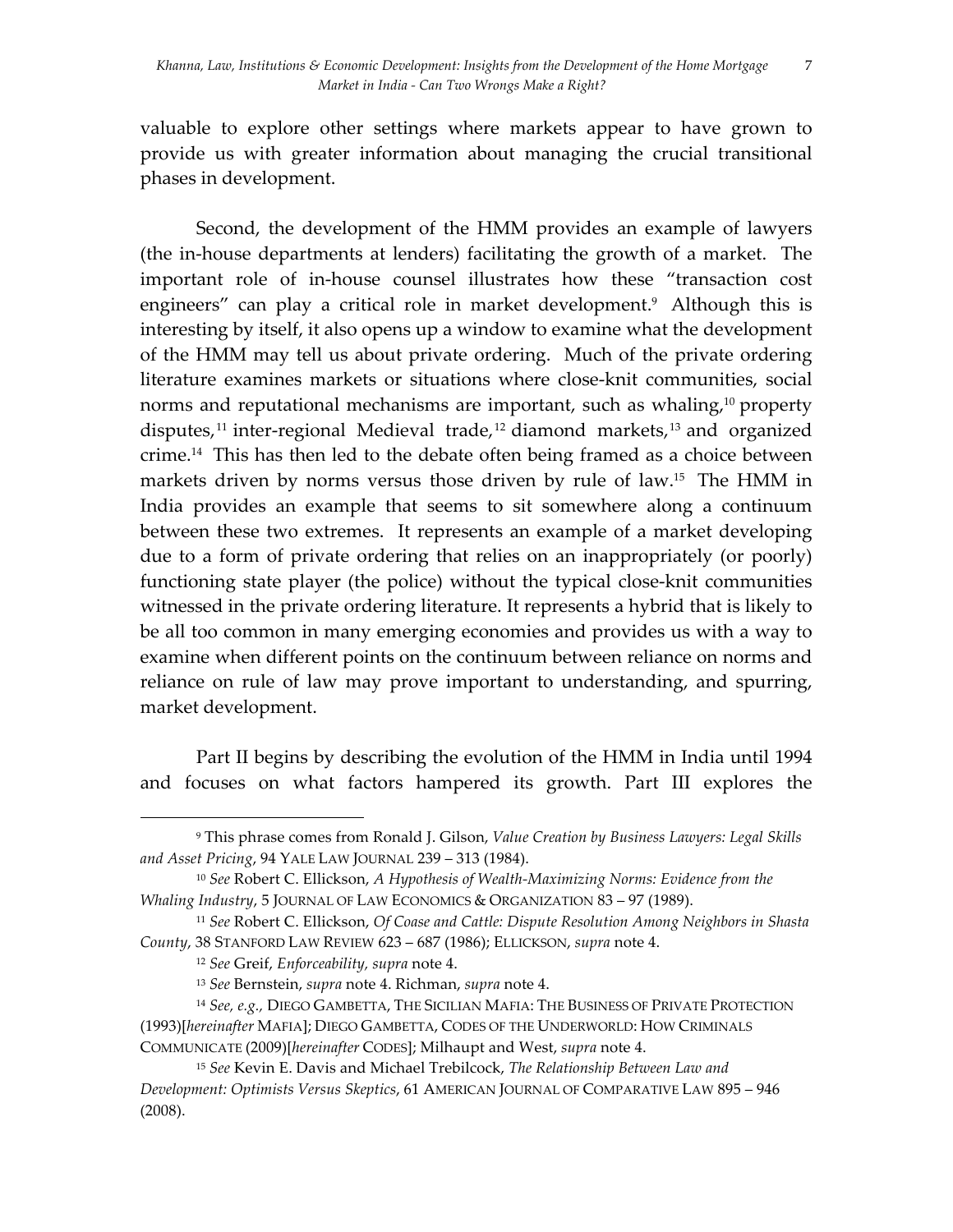valuable to explore other settings where markets appear to have grown to provide us with greater information about managing the crucial transitional phases in development.

Second, the development of the HMM provides an example of lawyers (the in-house departments at lenders) facilitating the growth of a market. The important role of in-house counsel illustrates how these "transaction cost engineers" can play a critical role in market development.<sup>9</sup> Although this is interesting by itself, it also opens up a window to examine what the development of the HMM may tell us about private ordering. Much of the private ordering literature examines markets or situations where close-knit communities, social norms and reputational mechanisms are important, such as whaling,<sup>10</sup> property disputes,<sup>11</sup> inter-regional Medieval trade,<sup>12</sup> diamond markets,<sup>13</sup> and organized crime.14 This has then led to the debate often being framed as a choice between markets driven by norms versus those driven by rule of law. 15 The HMM in India provides an example that seems to sit somewhere along a continuum between these two extremes. It represents an example of a market developing due to a form of private ordering that relies on an inappropriately (or poorly) functioning state player (the police) without the typical close-knit communities witnessed in the private ordering literature. It represents a hybrid that is likely to be all too common in many emerging economies and provides us with a way to examine when different points on the continuum between reliance on norms and reliance on rule of law may prove important to understanding, and spurring, market development.

Part II begins by describing the evolution of the HMM in India until 1994 and focuses on what factors hampered its growth. Part III explores the

<sup>9</sup> This phrase comes from Ronald J. Gilson, *Value Creation by Business Lawyers: Legal Skills and Asset Pricing*, 94 YALE LAW JOURNAL 239 – 313 (1984).

<sup>10</sup> *See* Robert C. Ellickson, *A Hypothesis of Wealth-Maximizing Norms: Evidence from the Whaling Industry*, 5 JOURNAL OF LAW ECONOMICS & ORGANIZATION 83 – 97 (1989).

<sup>11</sup> *See* Robert C. Ellickson, *Of Coase and Cattle: Dispute Resolution Among Neighbors in Shasta County*, 38 STANFORD LAW REVIEW 623 – 687 (1986); ELLICKSON, *supra* note 4.

<sup>12</sup> *See* Greif, *Enforceability, supra* note 4.

<sup>13</sup> *See* Bernstein, *supra* note 4. Richman, *supra* note 4.

<sup>14</sup> *See, e.g.,* DIEGO GAMBETTA, THE SICILIAN MAFIA: THE BUSINESS OF PRIVATE PROTECTION (1993)[*hereinafter* MAFIA]; DIEGO GAMBETTA, CODES OF THE UNDERWORLD: HOW CRIMINALS COMMUNICATE (2009)[*hereinafter* CODES]; Milhaupt and West, *supra* note 4.

<sup>15</sup> *See* Kevin E. Davis and Michael Trebilcock, *The Relationship Between Law and Development: Optimists Versus Skeptics*, 61 AMERICAN JOURNAL OF COMPARATIVE LAW 895 – 946 (2008).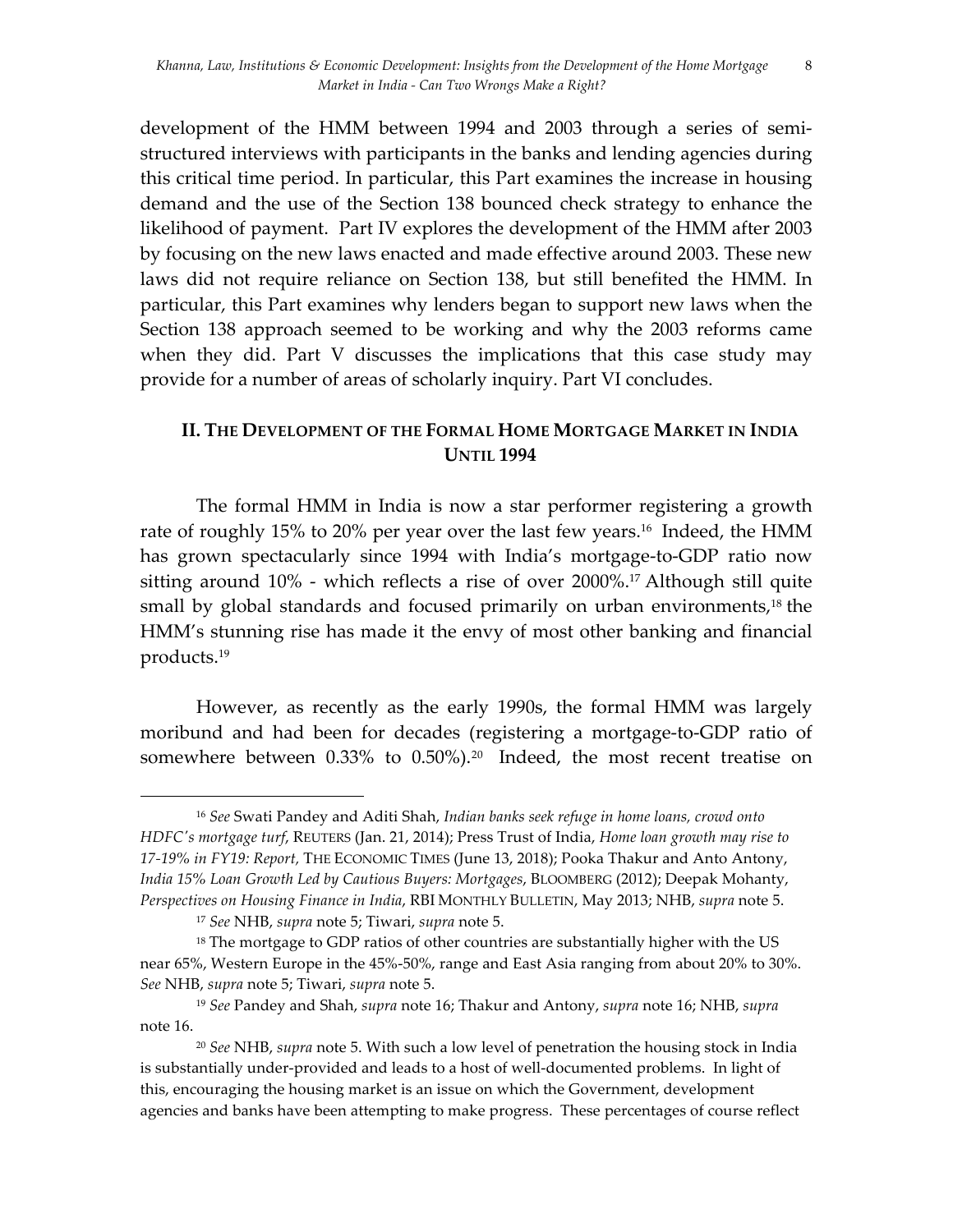8

development of the HMM between 1994 and 2003 through a series of semistructured interviews with participants in the banks and lending agencies during this critical time period. In particular, this Part examines the increase in housing demand and the use of the Section 138 bounced check strategy to enhance the likelihood of payment. Part IV explores the development of the HMM after 2003 by focusing on the new laws enacted and made effective around 2003. These new laws did not require reliance on Section 138, but still benefited the HMM. In particular, this Part examines why lenders began to support new laws when the Section 138 approach seemed to be working and why the 2003 reforms came when they did. Part V discusses the implications that this case study may provide for a number of areas of scholarly inquiry. Part VI concludes.

### **II. THE DEVELOPMENT OF THE FORMAL HOME MORTGAGE MARKET IN INDIA UNTIL 1994**

The formal HMM in India is now a star performer registering a growth rate of roughly 15% to 20% per year over the last few years. 16 Indeed, the HMM has grown spectacularly since 1994 with India's mortgage-to-GDP ratio now sitting around 10% - which reflects a rise of over 2000%.17 Although still quite small by global standards and focused primarily on urban environments,<sup>18</sup> the HMM's stunning rise has made it the envy of most other banking and financial products. 19

However, as recently as the early 1990s, the formal HMM was largely moribund and had been for decades (registering a mortgage-to-GDP ratio of somewhere between 0.33% to 0.50%). 20 Indeed, the most recent treatise on

<sup>16</sup> *See* Swati Pandey and Aditi Shah, *Indian banks seek refuge in home loans, crowd onto HDFC's mortgage turf*, REUTERS (Jan. 21, 2014); Press Trust of India, *Home loan growth may rise to 17-19% in FY19: Report,* THE ECONOMIC TIMES (June 13, 2018); Pooka Thakur and Anto Antony, *India 15% Loan Growth Led by Cautious Buyers: Mortgages*, BLOOMBERG (2012); Deepak Mohanty, *Perspectives on Housing Finance in India*, RBI MONTHLY BULLETIN, May 2013; NHB, *supra* note 5.

<sup>17</sup> *See* NHB, *supra* note 5; Tiwari, *supra* note 5.

<sup>&</sup>lt;sup>18</sup> The mortgage to GDP ratios of other countries are substantially higher with the US near 65%, Western Europe in the 45%-50%, range and East Asia ranging from about 20% to 30%. *See* NHB, *supra* note 5; Tiwari, *supra* note 5.

<sup>19</sup> *See* Pandey and Shah, *supra* note 16; Thakur and Antony, *supra* note 16; NHB, *supra* note 16.

<sup>20</sup> *See* NHB, *supra* note 5. With such a low level of penetration the housing stock in India is substantially under-provided and leads to a host of well-documented problems. In light of this, encouraging the housing market is an issue on which the Government, development agencies and banks have been attempting to make progress. These percentages of course reflect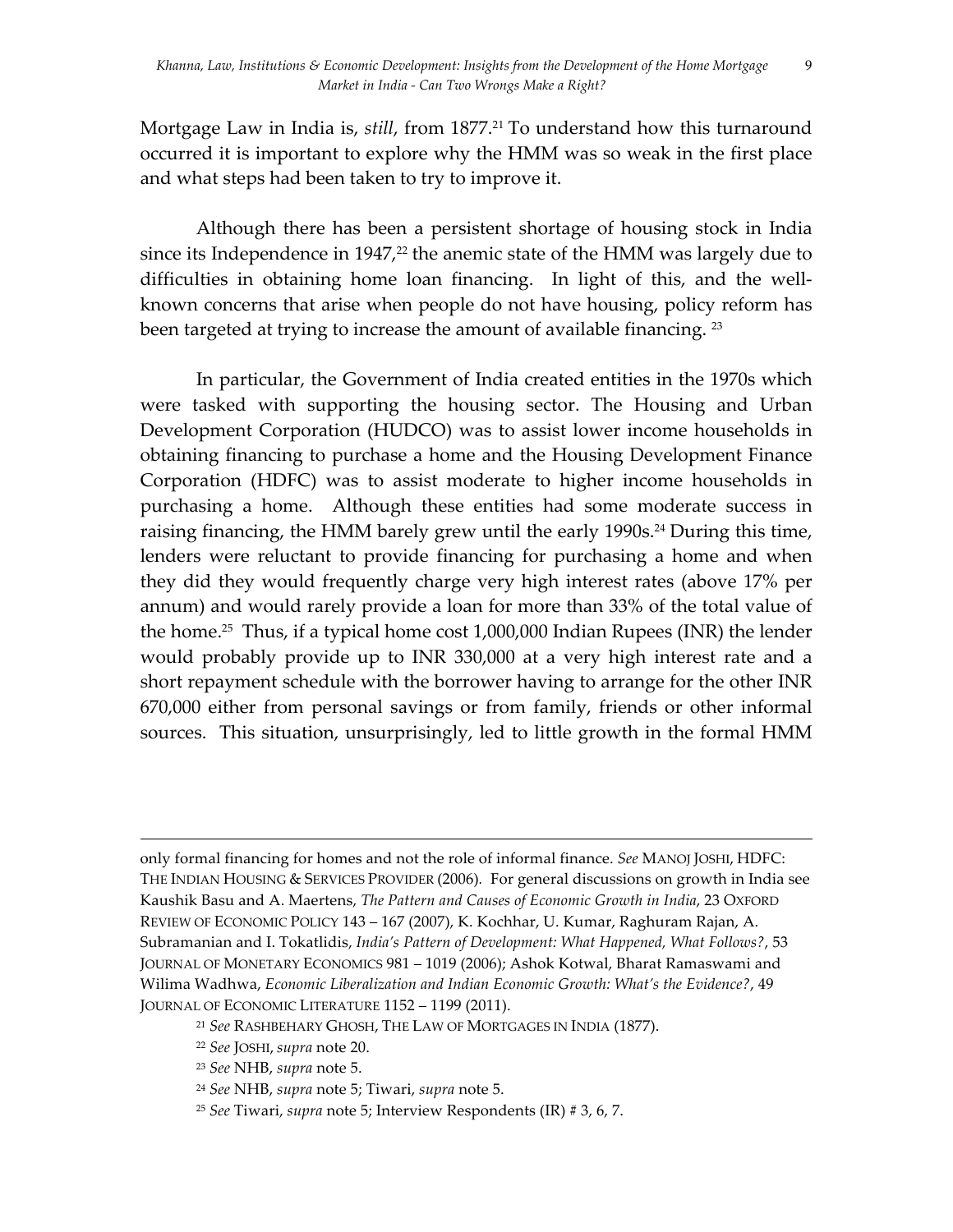9

Mortgage Law in India is, *still*, from 1877. <sup>21</sup> To understand how this turnaround occurred it is important to explore why the HMM was so weak in the first place and what steps had been taken to try to improve it.

Although there has been a persistent shortage of housing stock in India since its Independence in  $1947<sup>22</sup>$  the anemic state of the HMM was largely due to difficulties in obtaining home loan financing. In light of this, and the wellknown concerns that arise when people do not have housing, policy reform has been targeted at trying to increase the amount of available financing. <sup>23</sup>

In particular, the Government of India created entities in the 1970s which were tasked with supporting the housing sector. The Housing and Urban Development Corporation (HUDCO) was to assist lower income households in obtaining financing to purchase a home and the Housing Development Finance Corporation (HDFC) was to assist moderate to higher income households in purchasing a home. Although these entities had some moderate success in raising financing, the HMM barely grew until the early 1990s. <sup>24</sup> During this time, lenders were reluctant to provide financing for purchasing a home and when they did they would frequently charge very high interest rates (above 17% per annum) and would rarely provide a loan for more than 33% of the total value of the home.<sup>25</sup> Thus, if a typical home cost  $1,000,000$  Indian Rupees (INR) the lender would probably provide up to INR 330,000 at a very high interest rate and a short repayment schedule with the borrower having to arrange for the other INR 670,000 either from personal savings or from family, friends or other informal sources. This situation, unsurprisingly, led to little growth in the formal HMM

<u> 1989 - Andrea San Andrea San Andrea San Andrea San Andrea San Andrea San Andrea San Andrea San Andrea San An</u>

- <sup>22</sup> *See* JOSHI, *supra* note 20.
- <sup>23</sup> *See* NHB, *supra* note 5.
- <sup>24</sup> *See* NHB, *supra* note 5; Tiwari, *supra* note 5.
- <sup>25</sup> *See* Tiwari, *supra* note 5; Interview Respondents (IR) # 3, 6, 7.

only formal financing for homes and not the role of informal finance. *See* MANOJ JOSHI, HDFC: THE INDIAN HOUSING & SERVICES PROVIDER (2006)*.* For general discussions on growth in India see Kaushik Basu and A. Maertens, *The Pattern and Causes of Economic Growth in India*, 23 OXFORD REVIEW OF ECONOMIC POLICY 143 – 167 (2007), K. Kochhar, U. Kumar, Raghuram Rajan, A. Subramanian and I. Tokatlidis, *India's Pattern of Development: What Happened, What Follows?*, 53 JOURNAL OF MONETARY ECONOMICS 981 – 1019 (2006); Ashok Kotwal, Bharat Ramaswami and Wilima Wadhwa, *Economic Liberalization and Indian Economic Growth: What's the Evidence?*, 49 JOURNAL OF ECONOMIC LITERATURE 1152 – 1199 (2011).

<sup>21</sup> *See* RASHBEHARY GHOSH, THE LAW OF MORTGAGES IN INDIA (1877).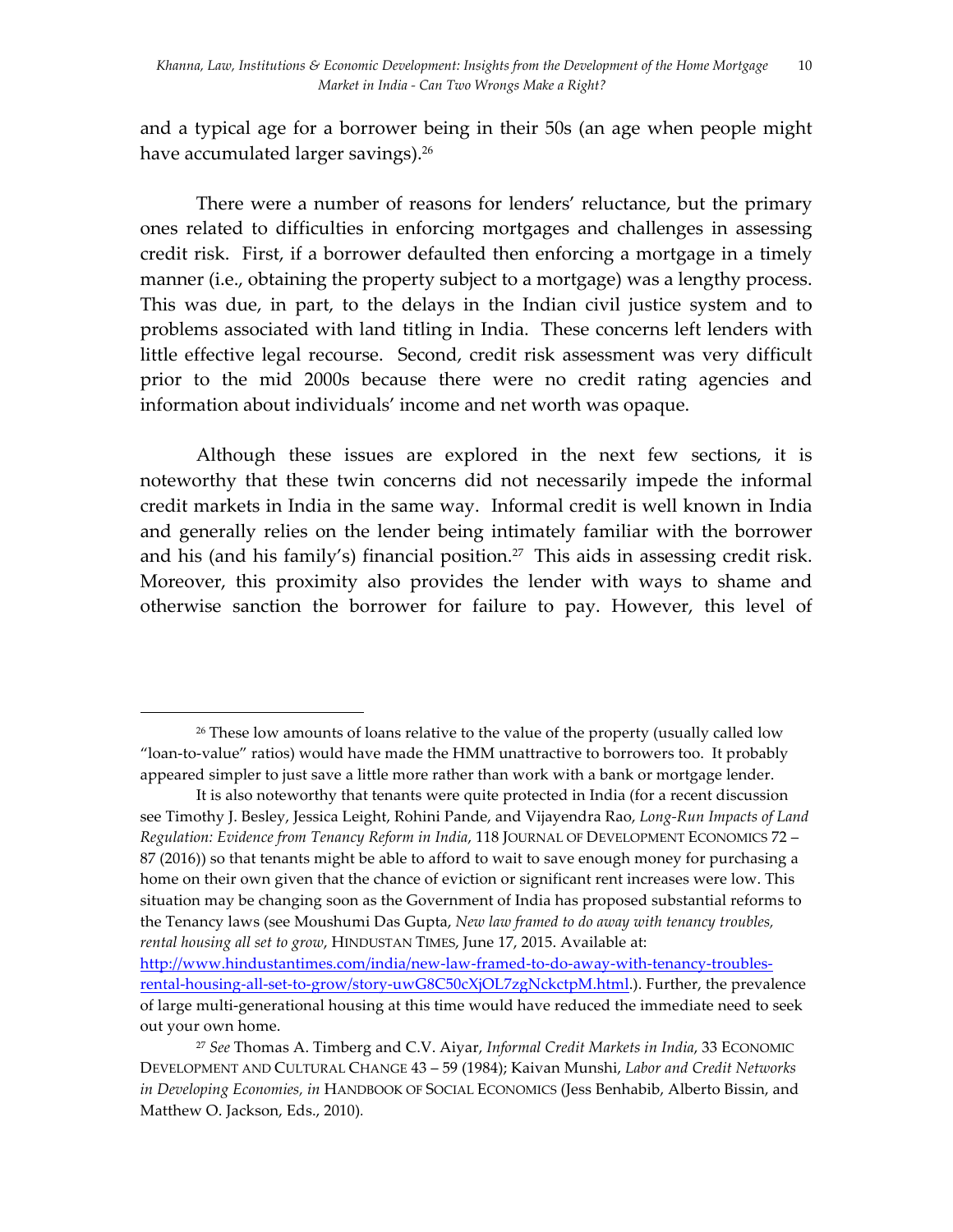and a typical age for a borrower being in their 50s (an age when people might have accumulated larger savings).<sup>26</sup>

There were a number of reasons for lenders' reluctance, but the primary ones related to difficulties in enforcing mortgages and challenges in assessing credit risk. First, if a borrower defaulted then enforcing a mortgage in a timely manner (i.e., obtaining the property subject to a mortgage) was a lengthy process. This was due, in part, to the delays in the Indian civil justice system and to problems associated with land titling in India. These concerns left lenders with little effective legal recourse. Second, credit risk assessment was very difficult prior to the mid 2000s because there were no credit rating agencies and information about individuals' income and net worth was opaque.

Although these issues are explored in the next few sections, it is noteworthy that these twin concerns did not necessarily impede the informal credit markets in India in the same way. Informal credit is well known in India and generally relies on the lender being intimately familiar with the borrower and his (and his family's) financial position.<sup>27</sup> This aids in assessing credit risk. Moreover, this proximity also provides the lender with ways to shame and otherwise sanction the borrower for failure to pay. However, this level of

<sup>&</sup>lt;sup>26</sup> These low amounts of loans relative to the value of the property (usually called low "loan-to-value" ratios) would have made the HMM unattractive to borrowers too. It probably appeared simpler to just save a little more rather than work with a bank or mortgage lender.

It is also noteworthy that tenants were quite protected in India (for a recent discussion see Timothy J. Besley, Jessica Leight, Rohini Pande, and Vijayendra Rao, *Long-Run Impacts of Land Regulation: Evidence from Tenancy Reform in India*, 118 JOURNAL OF DEVELOPMENT ECONOMICS 72 – 87 (2016)) so that tenants might be able to afford to wait to save enough money for purchasing a home on their own given that the chance of eviction or significant rent increases were low. This situation may be changing soon as the Government of India has proposed substantial reforms to the Tenancy laws (see Moushumi Das Gupta, *New law framed to do away with tenancy troubles, rental housing all set to grow*, HINDUSTAN TIMES, June 17, 2015. Available at:

http://www.hindustantimes.com/india/new-law-framed-to-do-away-with-tenancy-troublesrental-housing-all-set-to-grow/story-uwG8C50cXjOL7zgNckctpM.html.). Further, the prevalence of large multi-generational housing at this time would have reduced the immediate need to seek out your own home.

<sup>27</sup> *See* Thomas A. Timberg and C.V. Aiyar, *Informal Credit Markets in India*, 33 ECONOMIC DEVELOPMENT AND CULTURAL CHANGE 43 – 59 (1984); Kaivan Munshi, *Labor and Credit Networks in Developing Economies, in* HANDBOOK OF SOCIAL ECONOMICS (Jess Benhabib, Alberto Bissin, and Matthew O. Jackson, Eds., 2010)*.*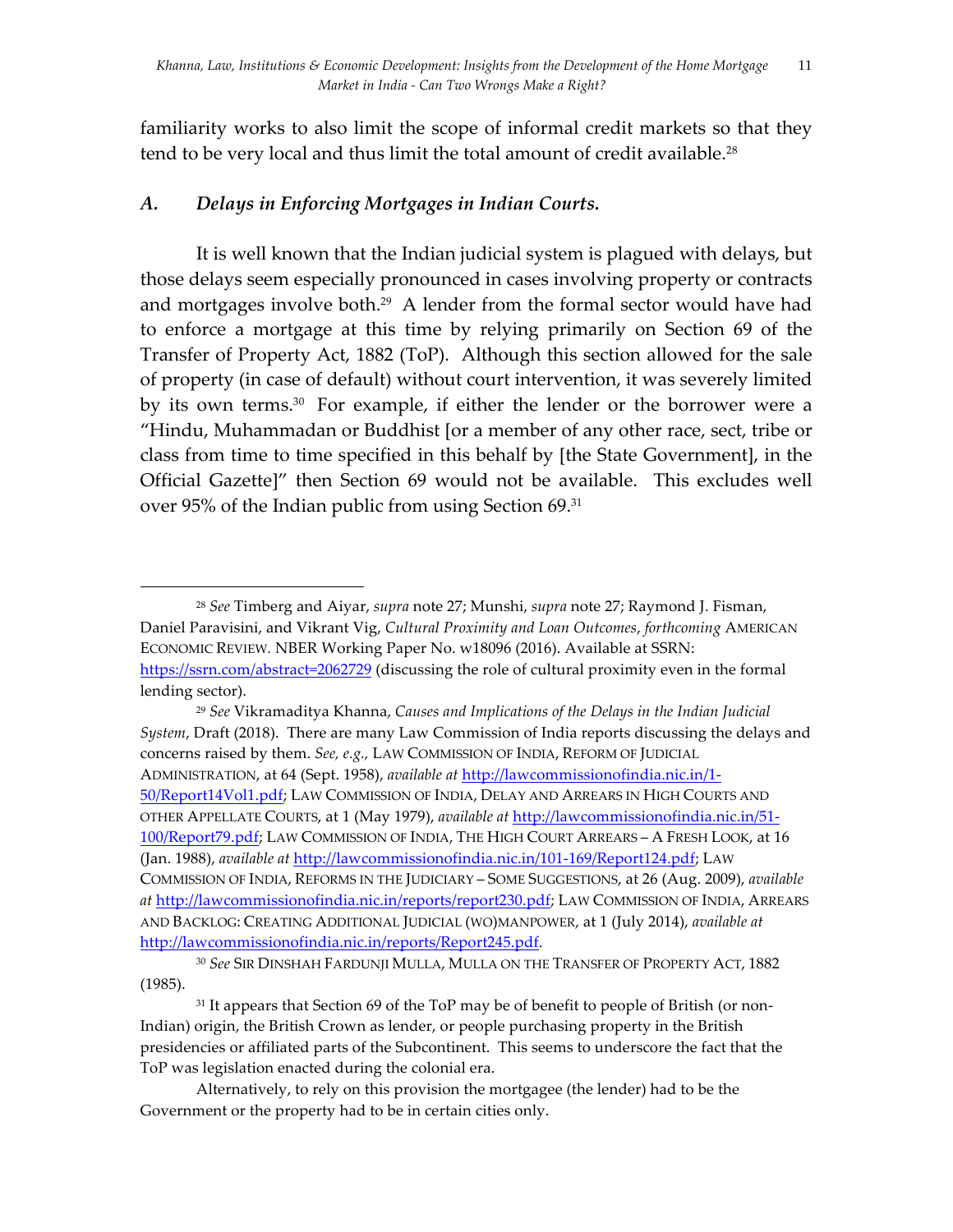familiarity works to also limit the scope of informal credit markets so that they tend to be very local and thus limit the total amount of credit available.<sup>28</sup>

# *A. Delays in Enforcing Mortgages in Indian Courts.*

 

It is well known that the Indian judicial system is plagued with delays, but those delays seem especially pronounced in cases involving property or contracts and mortgages involve both.<sup>29</sup> A lender from the formal sector would have had to enforce a mortgage at this time by relying primarily on Section 69 of the Transfer of Property Act, 1882 (ToP). Although this section allowed for the sale of property (in case of default) without court intervention, it was severely limited by its own terms.<sup>30</sup> For example, if either the lender or the borrower were a "Hindu, Muhammadan or Buddhist [or a member of any other race, sect, tribe or class from time to time specified in this behalf by [the State Government], in the Official Gazette]" then Section 69 would not be available. This excludes well over 95% of the Indian public from using Section 69.31

<sup>29</sup> *See* Vikramaditya Khanna, *Causes and Implications of the Delays in the Indian Judicial System*, Draft (2018). There are many Law Commission of India reports discussing the delays and concerns raised by them. *See, e.g.,* LAW COMMISSION OF INDIA, REFORM OF JUDICIAL ADMINISTRATION, at 64 (Sept. 1958), *available at* http://lawcommissionofindia.nic.in/1- 50/Report14Vol1.pdf; LAW COMMISSION OF INDIA, DELAY AND ARREARS IN HIGH COURTS AND OTHER APPELLATE COURTS, at 1 (May 1979), *available at* http://lawcommissionofindia.nic.in/51- 100/Report79.pdf; LAW COMMISSION OF INDIA, THE HIGH COURT ARREARS – A FRESH LOOK, at 16 (Jan. 1988), *available at* http://lawcommissionofindia.nic.in/101-169/Report124.pdf; LAW COMMISSION OF INDIA, REFORMS IN THE JUDICIARY – SOME SUGGESTIONS, at 26 (Aug. 2009), *available at* http://lawcommissionofindia.nic.in/reports/report230.pdf; LAW COMMISSION OF INDIA, ARREARS AND BACKLOG: CREATING ADDITIONAL JUDICIAL (WO)MANPOWER, at 1 (July 2014), *available at* http://lawcommissionofindia.nic.in/reports/Report245.pdf.

<sup>28</sup> *See* Timberg and Aiyar, *supra* note 27; Munshi, *supra* note 27; Raymond J. Fisman, Daniel Paravisini, and Vikrant Vig, *Cultural Proximity and Loan Outcomes*, *forthcoming* AMERICAN ECONOMIC REVIEW*.* NBER Working Paper No. w18096 (2016). Available at SSRN: https://ssrn.com/abstract=2062729 (discussing the role of cultural proximity even in the formal lending sector).

<sup>30</sup> *See* SIR DINSHAH FARDUNJI MULLA, MULLA ON THE TRANSFER OF PROPERTY ACT, 1882 (1985).

<sup>&</sup>lt;sup>31</sup> It appears that Section 69 of the ToP may be of benefit to people of British (or non-Indian) origin, the British Crown as lender, or people purchasing property in the British presidencies or affiliated parts of the Subcontinent. This seems to underscore the fact that the ToP was legislation enacted during the colonial era.

Alternatively, to rely on this provision the mortgagee (the lender) had to be the Government or the property had to be in certain cities only.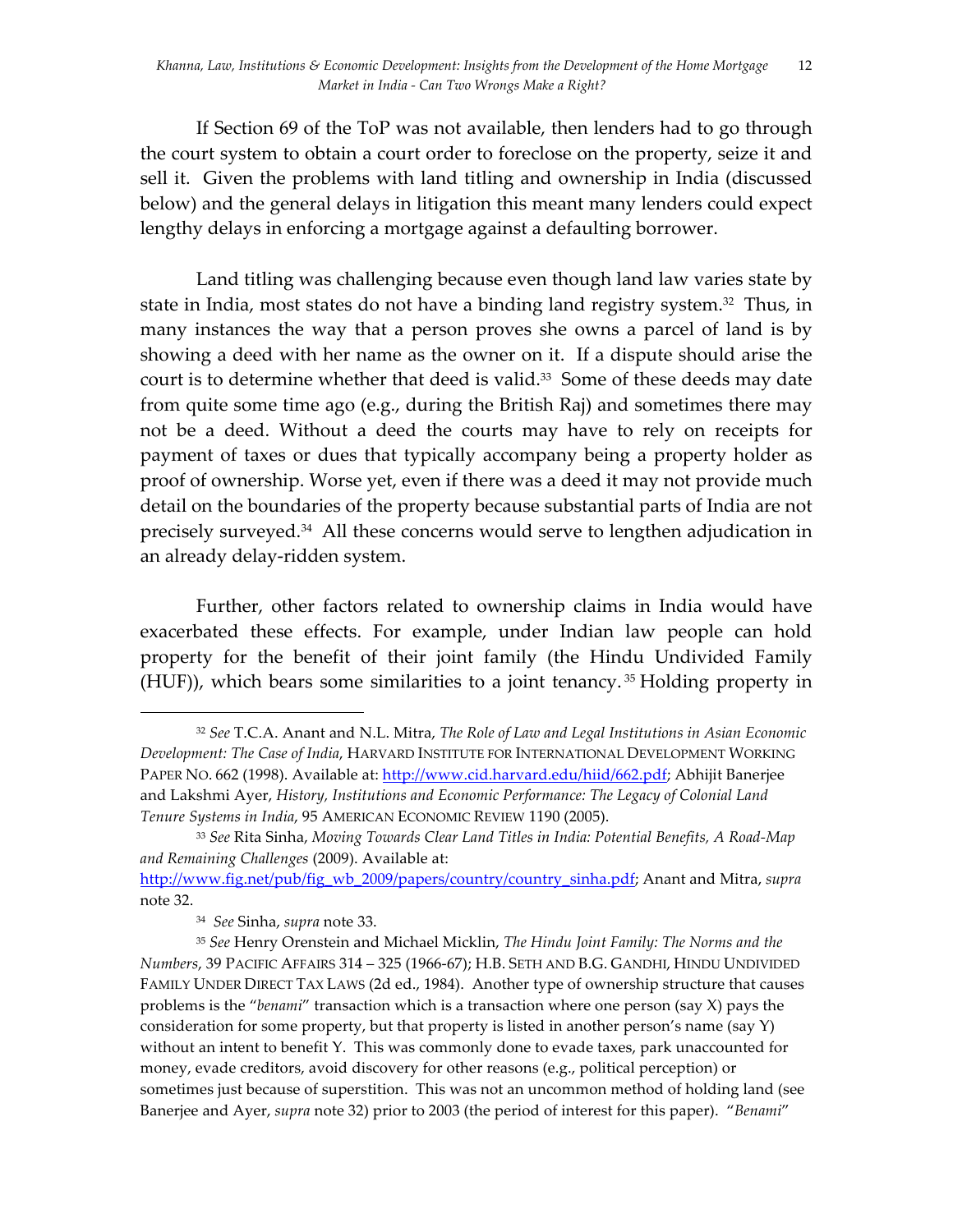If Section 69 of the ToP was not available, then lenders had to go through the court system to obtain a court order to foreclose on the property, seize it and sell it. Given the problems with land titling and ownership in India (discussed below) and the general delays in litigation this meant many lenders could expect lengthy delays in enforcing a mortgage against a defaulting borrower.

Land titling was challenging because even though land law varies state by state in India, most states do not have a binding land registry system.<sup>32</sup> Thus, in many instances the way that a person proves she owns a parcel of land is by showing a deed with her name as the owner on it. If a dispute should arise the court is to determine whether that deed is valid.<sup>33</sup> Some of these deeds may date from quite some time ago (e.g., during the British Raj) and sometimes there may not be a deed. Without a deed the courts may have to rely on receipts for payment of taxes or dues that typically accompany being a property holder as proof of ownership. Worse yet, even if there was a deed it may not provide much detail on the boundaries of the property because substantial parts of India are not precisely surveyed.34 All these concerns would serve to lengthen adjudication in an already delay-ridden system.

Further, other factors related to ownership claims in India would have exacerbated these effects. For example, under Indian law people can hold property for the benefit of their joint family (the Hindu Undivided Family (HUF)), which bears some similarities to a joint tenancy. <sup>35</sup> Holding property in

<sup>32</sup> *See* T.C.A. Anant and N.L. Mitra, *The Role of Law and Legal Institutions in Asian Economic Development: The Case of India*, HARVARD INSTITUTE FOR INTERNATIONAL DEVELOPMENT WORKING PAPER NO. 662 (1998). Available at: http://www.cid.harvard.edu/hiid/662.pdf; Abhijit Banerjee and Lakshmi Ayer, *History, Institutions and Economic Performance: The Legacy of Colonial Land Tenure Systems in India*, 95 AMERICAN ECONOMIC REVIEW 1190 (2005).

<sup>33</sup> *See* Rita Sinha, *Moving Towards Clear Land Titles in India: Potential Benefits, A Road-Map and Remaining Challenges* (2009). Available at:

http://www.fig.net/pub/fig\_wb\_2009/papers/country/country\_sinha.pdf; Anant and Mitra, *supra* note 32.

<sup>34</sup> *See* Sinha, *supra* note 33.

<sup>35</sup> *See* Henry Orenstein and Michael Micklin, *The Hindu Joint Family: The Norms and the Numbers*, 39 PACIFIC AFFAIRS 314 – 325 (1966-67); H.B. SETH AND B.G. GANDHI, HINDU UNDIVIDED FAMILY UNDER DIRECT TAX LAWS (2d ed., 1984). Another type of ownership structure that causes problems is the "*benami*" transaction which is a transaction where one person (say X) pays the consideration for some property, but that property is listed in another person's name (say Y) without an intent to benefit Y. This was commonly done to evade taxes, park unaccounted for money, evade creditors, avoid discovery for other reasons (e.g., political perception) or sometimes just because of superstition. This was not an uncommon method of holding land (see Banerjee and Ayer, *supra* note 32) prior to 2003 (the period of interest for this paper). "*Benami*"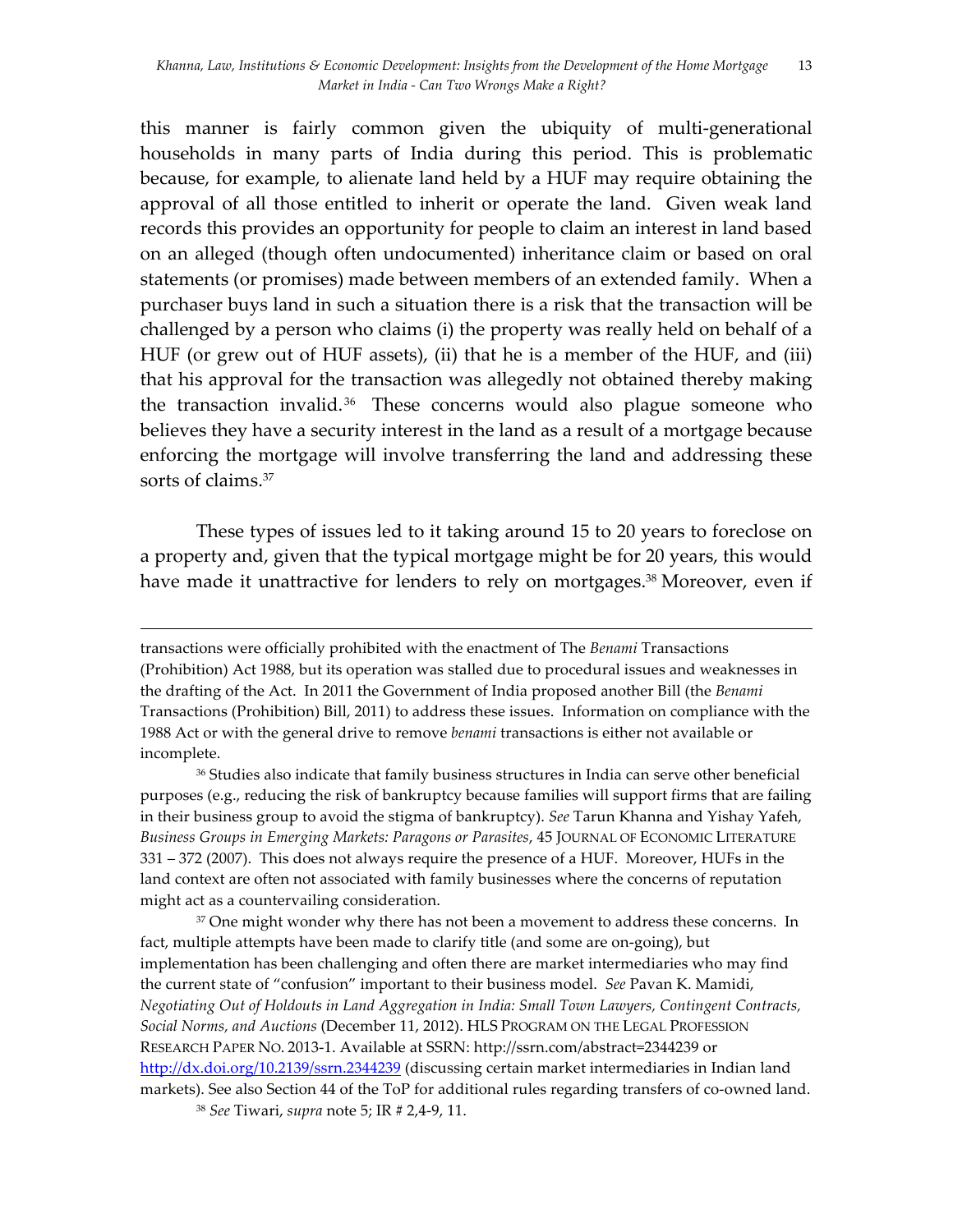this manner is fairly common given the ubiquity of multi-generational households in many parts of India during this period. This is problematic because, for example, to alienate land held by a HUF may require obtaining the approval of all those entitled to inherit or operate the land. Given weak land records this provides an opportunity for people to claim an interest in land based on an alleged (though often undocumented) inheritance claim or based on oral statements (or promises) made between members of an extended family. When a purchaser buys land in such a situation there is a risk that the transaction will be challenged by a person who claims (i) the property was really held on behalf of a HUF (or grew out of HUF assets), (ii) that he is a member of the HUF, and (iii) that his approval for the transaction was allegedly not obtained thereby making the transaction invalid.<sup>36</sup> These concerns would also plague someone who believes they have a security interest in the land as a result of a mortgage because enforcing the mortgage will involve transferring the land and addressing these sorts of claims.<sup>37</sup>

These types of issues led to it taking around 15 to 20 years to foreclose on a property and, given that the typical mortgage might be for 20 years, this would have made it unattractive for lenders to rely on mortgages.<sup>38</sup> Moreover, even if

<u> 1989 - Andrea Santa Andrea Andrea Andrea Andrea Andrea Andrea Andrea Andrea Andrea Andrea Andrea Andrea Andr</u>

<sup>37</sup> One might wonder why there has not been a movement to address these concerns. In fact, multiple attempts have been made to clarify title (and some are on-going), but implementation has been challenging and often there are market intermediaries who may find the current state of "confusion" important to their business model. *See* Pavan K. Mamidi, *Negotiating Out of Holdouts in Land Aggregation in India: Small Town Lawyers, Contingent Contracts, Social Norms, and Auctions* (December 11, 2012). HLS PROGRAM ON THE LEGAL PROFESSION RESEARCH PAPER NO. 2013-1. Available at SSRN: http://ssrn.com/abstract=2344239 or http://dx.doi.org/10.2139/ssrn.2344239 (discussing certain market intermediaries in Indian land markets). See also Section 44 of the ToP for additional rules regarding transfers of co-owned land.

transactions were officially prohibited with the enactment of The *Benami* Transactions (Prohibition) Act 1988, but its operation was stalled due to procedural issues and weaknesses in the drafting of the Act. In 2011 the Government of India proposed another Bill (the *Benami* Transactions (Prohibition) Bill, 2011) to address these issues. Information on compliance with the 1988 Act or with the general drive to remove *benami* transactions is either not available or incomplete.

<sup>36</sup> Studies also indicate that family business structures in India can serve other beneficial purposes (e.g., reducing the risk of bankruptcy because families will support firms that are failing in their business group to avoid the stigma of bankruptcy). *See* Tarun Khanna and Yishay Yafeh, *Business Groups in Emerging Markets: Paragons or Parasites*, 45 JOURNAL OF ECONOMIC LITERATURE 331 – 372 (2007). This does not always require the presence of a HUF. Moreover, HUFs in the land context are often not associated with family businesses where the concerns of reputation might act as a countervailing consideration.

<sup>38</sup> *See* Tiwari, *supra* note 5; IR # 2,4-9, 11.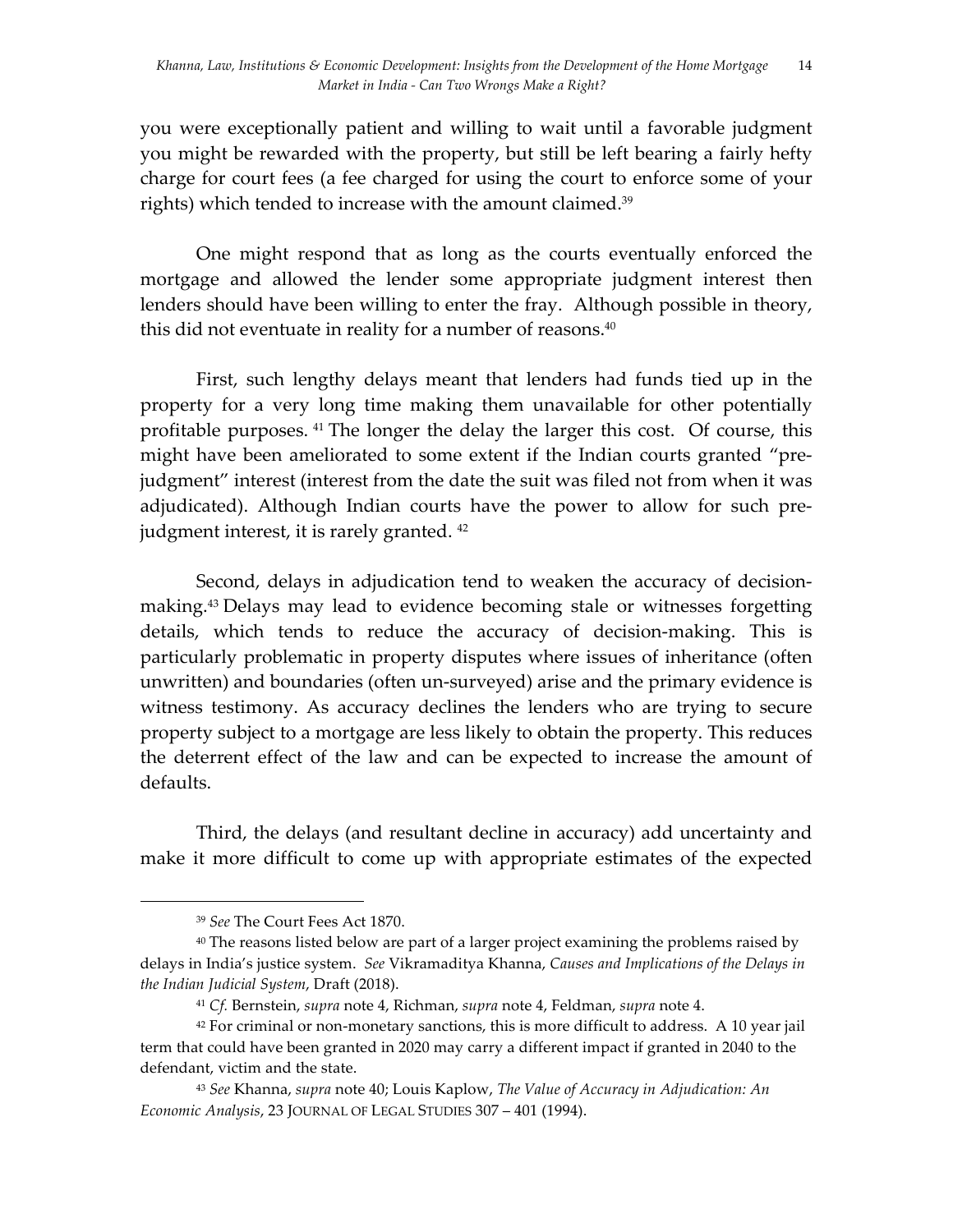you were exceptionally patient and willing to wait until a favorable judgment you might be rewarded with the property, but still be left bearing a fairly hefty charge for court fees (a fee charged for using the court to enforce some of your rights) which tended to increase with the amount claimed.<sup>39</sup>

One might respond that as long as the courts eventually enforced the mortgage and allowed the lender some appropriate judgment interest then lenders should have been willing to enter the fray. Although possible in theory, this did not eventuate in reality for a number of reasons.40

First, such lengthy delays meant that lenders had funds tied up in the property for a very long time making them unavailable for other potentially profitable purposes. 41 The longer the delay the larger this cost. Of course, this might have been ameliorated to some extent if the Indian courts granted "prejudgment" interest (interest from the date the suit was filed not from when it was adjudicated). Although Indian courts have the power to allow for such prejudgment interest, it is rarely granted. <sup>42</sup>

Second, delays in adjudication tend to weaken the accuracy of decisionmaking. <sup>43</sup> Delays may lead to evidence becoming stale or witnesses forgetting details, which tends to reduce the accuracy of decision-making. This is particularly problematic in property disputes where issues of inheritance (often unwritten) and boundaries (often un-surveyed) arise and the primary evidence is witness testimony. As accuracy declines the lenders who are trying to secure property subject to a mortgage are less likely to obtain the property. This reduces the deterrent effect of the law and can be expected to increase the amount of defaults.

Third, the delays (and resultant decline in accuracy) add uncertainty and make it more difficult to come up with appropriate estimates of the expected

<sup>39</sup> *See* The Court Fees Act 1870.

<sup>&</sup>lt;sup>40</sup> The reasons listed below are part of a larger project examining the problems raised by delays in India's justice system. *See* Vikramaditya Khanna, *Causes and Implications of the Delays in the Indian Judicial System*, Draft (2018).

<sup>41</sup> *Cf.* Bernstein, *supra* note 4, Richman, *supra* note 4, Feldman, *supra* note 4.

<sup>42</sup> For criminal or non-monetary sanctions, this is more difficult to address. A 10 year jail term that could have been granted in 2020 may carry a different impact if granted in 2040 to the defendant, victim and the state.

<sup>43</sup> *See* Khanna, *supra* note 40; Louis Kaplow, *The Value of Accuracy in Adjudication: An Economic Analysis*, 23 JOURNAL OF LEGAL STUDIES 307 – 401 (1994).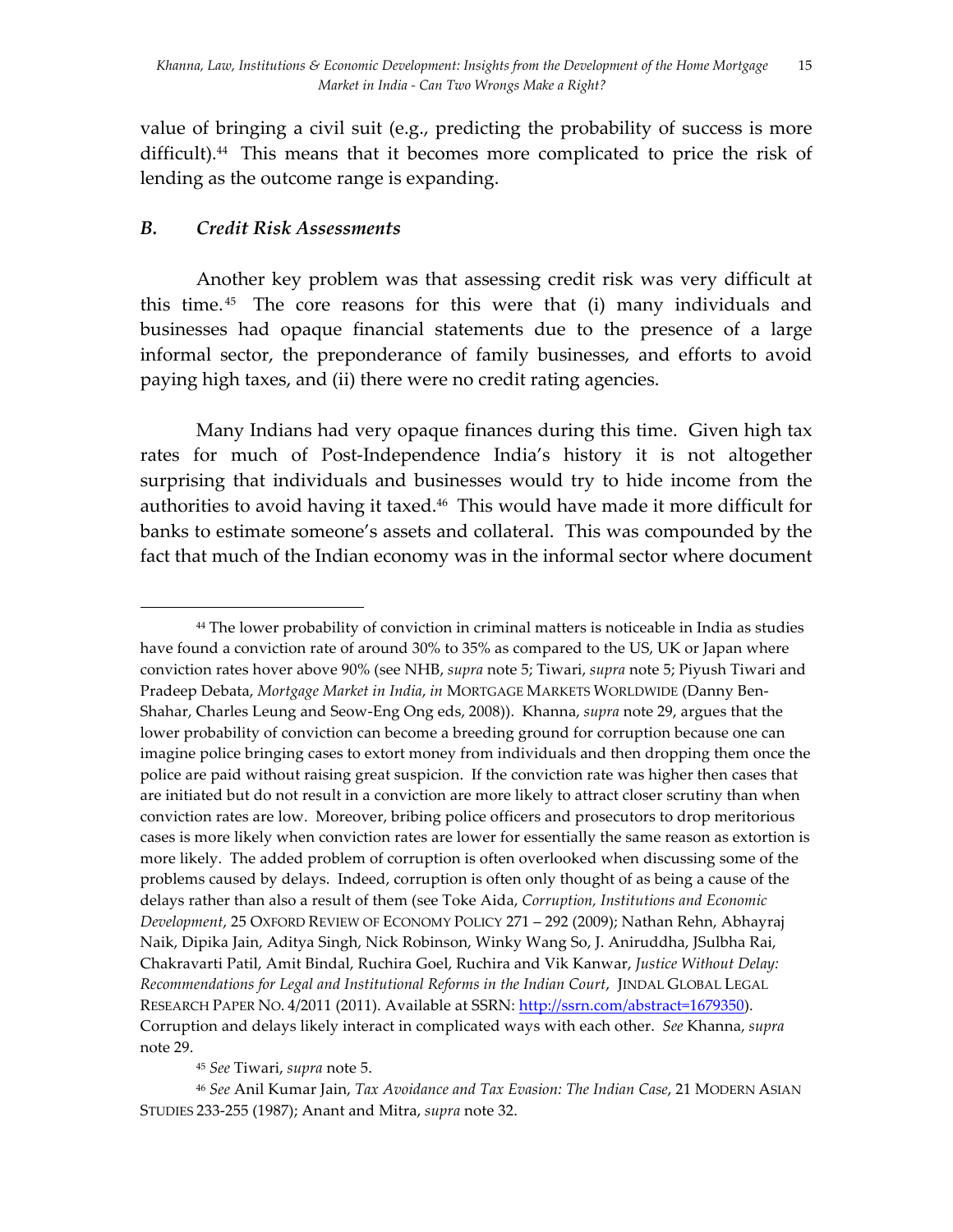value of bringing a civil suit (e.g., predicting the probability of success is more difficult).44 This means that it becomes more complicated to price the risk of lending as the outcome range is expanding.

### *B. Credit Risk Assessments*

 

Another key problem was that assessing credit risk was very difficult at this time.<sup>45</sup> The core reasons for this were that (i) many individuals and businesses had opaque financial statements due to the presence of a large informal sector, the preponderance of family businesses, and efforts to avoid paying high taxes, and (ii) there were no credit rating agencies.

Many Indians had very opaque finances during this time. Given high tax rates for much of Post-Independence India's history it is not altogether surprising that individuals and businesses would try to hide income from the authorities to avoid having it taxed.<sup>46</sup> This would have made it more difficult for banks to estimate someone's assets and collateral. This was compounded by the fact that much of the Indian economy was in the informal sector where document

<sup>44</sup> The lower probability of conviction in criminal matters is noticeable in India as studies have found a conviction rate of around 30% to 35% as compared to the US, UK or Japan where conviction rates hover above 90% (see NHB, *supra* note 5; Tiwari, *supra* note 5; Piyush Tiwari and Pradeep Debata, *Mortgage Market in India*, *in* MORTGAGE MARKETS WORLDWIDE (Danny Ben-Shahar, Charles Leung and Seow-Eng Ong eds, 2008)). Khanna, *supra* note 29, argues that the lower probability of conviction can become a breeding ground for corruption because one can imagine police bringing cases to extort money from individuals and then dropping them once the police are paid without raising great suspicion. If the conviction rate was higher then cases that are initiated but do not result in a conviction are more likely to attract closer scrutiny than when conviction rates are low. Moreover, bribing police officers and prosecutors to drop meritorious cases is more likely when conviction rates are lower for essentially the same reason as extortion is more likely. The added problem of corruption is often overlooked when discussing some of the problems caused by delays. Indeed, corruption is often only thought of as being a cause of the delays rather than also a result of them (see Toke Aida, *Corruption, Institutions and Economic Development*, 25 OXFORD REVIEW OF ECONOMY POLICY 271 – 292 (2009); Nathan Rehn, Abhayraj Naik, Dipika Jain, Aditya Singh, Nick Robinson, Winky Wang So, J. Aniruddha, JSulbha Rai, Chakravarti Patil, Amit Bindal, Ruchira Goel, Ruchira and Vik Kanwar, *Justice Without Delay: Recommendations for Legal and Institutional Reforms in the Indian Court*, JINDAL GLOBAL LEGAL RESEARCH PAPER NO. 4/2011 (2011). Available at SSRN: http://ssrn.com/abstract=1679350). Corruption and delays likely interact in complicated ways with each other. *See* Khanna, *supra* note 29.

<sup>45</sup> *See* Tiwari, *supra* note 5.

<sup>46</sup> *See* Anil Kumar Jain, *Tax Avoidance and Tax Evasion: The Indian Case*, 21 MODERN ASIAN STUDIES 233-255 (1987); Anant and Mitra, *supra* note 32.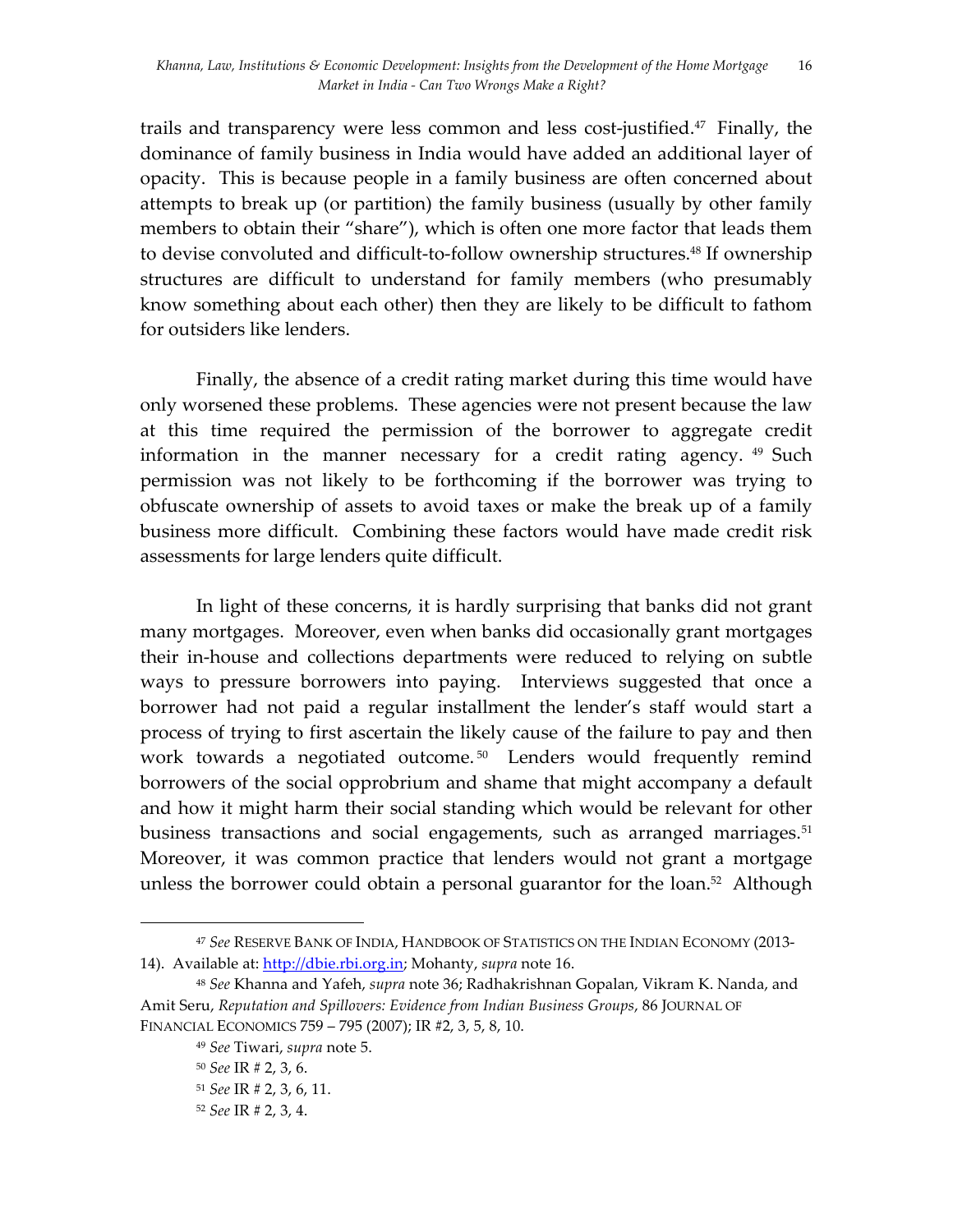trails and transparency were less common and less cost-justified.47 Finally, the dominance of family business in India would have added an additional layer of opacity. This is because people in a family business are often concerned about attempts to break up (or partition) the family business (usually by other family members to obtain their "share"), which is often one more factor that leads them to devise convoluted and difficult-to-follow ownership structures. <sup>48</sup> If ownership structures are difficult to understand for family members (who presumably know something about each other) then they are likely to be difficult to fathom for outsiders like lenders.

Finally, the absence of a credit rating market during this time would have only worsened these problems. These agencies were not present because the law at this time required the permission of the borrower to aggregate credit information in the manner necessary for a credit rating agency.  $49$  Such permission was not likely to be forthcoming if the borrower was trying to obfuscate ownership of assets to avoid taxes or make the break up of a family business more difficult. Combining these factors would have made credit risk assessments for large lenders quite difficult.

In light of these concerns, it is hardly surprising that banks did not grant many mortgages. Moreover, even when banks did occasionally grant mortgages their in-house and collections departments were reduced to relying on subtle ways to pressure borrowers into paying. Interviews suggested that once a borrower had not paid a regular installment the lender's staff would start a process of trying to first ascertain the likely cause of the failure to pay and then work towards a negotiated outcome.<sup>50</sup> Lenders would frequently remind borrowers of the social opprobrium and shame that might accompany a default and how it might harm their social standing which would be relevant for other business transactions and social engagements, such as arranged marriages. 51 Moreover, it was common practice that lenders would not grant a mortgage unless the borrower could obtain a personal guarantor for the loan. $52$  Although

<sup>47</sup> *See* RESERVE BANK OF INDIA, HANDBOOK OF STATISTICS ON THE INDIAN ECONOMY (2013- 14). Available at: http://dbie.rbi.org.in; Mohanty, *supra* note 16.

<sup>48</sup> *See* Khanna and Yafeh, *supra* note 36; Radhakrishnan Gopalan, Vikram K. Nanda, and Amit Seru, *Reputation and Spillovers: Evidence from Indian Business Groups*, 86 JOURNAL OF FINANCIAL ECONOMICS 759 – 795 (2007); IR #2, 3, 5, 8, 10.

<sup>49</sup> *See* Tiwari, *supra* note 5.

<sup>50</sup> *See* IR # 2, 3, 6.

<sup>51</sup> *See* IR # 2, 3, 6, 11.

<sup>52</sup> *See* IR # 2, 3, 4.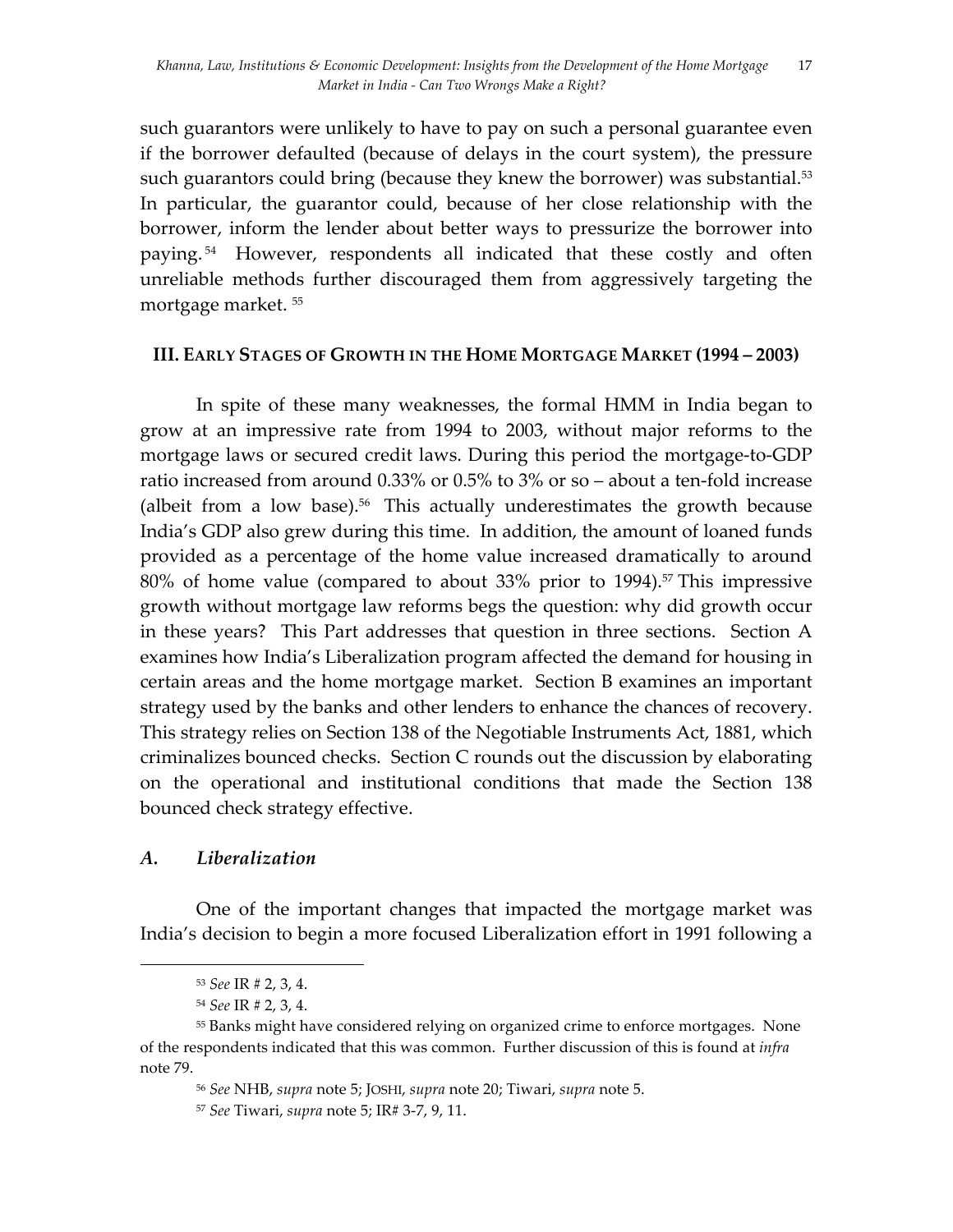such guarantors were unlikely to have to pay on such a personal guarantee even if the borrower defaulted (because of delays in the court system), the pressure such guarantors could bring (because they knew the borrower) was substantial.<sup>53</sup> In particular, the guarantor could, because of her close relationship with the borrower, inform the lender about better ways to pressurize the borrower into paying. 54 However, respondents all indicated that these costly and often unreliable methods further discouraged them from aggressively targeting the mortgage market. 55

#### **III. EARLY STAGES OF GROWTH IN THE HOME MORTGAGE MARKET (1994 – 2003)**

In spite of these many weaknesses, the formal HMM in India began to grow at an impressive rate from 1994 to 2003, without major reforms to the mortgage laws or secured credit laws. During this period the mortgage-to-GDP ratio increased from around 0.33% or 0.5% to 3% or so – about a ten-fold increase (albeit from a low base).<sup>56</sup> This actually underestimates the growth because India's GDP also grew during this time. In addition, the amount of loaned funds provided as a percentage of the home value increased dramatically to around 80% of home value (compared to about 33% prior to 1994).<sup>57</sup> This impressive growth without mortgage law reforms begs the question: why did growth occur in these years? This Part addresses that question in three sections. Section A examines how India's Liberalization program affected the demand for housing in certain areas and the home mortgage market. Section B examines an important strategy used by the banks and other lenders to enhance the chances of recovery. This strategy relies on Section 138 of the Negotiable Instruments Act, 1881, which criminalizes bounced checks. Section C rounds out the discussion by elaborating on the operational and institutional conditions that made the Section 138 bounced check strategy effective.

#### *A. Liberalization*

One of the important changes that impacted the mortgage market was India's decision to begin a more focused Liberalization effort in 1991 following a

 <sup>53</sup> *See* IR # 2, 3, 4.

<sup>54</sup> *See* IR # 2, 3, 4.

<sup>55</sup> Banks might have considered relying on organized crime to enforce mortgages. None of the respondents indicated that this was common. Further discussion of this is found at *infra*  note 79.

<sup>56</sup> *See* NHB, *supra* note 5; JOSHI, *supra* note 20; Tiwari, *supra* note 5.

<sup>57</sup> *See* Tiwari, *supra* note 5; IR# 3-7, 9, 11.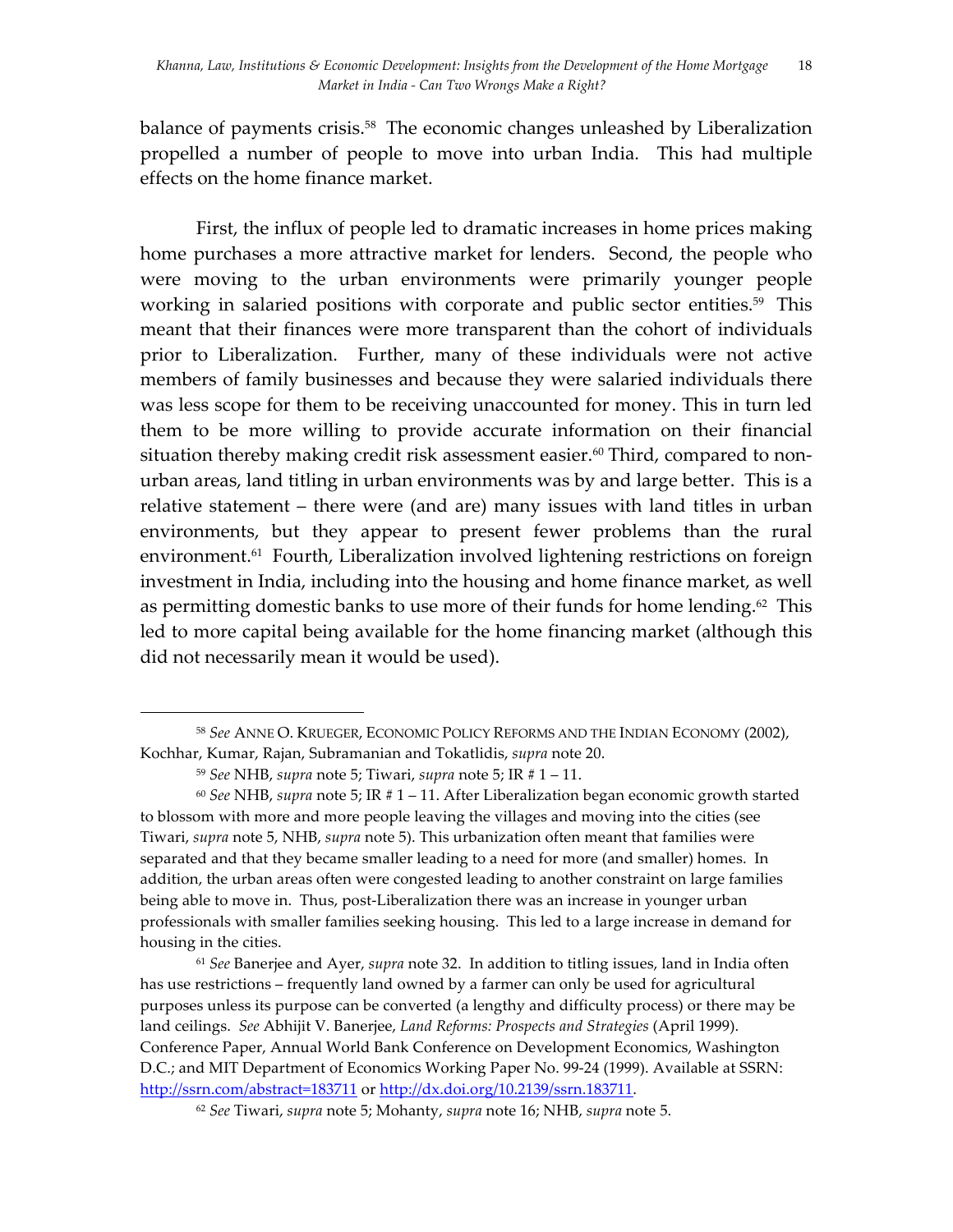balance of payments crisis.<sup>58</sup> The economic changes unleashed by Liberalization propelled a number of people to move into urban India. This had multiple effects on the home finance market.

First, the influx of people led to dramatic increases in home prices making home purchases a more attractive market for lenders. Second, the people who were moving to the urban environments were primarily younger people working in salaried positions with corporate and public sector entities.<sup>59</sup> This meant that their finances were more transparent than the cohort of individuals prior to Liberalization. Further, many of these individuals were not active members of family businesses and because they were salaried individuals there was less scope for them to be receiving unaccounted for money. This in turn led them to be more willing to provide accurate information on their financial situation thereby making credit risk assessment easier.<sup>60</sup> Third, compared to nonurban areas, land titling in urban environments was by and large better. This is a relative statement – there were (and are) many issues with land titles in urban environments, but they appear to present fewer problems than the rural environment.<sup>61</sup> Fourth, Liberalization involved lightening restrictions on foreign investment in India, including into the housing and home finance market, as well as permitting domestic banks to use more of their funds for home lending.<sup>62</sup> This led to more capital being available for the home financing market (although this did not necessarily mean it would be used).

 

<sup>60</sup> *See* NHB, *supra* note 5; IR # 1 – 11. After Liberalization began economic growth started to blossom with more and more people leaving the villages and moving into the cities (see Tiwari, *supra* note 5, NHB, *supra* note 5). This urbanization often meant that families were separated and that they became smaller leading to a need for more (and smaller) homes. In addition, the urban areas often were congested leading to another constraint on large families being able to move in. Thus, post-Liberalization there was an increase in younger urban professionals with smaller families seeking housing. This led to a large increase in demand for housing in the cities.

<sup>61</sup> *See* Banerjee and Ayer, *supra* note 32. In addition to titling issues, land in India often has use restrictions – frequently land owned by a farmer can only be used for agricultural purposes unless its purpose can be converted (a lengthy and difficulty process) or there may be land ceilings. *See* Abhijit V. Banerjee, *Land Reforms: Prospects and Strategies* (April 1999). Conference Paper, Annual World Bank Conference on Development Economics, Washington D.C.; and MIT Department of Economics Working Paper No. 99-24 (1999). Available at SSRN: http://ssrn.com/abstract=183711 or http://dx.doi.org/10.2139/ssrn.183711.

<sup>58</sup> *See* ANNE O. KRUEGER, ECONOMIC POLICY REFORMS AND THE INDIAN ECONOMY (2002), Kochhar, Kumar, Rajan, Subramanian and Tokatlidis, *supra* note 20.

<sup>59</sup> *See* NHB, *supra* note 5; Tiwari, *supra* note 5; IR # 1 – 11.

<sup>62</sup> *See* Tiwari, *supra* note 5; Mohanty, *supra* note 16; NHB, *supra* note 5.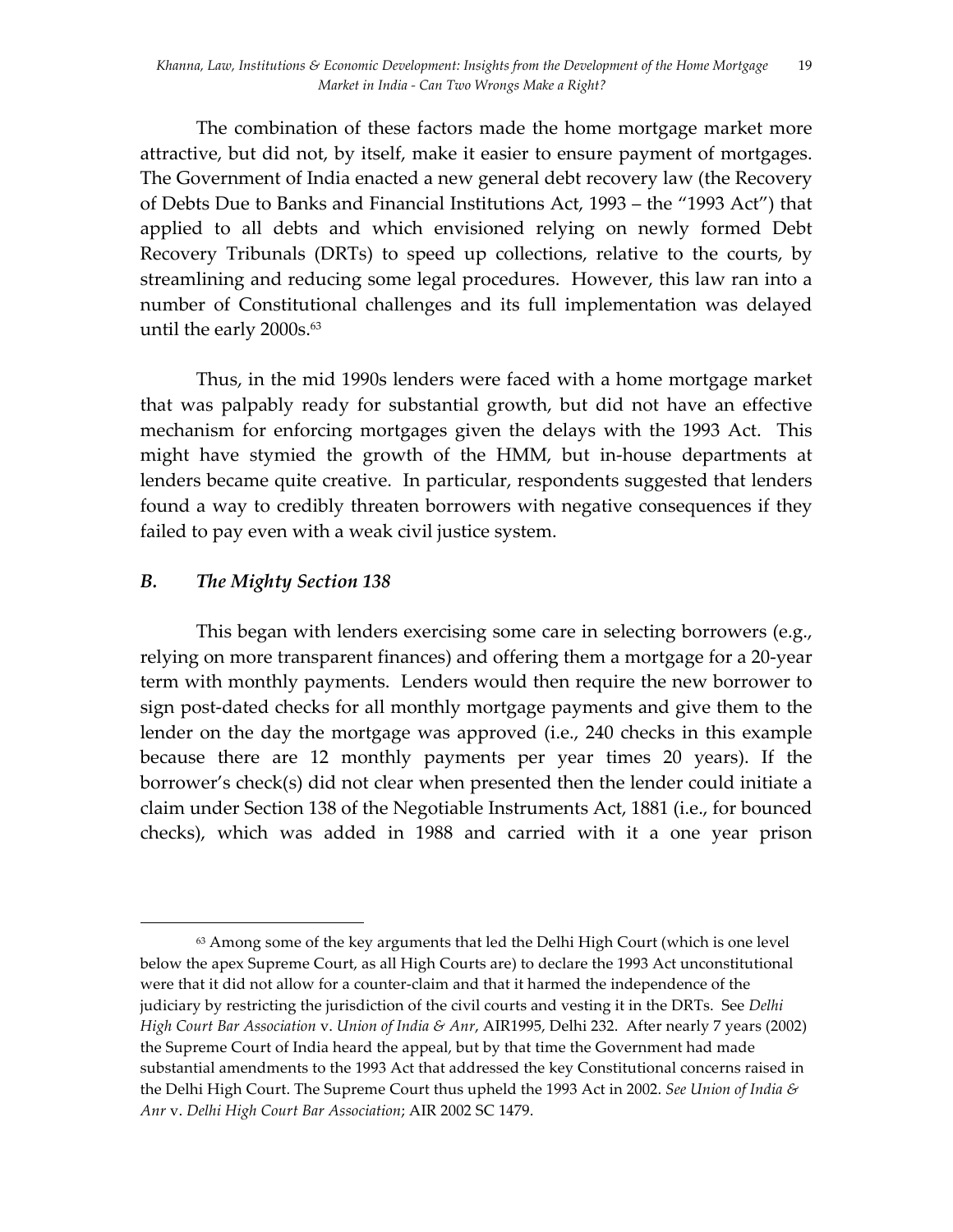The combination of these factors made the home mortgage market more attractive, but did not, by itself, make it easier to ensure payment of mortgages. The Government of India enacted a new general debt recovery law (the Recovery of Debts Due to Banks and Financial Institutions Act, 1993 – the "1993 Act") that applied to all debts and which envisioned relying on newly formed Debt Recovery Tribunals (DRTs) to speed up collections, relative to the courts, by streamlining and reducing some legal procedures. However, this law ran into a number of Constitutional challenges and its full implementation was delayed until the early  $2000s.^{63}$ 

Thus, in the mid 1990s lenders were faced with a home mortgage market that was palpably ready for substantial growth, but did not have an effective mechanism for enforcing mortgages given the delays with the 1993 Act. This might have stymied the growth of the HMM, but in-house departments at lenders became quite creative. In particular, respondents suggested that lenders found a way to credibly threaten borrowers with negative consequences if they failed to pay even with a weak civil justice system.

## *B. The Mighty Section 138*

 

This began with lenders exercising some care in selecting borrowers (e.g., relying on more transparent finances) and offering them a mortgage for a 20-year term with monthly payments. Lenders would then require the new borrower to sign post-dated checks for all monthly mortgage payments and give them to the lender on the day the mortgage was approved (i.e., 240 checks in this example because there are 12 monthly payments per year times 20 years). If the borrower's check(s) did not clear when presented then the lender could initiate a claim under Section 138 of the Negotiable Instruments Act, 1881 (i.e., for bounced checks), which was added in 1988 and carried with it a one year prison

<sup>63</sup> Among some of the key arguments that led the Delhi High Court (which is one level below the apex Supreme Court, as all High Courts are) to declare the 1993 Act unconstitutional were that it did not allow for a counter-claim and that it harmed the independence of the judiciary by restricting the jurisdiction of the civil courts and vesting it in the DRTs. See *Delhi High Court Bar Association* v. *Union of India & Anr*, AIR1995, Delhi 232. After nearly 7 years (2002) the Supreme Court of India heard the appeal, but by that time the Government had made substantial amendments to the 1993 Act that addressed the key Constitutional concerns raised in the Delhi High Court. The Supreme Court thus upheld the 1993 Act in 2002. *See Union of India & Anr* v. *Delhi High Court Bar Association*; AIR 2002 SC 1479.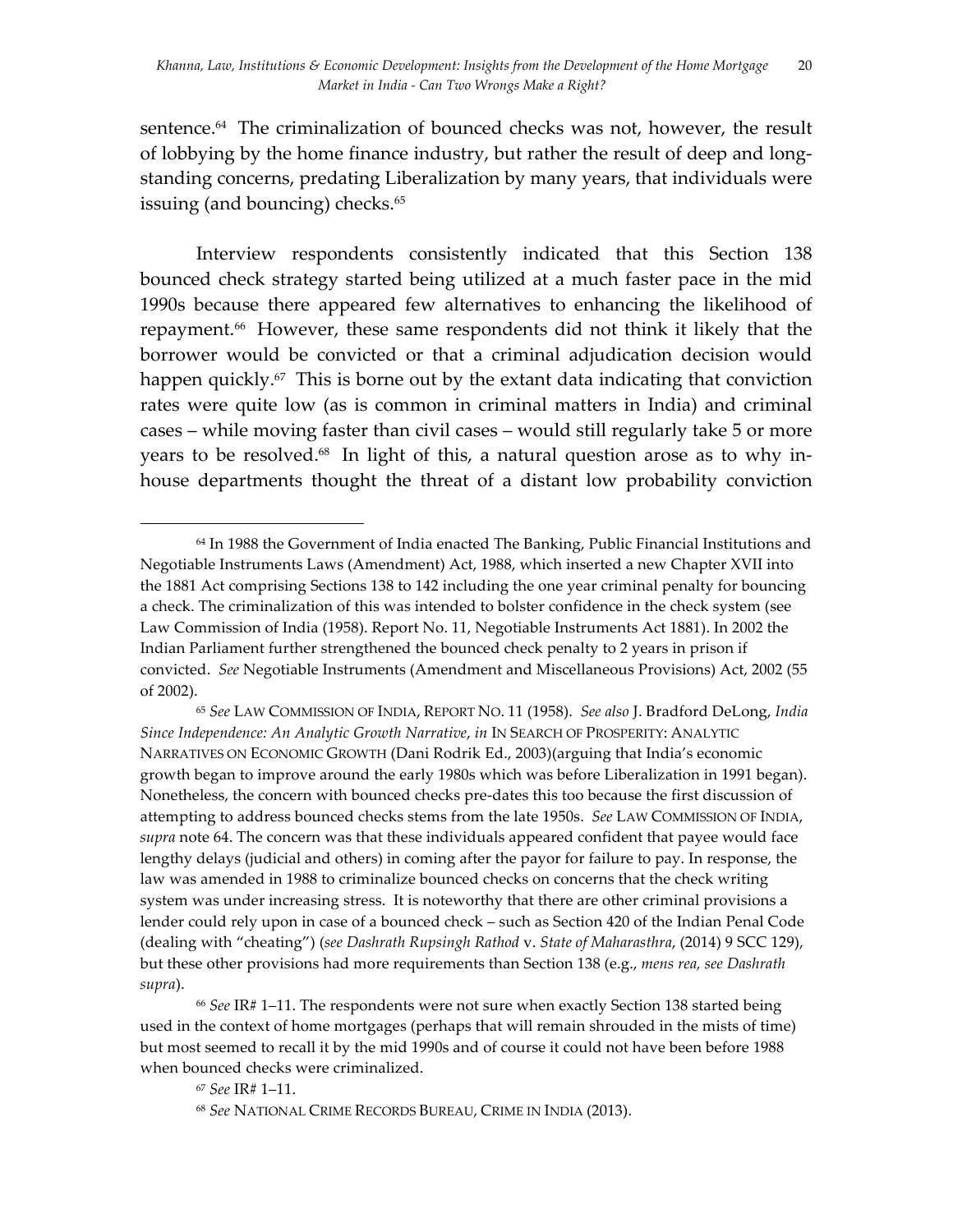sentence.<sup>64</sup> The criminalization of bounced checks was not, however, the result of lobbying by the home finance industry, but rather the result of deep and longstanding concerns, predating Liberalization by many years, that individuals were issuing (and bouncing) checks. 65

Interview respondents consistently indicated that this Section 138 bounced check strategy started being utilized at a much faster pace in the mid 1990s because there appeared few alternatives to enhancing the likelihood of repayment. 66 However, these same respondents did not think it likely that the borrower would be convicted or that a criminal adjudication decision would happen quickly.<sup> $57$ </sup> This is borne out by the extant data indicating that conviction rates were quite low (as is common in criminal matters in India) and criminal cases – while moving faster than civil cases – would still regularly take 5 or more years to be resolved. 68 In light of this, a natural question arose as to why inhouse departments thought the threat of a distant low probability conviction

<sup>64</sup> In 1988 the Government of India enacted The Banking, Public Financial Institutions and Negotiable Instruments Laws (Amendment) Act, 1988, which inserted a new Chapter XVII into the 1881 Act comprising Sections 138 to 142 including the one year criminal penalty for bouncing a check. The criminalization of this was intended to bolster confidence in the check system (see Law Commission of India (1958). Report No. 11, Negotiable Instruments Act 1881). In 2002 the Indian Parliament further strengthened the bounced check penalty to 2 years in prison if convicted. *See* Negotiable Instruments (Amendment and Miscellaneous Provisions) Act, 2002 (55 of 2002).

<sup>65</sup> *See* LAW COMMISSION OF INDIA, REPORT NO. 11 (1958). *See also* J. Bradford DeLong, *India Since Independence: An Analytic Growth Narrative*, *in* IN SEARCH OF PROSPERITY: ANALYTIC NARRATIVES ON ECONOMIC GROWTH (Dani Rodrik Ed., 2003)(arguing that India's economic growth began to improve around the early 1980s which was before Liberalization in 1991 began). Nonetheless, the concern with bounced checks pre-dates this too because the first discussion of attempting to address bounced checks stems from the late 1950s. *See* LAW COMMISSION OF INDIA, *supra* note 64. The concern was that these individuals appeared confident that payee would face lengthy delays (judicial and others) in coming after the payor for failure to pay. In response, the law was amended in 1988 to criminalize bounced checks on concerns that the check writing system was under increasing stress. It is noteworthy that there are other criminal provisions a lender could rely upon in case of a bounced check – such as Section 420 of the Indian Penal Code (dealing with "cheating") (*see Dashrath Rupsingh Rathod* v. *State of Maharasthra*, (2014) 9 SCC 129), but these other provisions had more requirements than Section 138 (e.g., *mens rea, see Dashrath supra*).

<sup>66</sup> *See* IR# 1–11. The respondents were not sure when exactly Section 138 started being used in the context of home mortgages (perhaps that will remain shrouded in the mists of time) but most seemed to recall it by the mid 1990s and of course it could not have been before 1988 when bounced checks were criminalized.

<sup>67</sup> *See* IR# 1–11.

<sup>68</sup> *See* NATIONAL CRIME RECORDS BUREAU, CRIME IN INDIA (2013).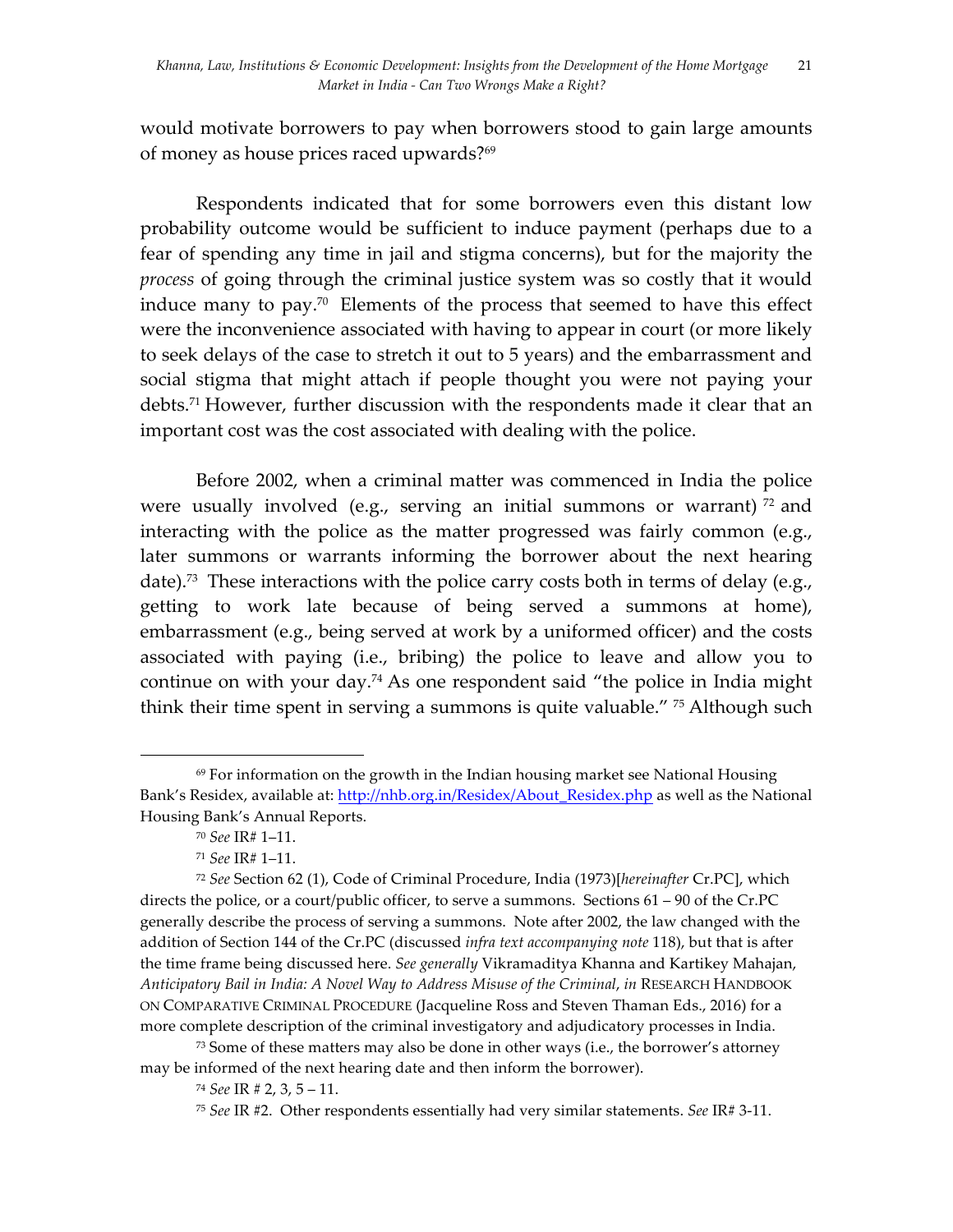would motivate borrowers to pay when borrowers stood to gain large amounts of money as house prices raced upwards?69

Respondents indicated that for some borrowers even this distant low probability outcome would be sufficient to induce payment (perhaps due to a fear of spending any time in jail and stigma concerns), but for the majority the *process* of going through the criminal justice system was so costly that it would induce many to pay.<sup>70</sup> Elements of the process that seemed to have this effect were the inconvenience associated with having to appear in court (or more likely to seek delays of the case to stretch it out to 5 years) and the embarrassment and social stigma that might attach if people thought you were not paying your debts. <sup>71</sup> However, further discussion with the respondents made it clear that an important cost was the cost associated with dealing with the police.

Before 2002, when a criminal matter was commenced in India the police were usually involved (e.g., serving an initial summons or warrant)  $\frac{72}{2}$  and interacting with the police as the matter progressed was fairly common (e.g., later summons or warrants informing the borrower about the next hearing date).<sup>73</sup> These interactions with the police carry costs both in terms of delay (e.g., getting to work late because of being served a summons at home), embarrassment (e.g., being served at work by a uniformed officer) and the costs associated with paying (i.e., bribing) the police to leave and allow you to continue on with your day.74 As one respondent said "the police in India might think their time spent in serving a summons is quite valuable." 75 Although such

 

<sup>73</sup> Some of these matters may also be done in other ways (i.e., the borrower's attorney may be informed of the next hearing date and then inform the borrower).

 $69$  For information on the growth in the Indian housing market see National Housing Bank's Residex, available at: http://nhb.org.in/Residex/About\_Residex.php as well as the National Housing Bank's Annual Reports.

<sup>70</sup> *See* IR# 1–11.

<sup>71</sup> *See* IR# 1–11.

<sup>72</sup> *See* Section 62 (1), Code of Criminal Procedure, India (1973)[*hereinafter* Cr.PC], which directs the police, or a court/public officer, to serve a summons.Sections 61 – 90 of the Cr.PC generally describe the process of serving a summons. Note after 2002, the law changed with the addition of Section 144 of the Cr.PC (discussed *infra text accompanying note* 118), but that is after the time frame being discussed here. *See generally* Vikramaditya Khanna and Kartikey Mahajan, *Anticipatory Bail in India: A Novel Way to Address Misuse of the Criminal*, *in* RESEARCH HANDBOOK ON COMPARATIVE CRIMINAL PROCEDURE (Jacqueline Ross and Steven Thaman Eds., 2016) for a more complete description of the criminal investigatory and adjudicatory processes in India.

<sup>74</sup> *See* IR # 2, 3, 5 – 11.

<sup>75</sup> *See* IR #2. Other respondents essentially had very similar statements. *See* IR# 3-11.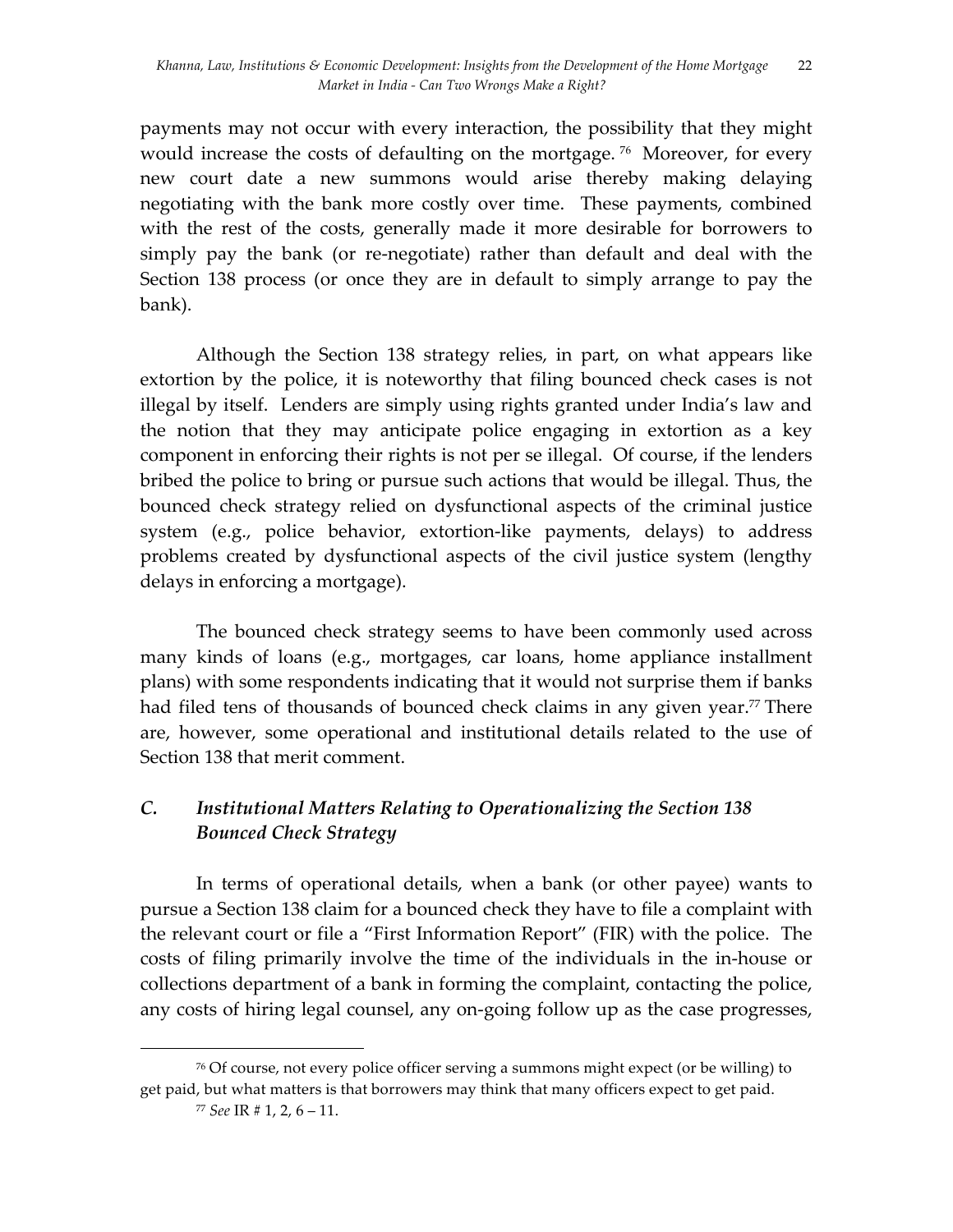payments may not occur with every interaction, the possibility that they might would increase the costs of defaulting on the mortgage.<sup>76</sup> Moreover, for every new court date a new summons would arise thereby making delaying negotiating with the bank more costly over time. These payments, combined with the rest of the costs, generally made it more desirable for borrowers to simply pay the bank (or re-negotiate) rather than default and deal with the Section 138 process (or once they are in default to simply arrange to pay the bank).

Although the Section 138 strategy relies, in part, on what appears like extortion by the police, it is noteworthy that filing bounced check cases is not illegal by itself. Lenders are simply using rights granted under India's law and the notion that they may anticipate police engaging in extortion as a key component in enforcing their rights is not per se illegal. Of course, if the lenders bribed the police to bring or pursue such actions that would be illegal. Thus, the bounced check strategy relied on dysfunctional aspects of the criminal justice system (e.g., police behavior, extortion-like payments, delays) to address problems created by dysfunctional aspects of the civil justice system (lengthy delays in enforcing a mortgage).

The bounced check strategy seems to have been commonly used across many kinds of loans (e.g., mortgages, car loans, home appliance installment plans) with some respondents indicating that it would not surprise them if banks had filed tens of thousands of bounced check claims in any given year.<sup>77</sup> There are, however, some operational and institutional details related to the use of Section 138 that merit comment.

# *C. Institutional Matters Relating to Operationalizing the Section 138 Bounced Check Strategy*

In terms of operational details, when a bank (or other payee) wants to pursue a Section 138 claim for a bounced check they have to file a complaint with the relevant court or file a "First Information Report" (FIR) with the police. The costs of filing primarily involve the time of the individuals in the in-house or collections department of a bank in forming the complaint, contacting the police, any costs of hiring legal counsel, any on-going follow up as the case progresses,

<sup>76</sup> Of course, not every police officer serving a summons might expect (or be willing) to get paid, but what matters is that borrowers may think that many officers expect to get paid.

<sup>77</sup> *See* IR # 1, 2, 6 – 11.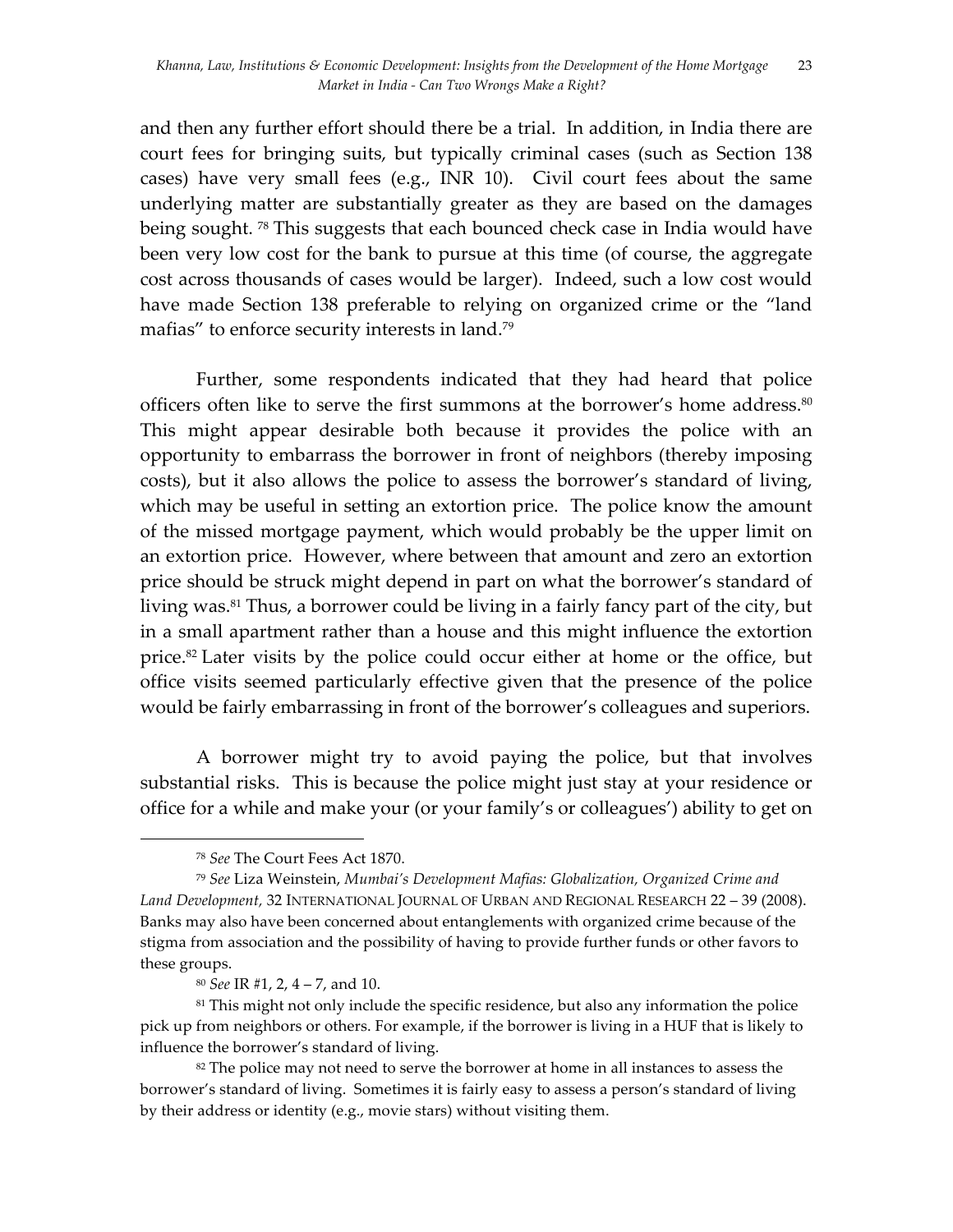and then any further effort should there be a trial. In addition, in India there are court fees for bringing suits, but typically criminal cases (such as Section 138 cases) have very small fees (e.g., INR 10). Civil court fees about the same underlying matter are substantially greater as they are based on the damages being sought. 78 This suggests that each bounced check case in India would have been very low cost for the bank to pursue at this time (of course, the aggregate cost across thousands of cases would be larger). Indeed, such a low cost would have made Section 138 preferable to relying on organized crime or the "land mafias" to enforce security interests in land.<sup>79</sup>

Further, some respondents indicated that they had heard that police officers often like to serve the first summons at the borrower's home address. $80$ This might appear desirable both because it provides the police with an opportunity to embarrass the borrower in front of neighbors (thereby imposing costs), but it also allows the police to assess the borrower's standard of living, which may be useful in setting an extortion price. The police know the amount of the missed mortgage payment, which would probably be the upper limit on an extortion price. However, where between that amount and zero an extortion price should be struck might depend in part on what the borrower's standard of living was.<sup>81</sup> Thus, a borrower could be living in a fairly fancy part of the city, but in a small apartment rather than a house and this might influence the extortion price.82 Later visits by the police could occur either at home or the office, but office visits seemed particularly effective given that the presence of the police would be fairly embarrassing in front of the borrower's colleagues and superiors.

A borrower might try to avoid paying the police, but that involves substantial risks. This is because the police might just stay at your residence or office for a while and make your (or your family's or colleagues') ability to get on

<sup>78</sup> *See* The Court Fees Act 1870.

<sup>79</sup> *See* Liza Weinstein, *Mumbai's Development Mafias: Globalization, Organized Crime and*  Land Development, 32 INTERNATIONAL JOURNAL OF URBAN AND REGIONAL RESEARCH 22 - 39 (2008). Banks may also have been concerned about entanglements with organized crime because of the stigma from association and the possibility of having to provide further funds or other favors to these groups.

<sup>80</sup> *See* IR #1, 2, 4 – 7, and 10.

<sup>&</sup>lt;sup>81</sup> This might not only include the specific residence, but also any information the police pick up from neighbors or others. For example, if the borrower is living in a HUF that is likely to influence the borrower's standard of living.

<sup>&</sup>lt;sup>82</sup> The police may not need to serve the borrower at home in all instances to assess the borrower's standard of living. Sometimes it is fairly easy to assess a person's standard of living by their address or identity (e.g., movie stars) without visiting them.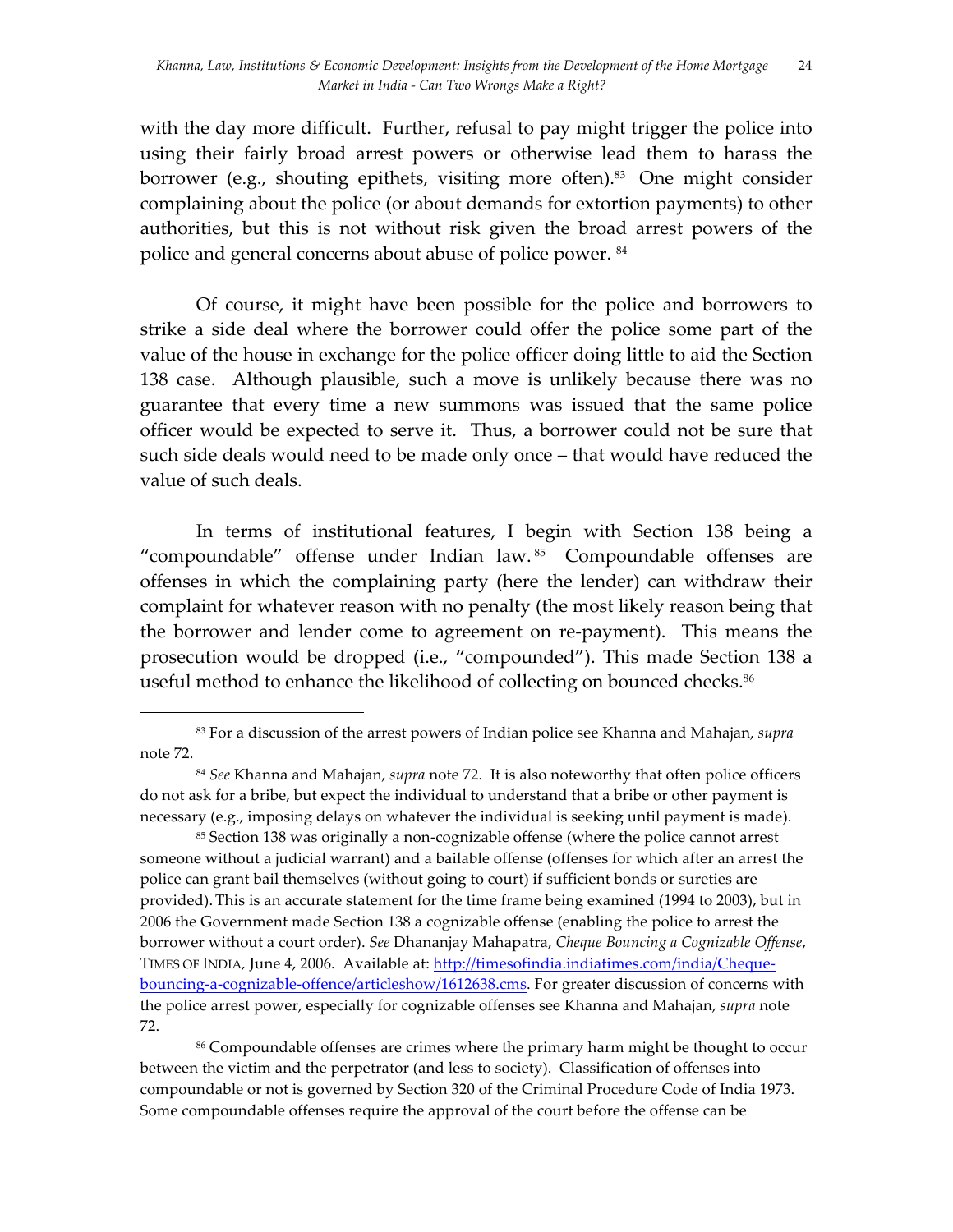with the day more difficult. Further, refusal to pay might trigger the police into using their fairly broad arrest powers or otherwise lead them to harass the borrower (e.g., shouting epithets, visiting more often). <sup>83</sup> One might consider complaining about the police (or about demands for extortion payments) to other authorities, but this is not without risk given the broad arrest powers of the police and general concerns about abuse of police power. 84

Of course, it might have been possible for the police and borrowers to strike a side deal where the borrower could offer the police some part of the value of the house in exchange for the police officer doing little to aid the Section 138 case. Although plausible, such a move is unlikely because there was no guarantee that every time a new summons was issued that the same police officer would be expected to serve it. Thus, a borrower could not be sure that such side deals would need to be made only once – that would have reduced the value of such deals.

In terms of institutional features, I begin with Section 138 being a "compoundable" offense under Indian law. 85 Compoundable offenses are offenses in which the complaining party (here the lender) can withdraw their complaint for whatever reason with no penalty (the most likely reason being that the borrower and lender come to agreement on re-payment). This means the prosecution would be dropped (i.e., "compounded"). This made Section 138 a useful method to enhance the likelihood of collecting on bounced checks.<sup>86</sup>

 

<sup>86</sup> Compoundable offenses are crimes where the primary harm might be thought to occur between the victim and the perpetrator (and less to society). Classification of offenses into compoundable or not is governed by Section 320 of the Criminal Procedure Code of India 1973. Some compoundable offenses require the approval of the court before the offense can be

<sup>83</sup> For a discussion of the arrest powers of Indian police see Khanna and Mahajan, *supra*  note 72.

<sup>84</sup> *See* Khanna and Mahajan, *supra* note 72. It is also noteworthy that often police officers do not ask for a bribe, but expect the individual to understand that a bribe or other payment is necessary (e.g., imposing delays on whatever the individual is seeking until payment is made).

<sup>85</sup> Section 138 was originally a non-cognizable offense (where the police cannot arrest someone without a judicial warrant) and a bailable offense (offenses for which after an arrest the police can grant bail themselves (without going to court) if sufficient bonds or sureties are provided). This is an accurate statement for the time frame being examined (1994 to 2003), but in 2006 the Government made Section 138 a cognizable offense (enabling the police to arrest the borrower without a court order). *See* Dhananjay Mahapatra, *Cheque Bouncing a Cognizable Offense*, TIMES OF INDIA*,* June 4, 2006. Available at: http://timesofindia.indiatimes.com/india/Chequebouncing-a-cognizable-offence/articleshow/1612638.cms. For greater discussion of concerns with the police arrest power, especially for cognizable offenses see Khanna and Mahajan, *supra* note 72.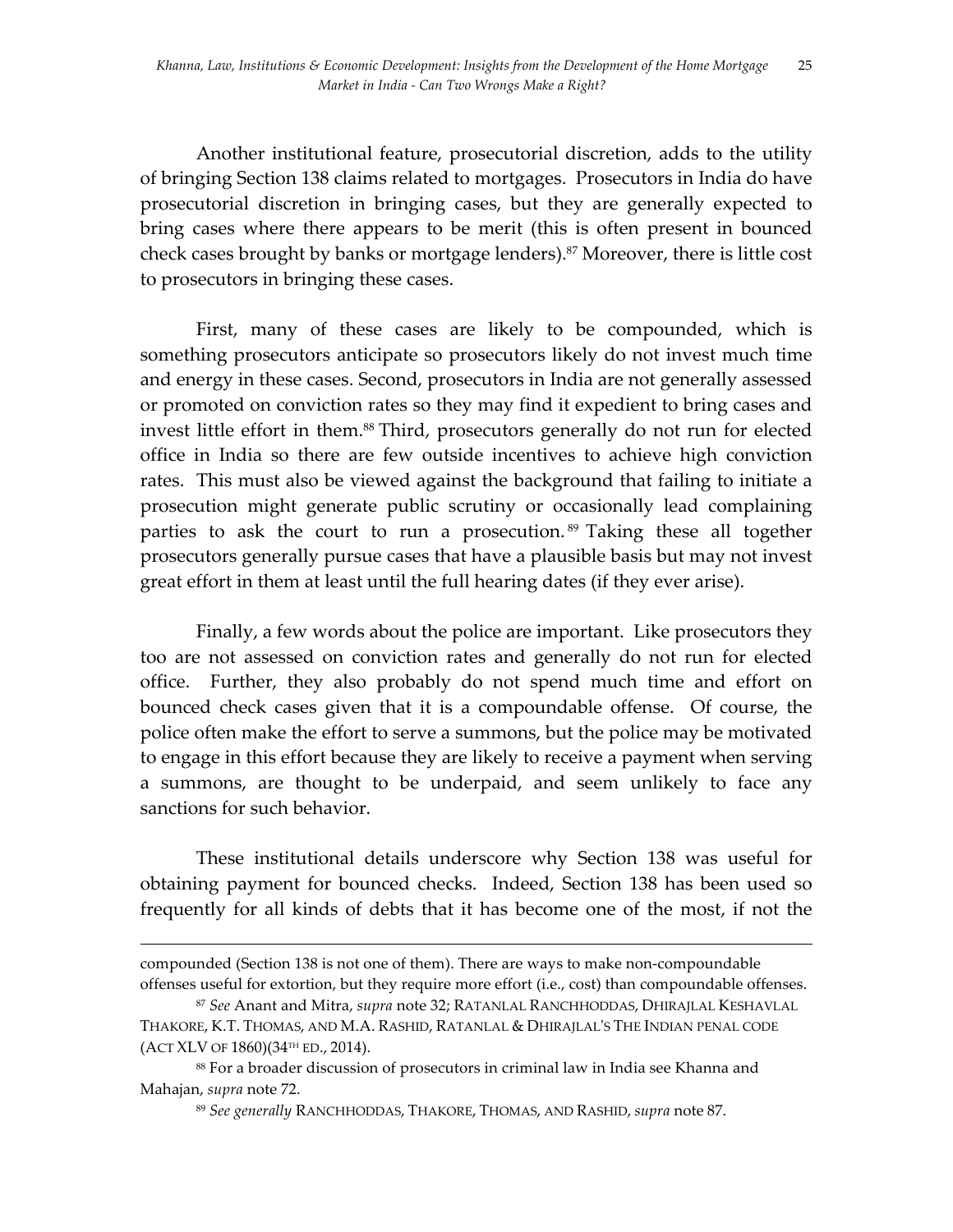Another institutional feature, prosecutorial discretion, adds to the utility of bringing Section 138 claims related to mortgages. Prosecutors in India do have prosecutorial discretion in bringing cases, but they are generally expected to bring cases where there appears to be merit (this is often present in bounced check cases brought by banks or mortgage lenders). <sup>87</sup> Moreover, there is little cost to prosecutors in bringing these cases.

First, many of these cases are likely to be compounded, which is something prosecutors anticipate so prosecutors likely do not invest much time and energy in these cases. Second, prosecutors in India are not generally assessed or promoted on conviction rates so they may find it expedient to bring cases and invest little effort in them.<sup>88</sup> Third, prosecutors generally do not run for elected office in India so there are few outside incentives to achieve high conviction rates. This must also be viewed against the background that failing to initiate a prosecution might generate public scrutiny or occasionally lead complaining parties to ask the court to run a prosecution. <sup>89</sup> Taking these all together prosecutors generally pursue cases that have a plausible basis but may not invest great effort in them at least until the full hearing dates (if they ever arise).

Finally, a few words about the police are important. Like prosecutors they too are not assessed on conviction rates and generally do not run for elected office. Further, they also probably do not spend much time and effort on bounced check cases given that it is a compoundable offense. Of course, the police often make the effort to serve a summons, but the police may be motivated to engage in this effort because they are likely to receive a payment when serving a summons, are thought to be underpaid, and seem unlikely to face any sanctions for such behavior.

These institutional details underscore why Section 138 was useful for obtaining payment for bounced checks. Indeed, Section 138 has been used so frequently for all kinds of debts that it has become one of the most, if not the

<u> 1989 - Andrea Santa Andrea Andrea Andrea Andrea Andrea Andrea Andrea Andrea Andrea Andrea Andrea Andrea Andr</u>

compounded (Section 138 is not one of them). There are ways to make non-compoundable offenses useful for extortion, but they require more effort (i.e., cost) than compoundable offenses.

<sup>87</sup> *See* Anant and Mitra, *supra* note 32; RATANLAL RANCHHODDAS, DHIRAJLAL KESHAVLAL THAKORE, K.T. THOMAS, AND M.A. RASHID, RATANLAL & DHIRAJLAL'S THE INDIAN PENAL CODE (ACT XLV OF 1860)(34TH ED., 2014).

<sup>88</sup> For a broader discussion of prosecutors in criminal law in India see Khanna and Mahajan, *supra* note 72.

<sup>89</sup> *See generally* RANCHHODDAS, THAKORE, THOMAS, AND RASHID, *supra* note 87.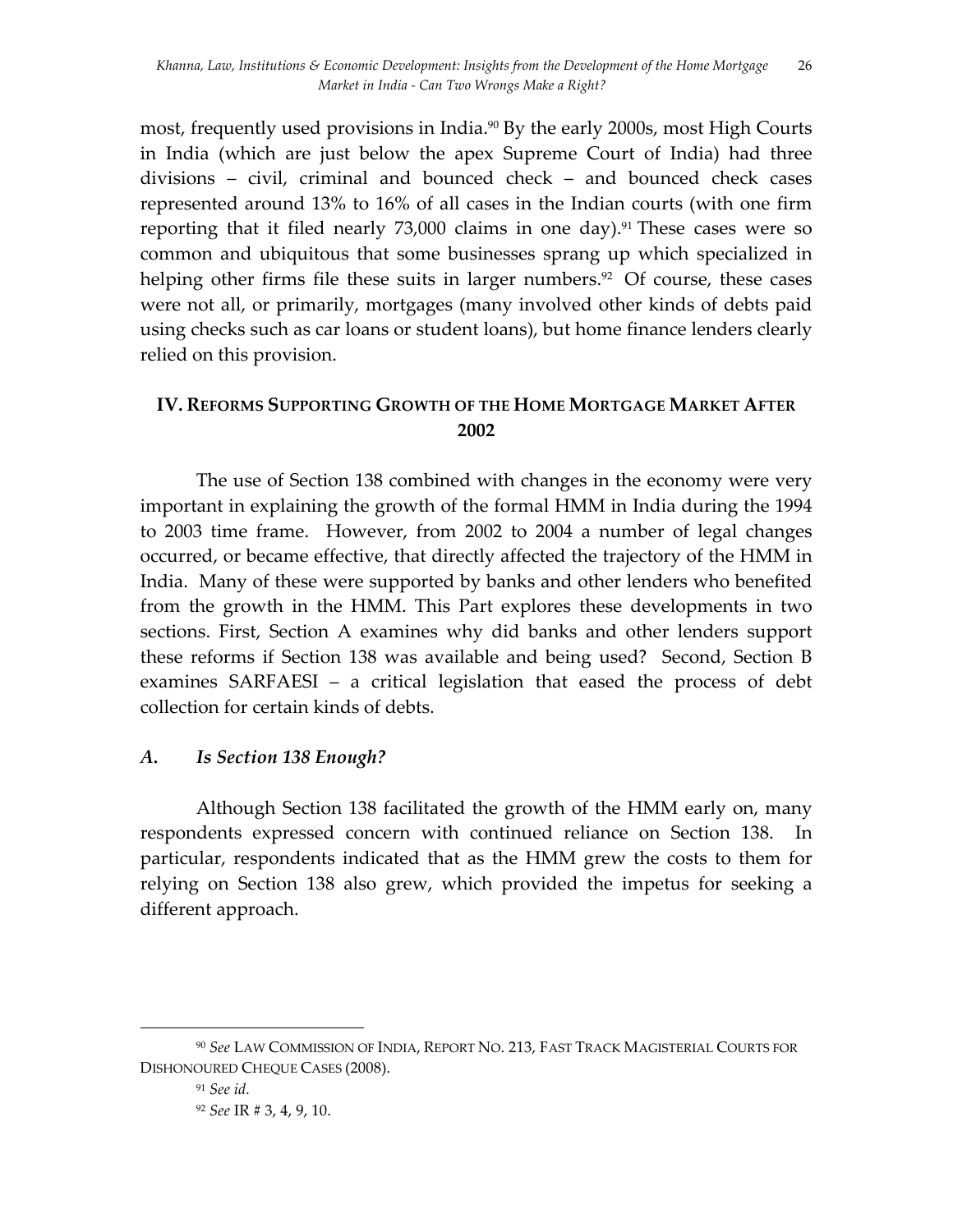most, frequently used provisions in India.<sup>90</sup> By the early 2000s, most High Courts in India (which are just below the apex Supreme Court of India) had three divisions – civil, criminal and bounced check – and bounced check cases represented around 13% to 16% of all cases in the Indian courts (with one firm reporting that it filed nearly 73,000 claims in one day). <sup>91</sup> These cases were so common and ubiquitous that some businesses sprang up which specialized in helping other firms file these suits in larger numbers.<sup>92</sup> Of course, these cases were not all, or primarily, mortgages (many involved other kinds of debts paid using checks such as car loans or student loans), but home finance lenders clearly relied on this provision.

# **IV. REFORMS SUPPORTING GROWTH OF THE HOME MORTGAGE MARKET AFTER 2002**

The use of Section 138 combined with changes in the economy were very important in explaining the growth of the formal HMM in India during the 1994 to 2003 time frame. However, from 2002 to 2004 a number of legal changes occurred, or became effective, that directly affected the trajectory of the HMM in India. Many of these were supported by banks and other lenders who benefited from the growth in the HMM. This Part explores these developments in two sections. First, Section A examines why did banks and other lenders support these reforms if Section 138 was available and being used? Second, Section B examines SARFAESI – a critical legislation that eased the process of debt collection for certain kinds of debts.

# *A. Is Section 138 Enough?*

Although Section 138 facilitated the growth of the HMM early on, many respondents expressed concern with continued reliance on Section 138. In particular, respondents indicated that as the HMM grew the costs to them for relying on Section 138 also grew, which provided the impetus for seeking a different approach.

<sup>90</sup> *See* LAW COMMISSION OF INDIA, REPORT NO. 213, FAST TRACK MAGISTERIAL COURTS FOR DISHONOURED CHEQUE CASES (2008).

<sup>91</sup> *See id.*

<sup>92</sup> *See* IR # 3, 4, 9, 10.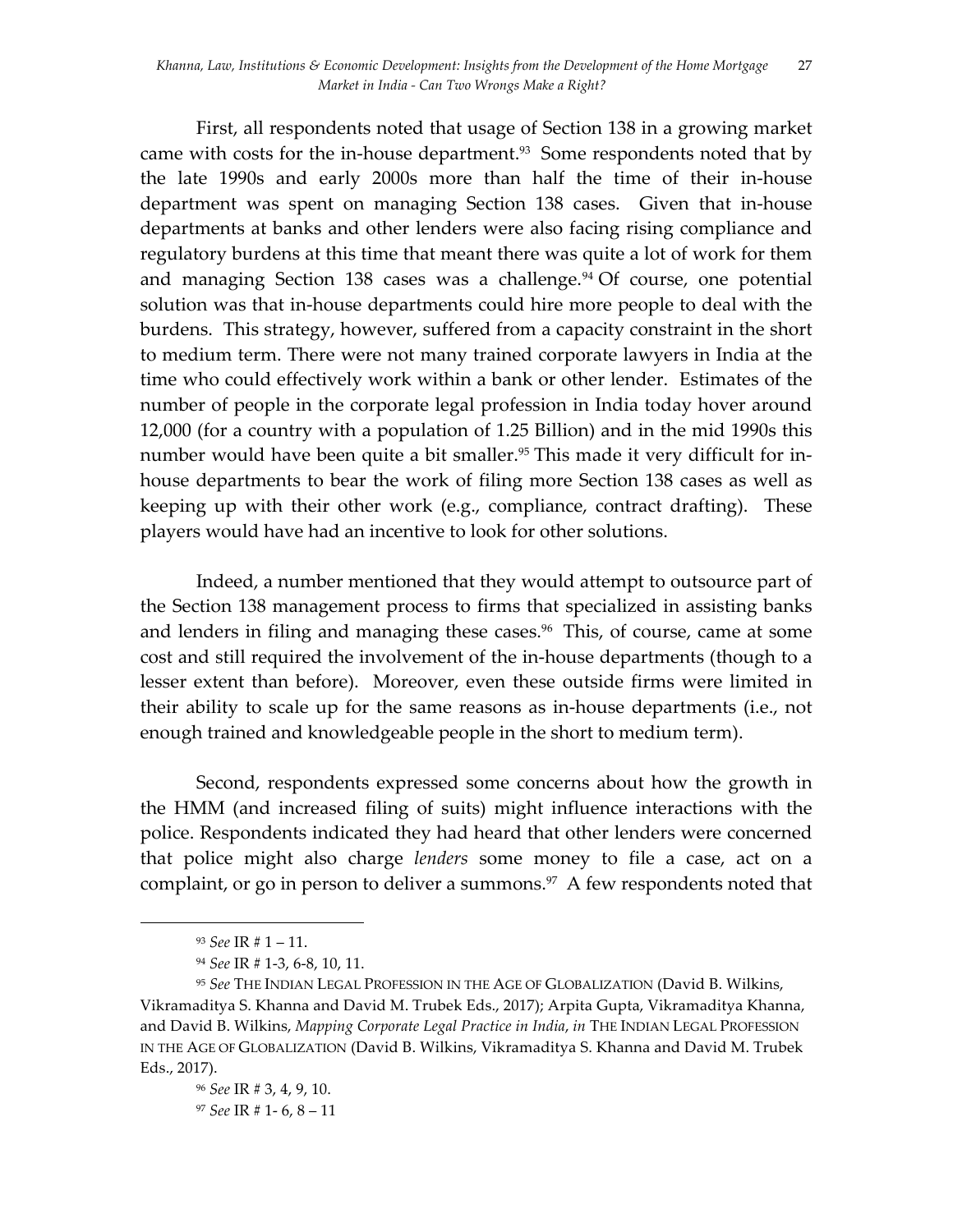First, all respondents noted that usage of Section 138 in a growing market came with costs for the in-house department.<sup>93</sup> Some respondents noted that by the late 1990s and early 2000s more than half the time of their in-house department was spent on managing Section 138 cases. Given that in-house departments at banks and other lenders were also facing rising compliance and regulatory burdens at this time that meant there was quite a lot of work for them and managing Section 138 cases was a challenge. <sup>94</sup> Of course, one potential solution was that in-house departments could hire more people to deal with the burdens. This strategy, however, suffered from a capacity constraint in the short to medium term. There were not many trained corporate lawyers in India at the time who could effectively work within a bank or other lender. Estimates of the number of people in the corporate legal profession in India today hover around 12,000 (for a country with a population of 1.25 Billion) and in the mid 1990s this number would have been quite a bit smaller.<sup>95</sup> This made it very difficult for inhouse departments to bear the work of filing more Section 138 cases as well as keeping up with their other work (e.g., compliance, contract drafting). These players would have had an incentive to look for other solutions.

Indeed, a number mentioned that they would attempt to outsource part of the Section 138 management process to firms that specialized in assisting banks and lenders in filing and managing these cases. $96$  This, of course, came at some cost and still required the involvement of the in-house departments (though to a lesser extent than before). Moreover, even these outside firms were limited in their ability to scale up for the same reasons as in-house departments (i.e., not enough trained and knowledgeable people in the short to medium term).

Second, respondents expressed some concerns about how the growth in the HMM (and increased filing of suits) might influence interactions with the police. Respondents indicated they had heard that other lenders were concerned that police might also charge *lenders* some money to file a case, act on a complaint, or go in person to deliver a summons.<sup>97</sup> A few respondents noted that

 <sup>93</sup> *See* IR # 1 – 11.

<sup>94</sup> *See* IR # 1-3, 6-8, 10, 11.

<sup>95</sup> *See* THE INDIAN LEGAL PROFESSION IN THE AGE OF GLOBALIZATION (David B. Wilkins, Vikramaditya S. Khanna and David M. Trubek Eds., 2017); Arpita Gupta, Vikramaditya Khanna, and David B. Wilkins, *Mapping Corporate Legal Practice in India*, *in* THE INDIAN LEGAL PROFESSION IN THE AGE OF GLOBALIZATION (David B. Wilkins, Vikramaditya S. Khanna and David M. Trubek Eds., 2017).

<sup>96</sup> *See* IR # 3, 4, 9, 10. <sup>97</sup> *See* IR # 1- 6, 8 – 11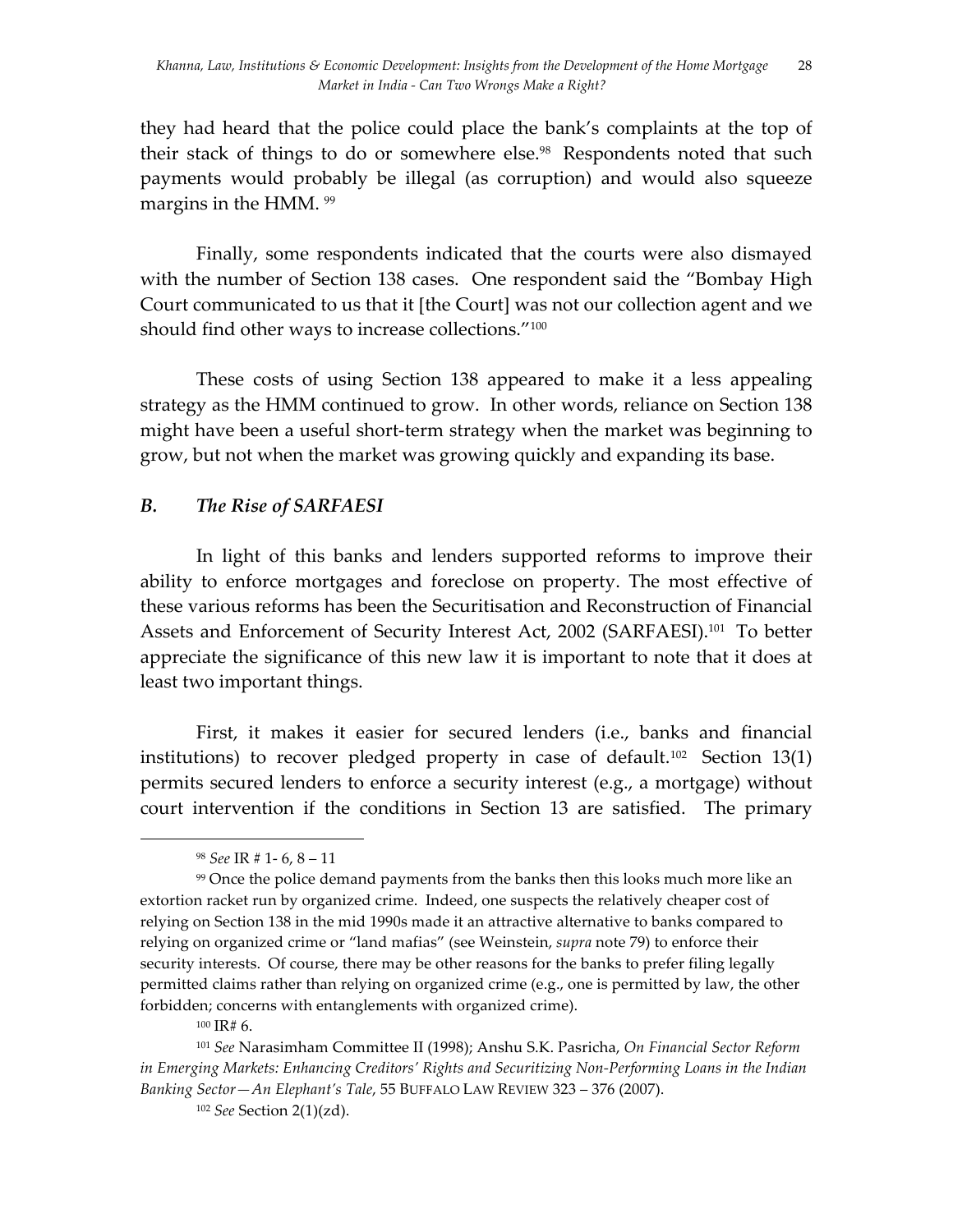they had heard that the police could place the bank's complaints at the top of their stack of things to do or somewhere else. 98 Respondents noted that such payments would probably be illegal (as corruption) and would also squeeze margins in the HMM. <sup>99</sup>

Finally, some respondents indicated that the courts were also dismayed with the number of Section 138 cases. One respondent said the "Bombay High Court communicated to us that it [the Court] was not our collection agent and we should find other ways to increase collections."<sup>100</sup>

These costs of using Section 138 appeared to make it a less appealing strategy as the HMM continued to grow. In other words, reliance on Section 138 might have been a useful short-term strategy when the market was beginning to grow, but not when the market was growing quickly and expanding its base.

## *B. The Rise of SARFAESI*

In light of this banks and lenders supported reforms to improve their ability to enforce mortgages and foreclose on property. The most effective of these various reforms has been the Securitisation and Reconstruction of Financial Assets and Enforcement of Security Interest Act, 2002 (SARFAESI).<sup>101</sup> To better appreciate the significance of this new law it is important to note that it does at least two important things.

First, it makes it easier for secured lenders (i.e., banks and financial institutions) to recover pledged property in case of default.<sup>102</sup> Section 13(1) permits secured lenders to enforce a security interest (e.g., a mortgage) without court intervention if the conditions in Section 13 are satisfied. The primary

<sup>98</sup> *See* IR # 1- 6, 8 – 11

<sup>99</sup> Once the police demand payments from the banks then this looks much more like an extortion racket run by organized crime. Indeed, one suspects the relatively cheaper cost of relying on Section 138 in the mid 1990s made it an attractive alternative to banks compared to relying on organized crime or "land mafias" (see Weinstein, *supra* note 79) to enforce their security interests. Of course, there may be other reasons for the banks to prefer filing legally permitted claims rather than relying on organized crime (e.g., one is permitted by law, the other forbidden; concerns with entanglements with organized crime).

<sup>100</sup> IR# 6.

<sup>101</sup> *See* Narasimham Committee II (1998); Anshu S.K. Pasricha, *On Financial Sector Reform in Emerging Markets: Enhancing Creditors' Rights and Securitizing Non-Performing Loans in the Indian Banking Sector—An Elephant's Tale*, 55 BUFFALO LAW REVIEW 323 – 376 (2007).

<sup>102</sup> *See* Section 2(1)(zd).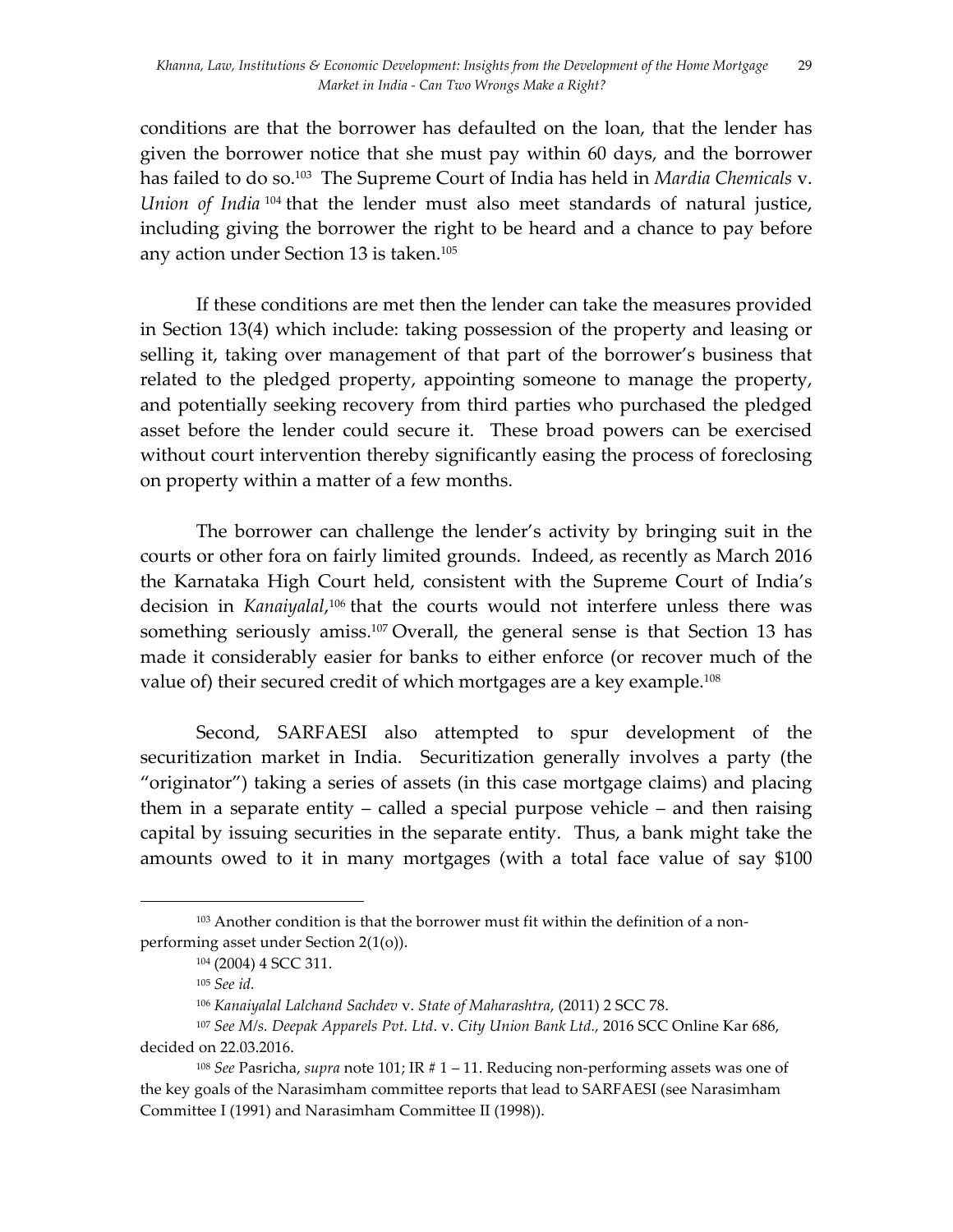conditions are that the borrower has defaulted on the loan, that the lender has given the borrower notice that she must pay within 60 days, and the borrower has failed to do so.103 The Supreme Court of India has held in *Mardia Chemicals* v. *Union of India* <sup>104</sup> that the lender must also meet standards of natural justice, including giving the borrower the right to be heard and a chance to pay before any action under Section 13 is taken.105

If these conditions are met then the lender can take the measures provided in Section 13(4) which include: taking possession of the property and leasing or selling it, taking over management of that part of the borrower's business that related to the pledged property, appointing someone to manage the property, and potentially seeking recovery from third parties who purchased the pledged asset before the lender could secure it. These broad powers can be exercised without court intervention thereby significantly easing the process of foreclosing on property within a matter of a few months.

The borrower can challenge the lender's activity by bringing suit in the courts or other fora on fairly limited grounds. Indeed, as recently as March 2016 the Karnataka High Court held, consistent with the Supreme Court of India's decision in *Kanaiyalal*, <sup>106</sup> that the courts would not interfere unless there was something seriously amiss.<sup>107</sup> Overall, the general sense is that Section 13 has made it considerably easier for banks to either enforce (or recover much of the value of) their secured credit of which mortgages are a key example. 108

Second, SARFAESI also attempted to spur development of the securitization market in India. Securitization generally involves a party (the "originator") taking a series of assets (in this case mortgage claims) and placing them in a separate entity – called a special purpose vehicle – and then raising capital by issuing securities in the separate entity. Thus, a bank might take the amounts owed to it in many mortgages (with a total face value of say \$100

<sup>103</sup> Another condition is that the borrower must fit within the definition of a nonperforming asset under Section 2(1(o)).

<sup>104</sup> (2004) 4 SCC 311.

<sup>105</sup> *See id.*

<sup>106</sup> *Kanaiyalal Lalchand Sachdev* v. *State of Maharashtra*, (2011) 2 SCC 78.

<sup>107</sup> *See M/s. Deepak Apparels Pvt. Ltd*. v. *City Union Bank Ltd.,* 2016 SCC Online Kar 686, decided on 22.03.2016.

<sup>108</sup> *See* Pasricha, *supra* note 101; IR # 1 – 11. Reducing non-performing assets was one of the key goals of the Narasimham committee reports that lead to SARFAESI (see Narasimham Committee I (1991) and Narasimham Committee II (1998)).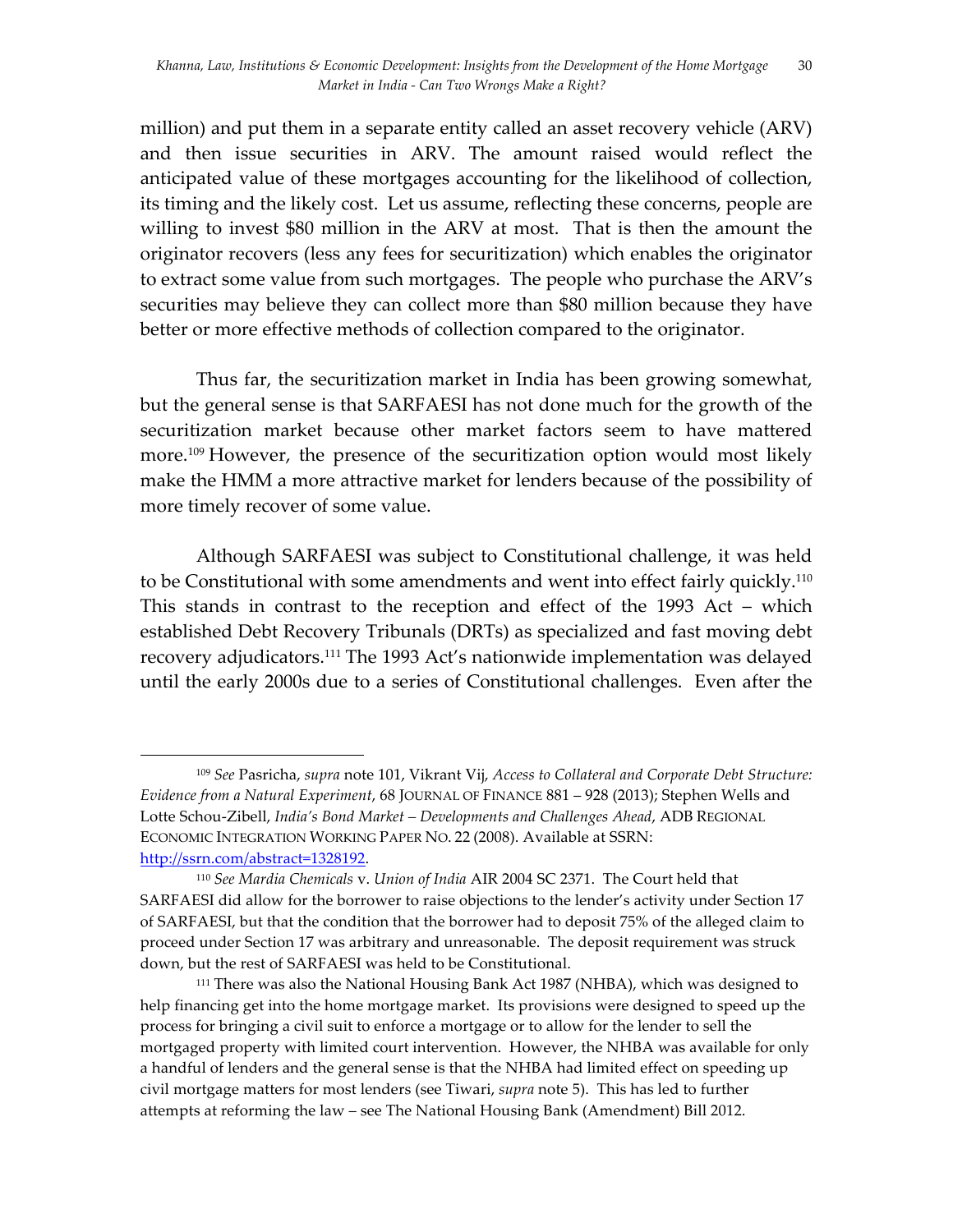million) and put them in a separate entity called an asset recovery vehicle (ARV) and then issue securities in ARV. The amount raised would reflect the anticipated value of these mortgages accounting for the likelihood of collection, its timing and the likely cost. Let us assume, reflecting these concerns, people are willing to invest \$80 million in the ARV at most. That is then the amount the originator recovers (less any fees for securitization) which enables the originator to extract some value from such mortgages. The people who purchase the ARV's securities may believe they can collect more than \$80 million because they have better or more effective methods of collection compared to the originator.

Thus far, the securitization market in India has been growing somewhat, but the general sense is that SARFAESI has not done much for the growth of the securitization market because other market factors seem to have mattered more. <sup>109</sup> However, the presence of the securitization option would most likely make the HMM a more attractive market for lenders because of the possibility of more timely recover of some value.

Although SARFAESI was subject to Constitutional challenge, it was held to be Constitutional with some amendments and went into effect fairly quickly.110 This stands in contrast to the reception and effect of the 1993 Act – which established Debt Recovery Tribunals (DRTs) as specialized and fast moving debt recovery adjudicators.111 The 1993 Act's nationwide implementation was delayed until the early 2000s due to a series of Constitutional challenges. Even after the

<sup>109</sup> *See* Pasricha, *supra* note 101, Vikrant Vij, *Access to Collateral and Corporate Debt Structure: Evidence from a Natural Experiment*, 68 JOURNAL OF FINANCE 881 – 928 (2013); Stephen Wells and Lotte Schou-Zibell, *India's Bond Market – Developments and Challenges Ahead*, ADB REGIONAL ECONOMIC INTEGRATION WORKING PAPER NO. 22 (2008). Available at SSRN: http://ssrn.com/abstract=1328192.

<sup>110</sup> *See Mardia Chemicals* v. *Union of India* AIR 2004 SC 2371. The Court held that SARFAESI did allow for the borrower to raise objections to the lender's activity under Section 17 of SARFAESI, but that the condition that the borrower had to deposit 75% of the alleged claim to proceed under Section 17 was arbitrary and unreasonable. The deposit requirement was struck down, but the rest of SARFAESI was held to be Constitutional.

<sup>111</sup> There was also the National Housing Bank Act 1987 (NHBA), which was designed to help financing get into the home mortgage market. Its provisions were designed to speed up the process for bringing a civil suit to enforce a mortgage or to allow for the lender to sell the mortgaged property with limited court intervention. However, the NHBA was available for only a handful of lenders and the general sense is that the NHBA had limited effect on speeding up civil mortgage matters for most lenders (see Tiwari, *supra* note 5). This has led to further attempts at reforming the law – see The National Housing Bank (Amendment) Bill 2012.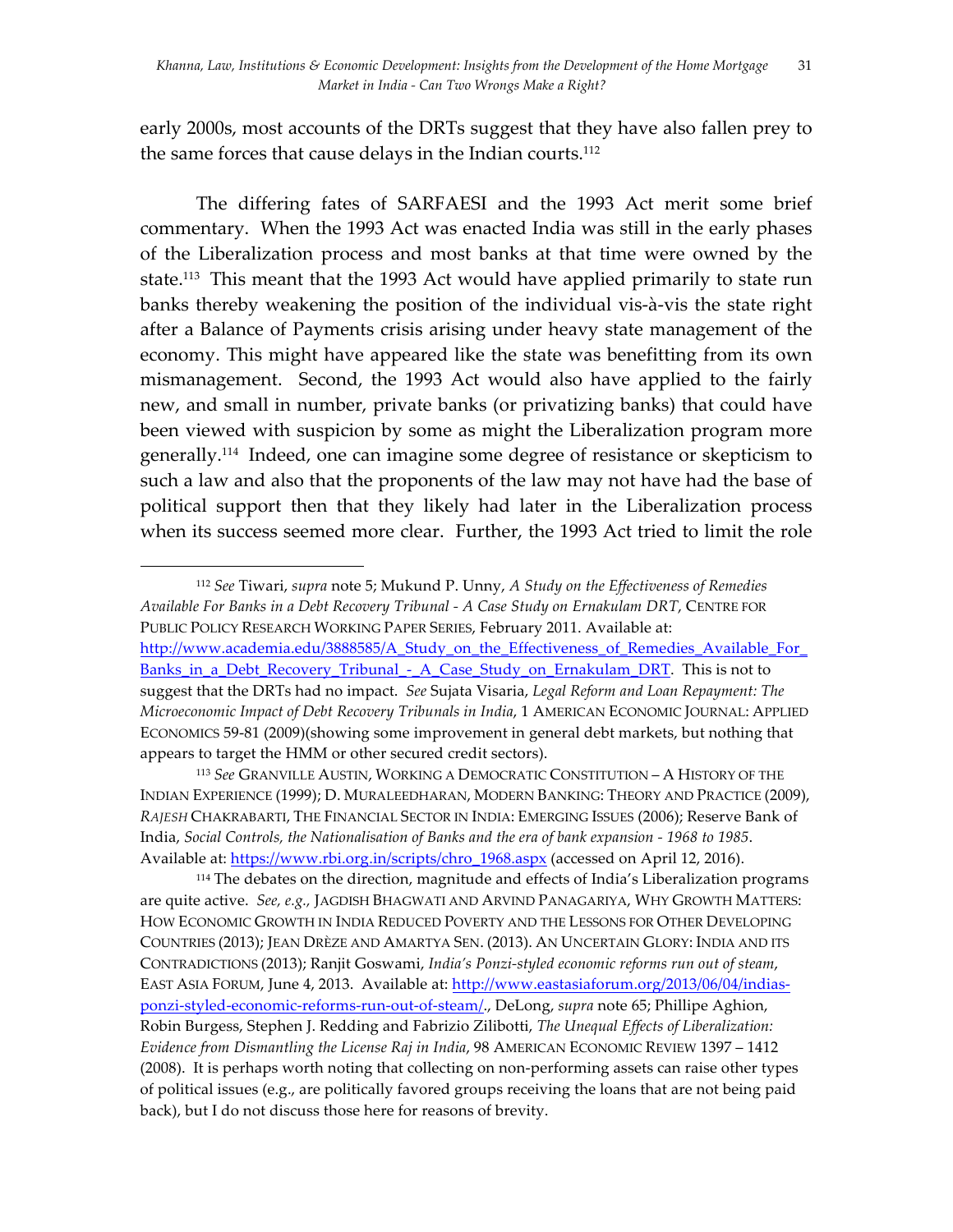early 2000s, most accounts of the DRTs suggest that they have also fallen prey to the same forces that cause delays in the Indian courts.112

The differing fates of SARFAESI and the 1993 Act merit some brief commentary. When the 1993 Act was enacted India was still in the early phases of the Liberalization process and most banks at that time were owned by the state. 113 This meant that the 1993 Act would have applied primarily to state run banks thereby weakening the position of the individual vis-à-vis the state right after a Balance of Payments crisis arising under heavy state management of the economy. This might have appeared like the state was benefitting from its own mismanagement. Second, the 1993 Act would also have applied to the fairly new, and small in number, private banks (or privatizing banks) that could have been viewed with suspicion by some as might the Liberalization program more generally.114 Indeed, one can imagine some degree of resistance or skepticism to such a law and also that the proponents of the law may not have had the base of political support then that they likely had later in the Liberalization process when its success seemed more clear. Further, the 1993 Act tried to limit the role

<sup>112</sup> *See* Tiwari, *supra* note 5; Mukund P. Unny, *A Study on the Effectiveness of Remedies Available For Banks in a Debt Recovery Tribunal - A Case Study on Ernakulam DRT*, CENTRE FOR PUBLIC POLICY RESEARCH WORKING PAPER SERIES, February 2011. Available at: http://www.academia.edu/3888585/A\_Study\_on\_the\_Effectiveness\_of\_Remedies\_Available\_For Banks in a Debt Recovery Tribunal - A Case Study on Ernakulam DRT. This is not to suggest that the DRTs had no impact. *See* Sujata Visaria, *Legal Reform and Loan Repayment: The Microeconomic Impact of Debt Recovery Tribunals in India*, 1 AMERICAN ECONOMIC JOURNAL: APPLIED ECONOMICS 59-81 (2009)(showing some improvement in general debt markets, but nothing that appears to target the HMM or other secured credit sectors).

<sup>113</sup> *See* GRANVILLE AUSTIN, WORKING A DEMOCRATIC CONSTITUTION – A HISTORY OF THE INDIAN EXPERIENCE (1999); D. MURALEEDHARAN, MODERN BANKING: THEORY AND PRACTICE (2009), *RAJESH* CHAKRABARTI, THE FINANCIAL SECTOR IN INDIA: EMERGING ISSUES (2006); Reserve Bank of India, *Social Controls, the Nationalisation of Banks and the era of bank expansion - 1968 to 1985*. Available at: https://www.rbi.org.in/scripts/chro\_1968.aspx (accessed on April 12, 2016).

<sup>114</sup> The debates on the direction, magnitude and effects of India's Liberalization programs are quite active. *See, e.g.,* JAGDISH BHAGWATI AND ARVIND PANAGARIYA, WHY GROWTH MATTERS: HOW ECONOMIC GROWTH IN INDIA REDUCED POVERTY AND THE LESSONS FOR OTHER DEVELOPING COUNTRIES (2013); JEAN DRÈZE AND AMARTYA SEN. (2013). AN UNCERTAIN GLORY: INDIA AND ITS CONTRADICTIONS (2013); Ranjit Goswami, *India's Ponzi-styled economic reforms run out of steam*, EAST ASIA FORUM, June 4, 2013. Available at: http://www.eastasiaforum.org/2013/06/04/indiasponzi-styled-economic-reforms-run-out-of-steam/., DeLong, *supra* note 65; Phillipe Aghion, Robin Burgess, Stephen J. Redding and Fabrizio Zilibotti, *The Unequal Effects of Liberalization: Evidence from Dismantling the License Raj in India*, 98 AMERICAN ECONOMIC REVIEW 1397 – 1412 (2008). It is perhaps worth noting that collecting on non-performing assets can raise other types of political issues (e.g., are politically favored groups receiving the loans that are not being paid back), but I do not discuss those here for reasons of brevity.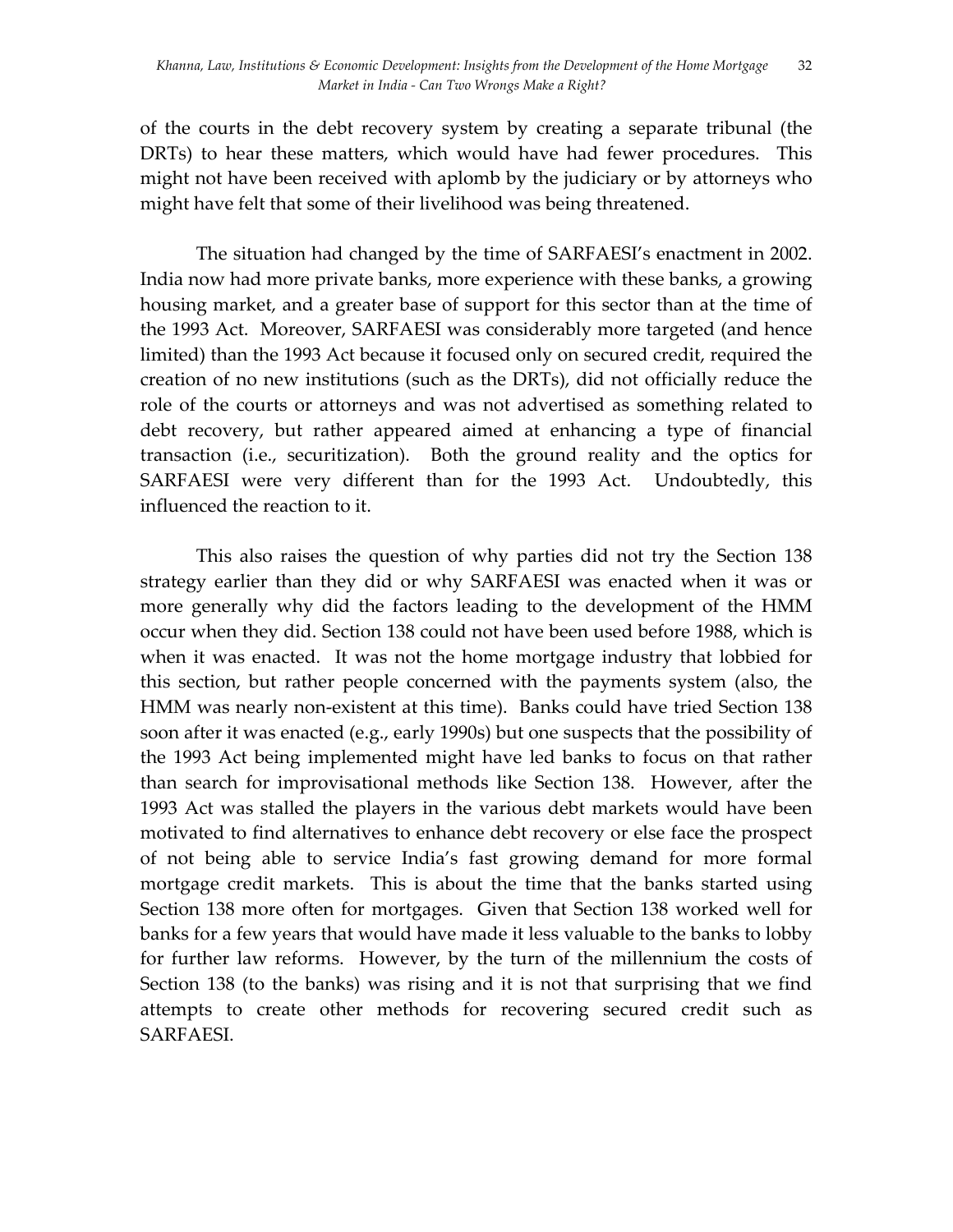of the courts in the debt recovery system by creating a separate tribunal (the DRTs) to hear these matters, which would have had fewer procedures. This might not have been received with aplomb by the judiciary or by attorneys who might have felt that some of their livelihood was being threatened.

The situation had changed by the time of SARFAESI's enactment in 2002. India now had more private banks, more experience with these banks, a growing housing market, and a greater base of support for this sector than at the time of the 1993 Act. Moreover, SARFAESI was considerably more targeted (and hence limited) than the 1993 Act because it focused only on secured credit, required the creation of no new institutions (such as the DRTs), did not officially reduce the role of the courts or attorneys and was not advertised as something related to debt recovery, but rather appeared aimed at enhancing a type of financial transaction (i.e., securitization). Both the ground reality and the optics for SARFAESI were very different than for the 1993 Act. Undoubtedly, this influenced the reaction to it.

This also raises the question of why parties did not try the Section 138 strategy earlier than they did or why SARFAESI was enacted when it was or more generally why did the factors leading to the development of the HMM occur when they did. Section 138 could not have been used before 1988, which is when it was enacted. It was not the home mortgage industry that lobbied for this section, but rather people concerned with the payments system (also, the HMM was nearly non-existent at this time). Banks could have tried Section 138 soon after it was enacted (e.g., early 1990s) but one suspects that the possibility of the 1993 Act being implemented might have led banks to focus on that rather than search for improvisational methods like Section 138. However, after the 1993 Act was stalled the players in the various debt markets would have been motivated to find alternatives to enhance debt recovery or else face the prospect of not being able to service India's fast growing demand for more formal mortgage credit markets. This is about the time that the banks started using Section 138 more often for mortgages. Given that Section 138 worked well for banks for a few years that would have made it less valuable to the banks to lobby for further law reforms. However, by the turn of the millennium the costs of Section 138 (to the banks) was rising and it is not that surprising that we find attempts to create other methods for recovering secured credit such as SARFAESI.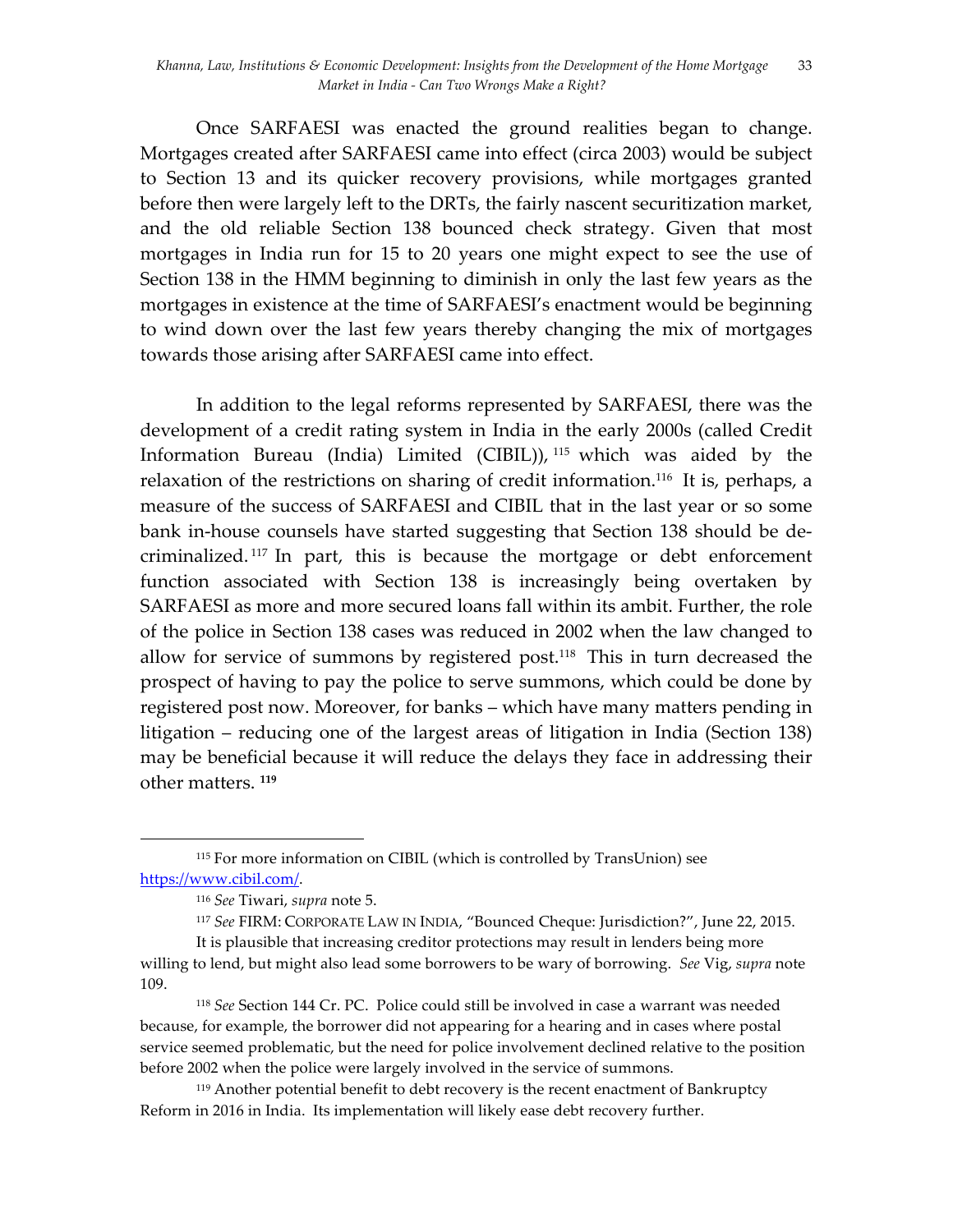Once SARFAESI was enacted the ground realities began to change. Mortgages created after SARFAESI came into effect (circa 2003) would be subject to Section 13 and its quicker recovery provisions, while mortgages granted before then were largely left to the DRTs, the fairly nascent securitization market, and the old reliable Section 138 bounced check strategy. Given that most mortgages in India run for 15 to 20 years one might expect to see the use of Section 138 in the HMM beginning to diminish in only the last few years as the mortgages in existence at the time of SARFAESI's enactment would be beginning to wind down over the last few years thereby changing the mix of mortgages towards those arising after SARFAESI came into effect.

In addition to the legal reforms represented by SARFAESI, there was the development of a credit rating system in India in the early 2000s (called Credit Information Bureau (India) Limited (CIBIL)), <sup>115</sup> which was aided by the relaxation of the restrictions on sharing of credit information. 116 It is, perhaps, a measure of the success of SARFAESI and CIBIL that in the last year or so some bank in-house counsels have started suggesting that Section 138 should be decriminalized. <sup>117</sup> In part, this is because the mortgage or debt enforcement function associated with Section 138 is increasingly being overtaken by SARFAESI as more and more secured loans fall within its ambit. Further, the role of the police in Section 138 cases was reduced in 2002 when the law changed to allow for service of summons by registered post. <sup>118</sup> This in turn decreased the prospect of having to pay the police to serve summons, which could be done by registered post now. Moreover, for banks – which have many matters pending in litigation – reducing one of the largest areas of litigation in India (Section 138) may be beneficial because it will reduce the delays they face in addressing their other matters. **<sup>119</sup>**

<sup>115</sup> For more information on CIBIL (which is controlled by TransUnion) see https://www.cibil.com/.

<sup>116</sup> *See* Tiwari, *supra* note 5.

<sup>117</sup> *See* FIRM: CORPORATE LAW IN INDIA, "Bounced Cheque: Jurisdiction?", June 22, 2015.

It is plausible that increasing creditor protections may result in lenders being more willing to lend, but might also lead some borrowers to be wary of borrowing. *See* Vig, *supra* note 109.

<sup>118</sup> *See* Section 144 Cr. PC. Police could still be involved in case a warrant was needed because, for example, the borrower did not appearing for a hearing and in cases where postal service seemed problematic, but the need for police involvement declined relative to the position before 2002 when the police were largely involved in the service of summons.

<sup>119</sup> Another potential benefit to debt recovery is the recent enactment of Bankruptcy Reform in 2016 in India. Its implementation will likely ease debt recovery further.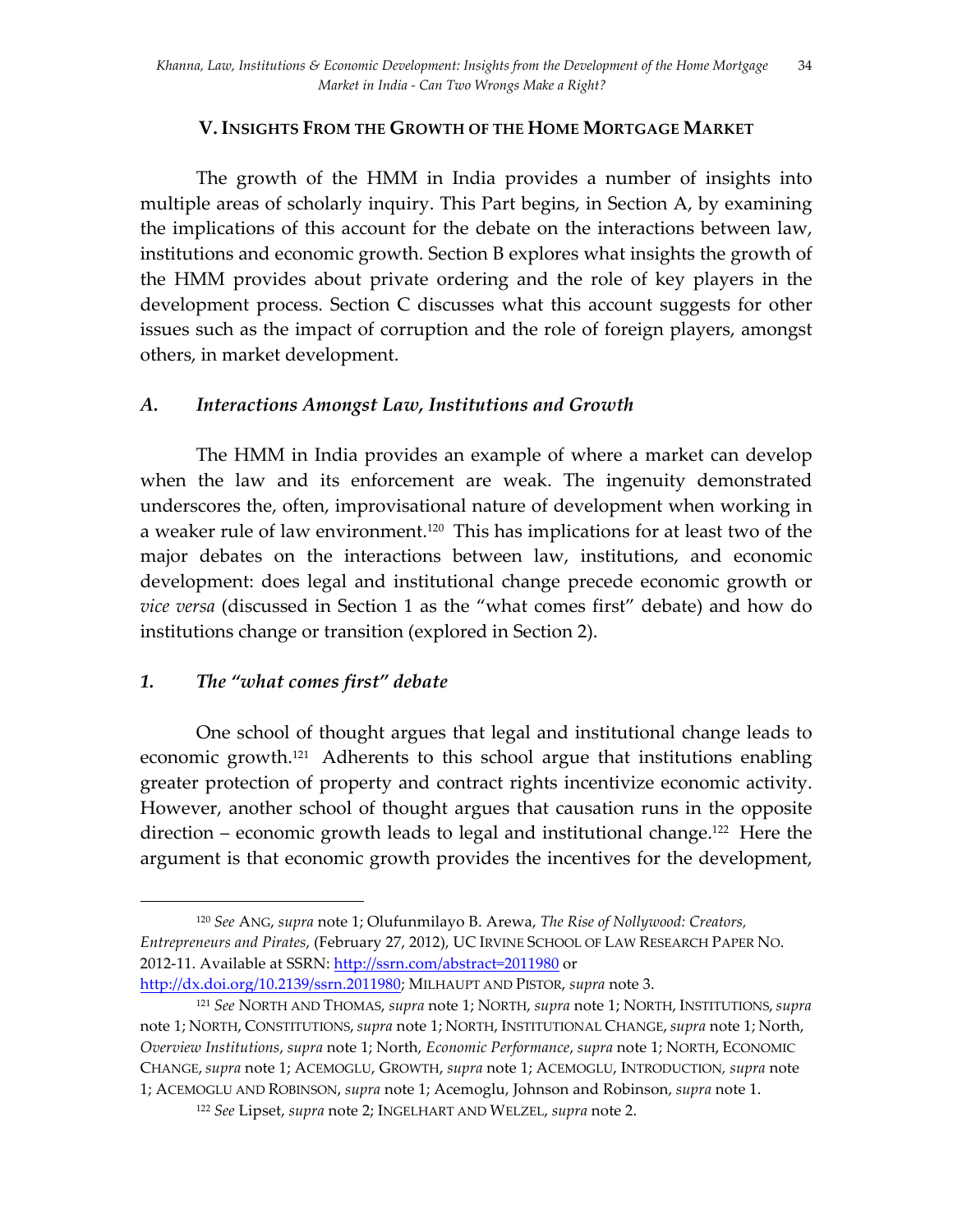## **V. INSIGHTS FROM THE GROWTH OF THE HOME MORTGAGE MARKET**

The growth of the HMM in India provides a number of insights into multiple areas of scholarly inquiry. This Part begins, in Section A, by examining the implications of this account for the debate on the interactions between law, institutions and economic growth. Section B explores what insights the growth of the HMM provides about private ordering and the role of key players in the development process. Section C discusses what this account suggests for other issues such as the impact of corruption and the role of foreign players, amongst others, in market development.

## *A. Interactions Amongst Law, Institutions and Growth*

The HMM in India provides an example of where a market can develop when the law and its enforcement are weak. The ingenuity demonstrated underscores the, often, improvisational nature of development when working in a weaker rule of law environment.120 This has implications for at least two of the major debates on the interactions between law, institutions, and economic development: does legal and institutional change precede economic growth or *vice versa* (discussed in Section 1 as the "what comes first" debate) and how do institutions change or transition (explored in Section 2).

# *1. The "what comes first" debate*

 

One school of thought argues that legal and institutional change leads to economic growth. 121 Adherents to this school argue that institutions enabling greater protection of property and contract rights incentivize economic activity. However, another school of thought argues that causation runs in the opposite direction – economic growth leads to legal and institutional change.<sup>122</sup> Here the argument is that economic growth provides the incentives for the development,

<sup>120</sup> *See* ANG, *supra* note 1; Olufunmilayo B. Arewa, *The Rise of Nollywood: Creators, Entrepreneurs and Pirates*, (February 27, 2012), UC IRVINE SCHOOL OF LAW RESEARCH PAPER NO. 2012-11. Available at SSRN: http://ssrn.com/abstract=2011980 or

http://dx.doi.org/10.2139/ssrn.2011980; MILHAUPT AND PISTOR, *supra* note 3.

<sup>121</sup> *See* NORTH AND THOMAS, *supra* note 1; NORTH, *supra* note 1; NORTH, INSTITUTIONS, *supra* note 1; NORTH, CONSTITUTIONS, *supra* note 1; NORTH, INSTITUTIONAL CHANGE, *supra* note 1; North, *Overview Institutions*, *supra* note 1; North, *Economic Performance*, *supra* note 1; NORTH, ECONOMIC CHANGE, *supra* note 1; ACEMOGLU, GROWTH, *supra* note 1; ACEMOGLU, INTRODUCTION*, supra* note 1; ACEMOGLU AND ROBINSON, *supra* note 1; Acemoglu, Johnson and Robinson, *supra* note 1.

<sup>122</sup> *See* Lipset, *supra* note 2; INGELHART AND WELZEL, *supra* note 2.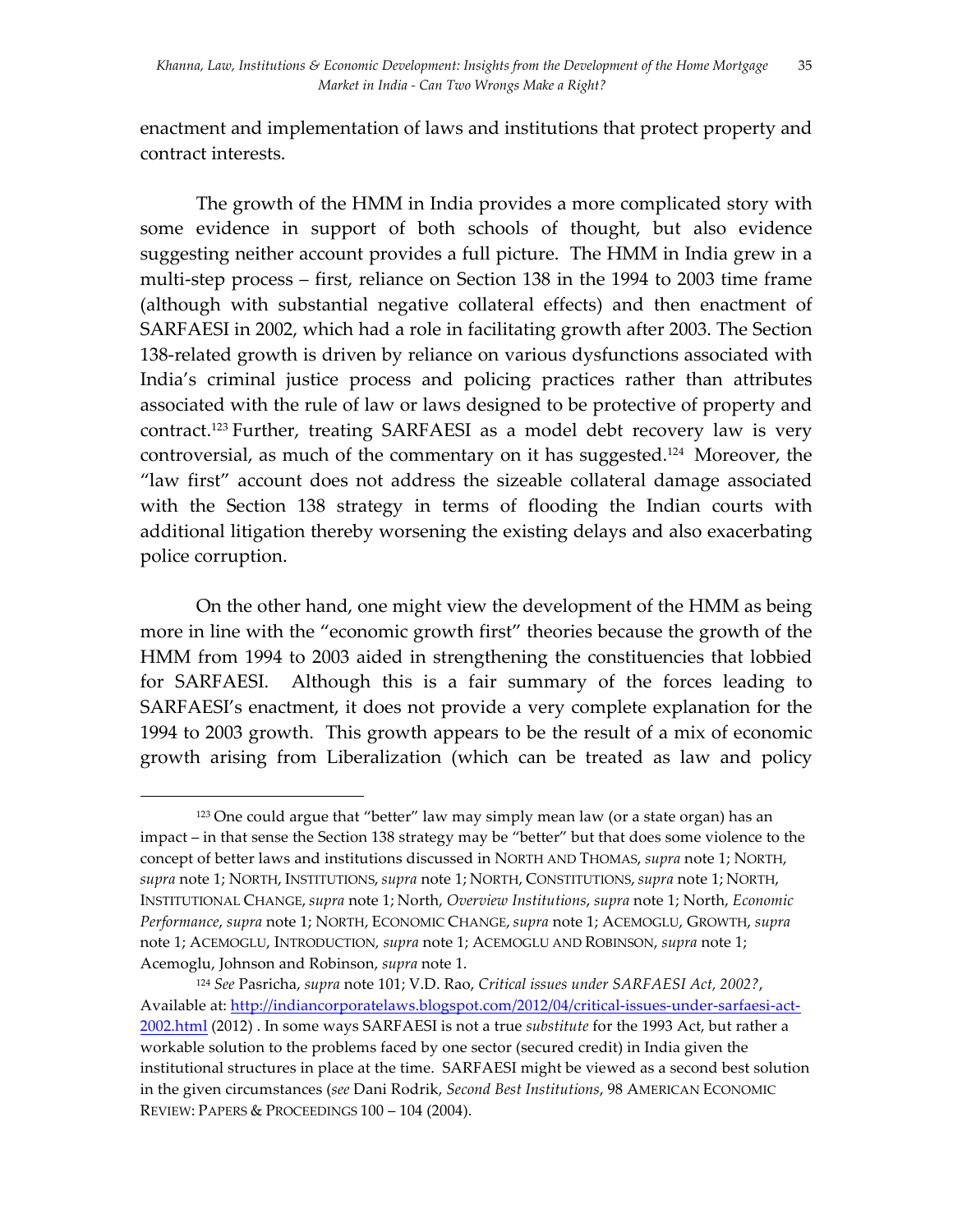enactment and implementation of laws and institutions that protect property and contract interests.

The growth of the HMM in India provides a more complicated story with some evidence in support of both schools of thought, but also evidence suggesting neither account provides a full picture. The HMM in India grew in a multi-step process – first, reliance on Section 138 in the 1994 to 2003 time frame (although with substantial negative collateral effects) and then enactment of SARFAESI in 2002, which had a role in facilitating growth after 2003. The Section 138-related growth is driven by reliance on various dysfunctions associated with India's criminal justice process and policing practices rather than attributes associated with the rule of law or laws designed to be protective of property and contract. <sup>123</sup> Further, treating SARFAESI as a model debt recovery law is very controversial, as much of the commentary on it has suggested.124 Moreover, the "law first" account does not address the sizeable collateral damage associated with the Section 138 strategy in terms of flooding the Indian courts with additional litigation thereby worsening the existing delays and also exacerbating police corruption.

On the other hand, one might view the development of the HMM as being more in line with the "economic growth first" theories because the growth of the HMM from 1994 to 2003 aided in strengthening the constituencies that lobbied for SARFAESI. Although this is a fair summary of the forces leading to SARFAESI's enactment, it does not provide a very complete explanation for the 1994 to 2003 growth. This growth appears to be the result of a mix of economic growth arising from Liberalization (which can be treated as law and policy

<sup>123</sup> One could argue that "better" law may simply mean law (or a state organ) has an impact – in that sense the Section 138 strategy may be "better" but that does some violence to the concept of better laws and institutions discussed in NORTH AND THOMAS, *supra* note 1; NORTH, *supra* note 1; NORTH, INSTITUTIONS, *supra* note 1; NORTH, CONSTITUTIONS, *supra* note 1; NORTH, INSTITUTIONAL CHANGE, *supra* note 1; North, *Overview Institutions*, *supra* note 1; North, *Economic Performance*, *supra* note 1; NORTH, ECONOMIC CHANGE, *supra* note 1; ACEMOGLU, GROWTH, *supra* note 1; ACEMOGLU, INTRODUCTION*, supra* note 1; ACEMOGLU AND ROBINSON, *supra* note 1; Acemoglu, Johnson and Robinson, *supra* note 1.

<sup>124</sup> *See* Pasricha, *supra* note 101; V.D. Rao, *Critical issues under SARFAESI Act, 2002?*, Available at: http://indiancorporatelaws.blogspot.com/2012/04/critical-issues-under-sarfaesi-act-2002.html (2012) . In some ways SARFAESI is not a true *substitute* for the 1993 Act, but rather a workable solution to the problems faced by one sector (secured credit) in India given the institutional structures in place at the time. SARFAESI might be viewed as a second best solution in the given circumstances (*see* Dani Rodrik, *Second Best Institutions*, 98 AMERICAN ECONOMIC REVIEW: PAPERS & PROCEEDINGS 100 – 104 (2004).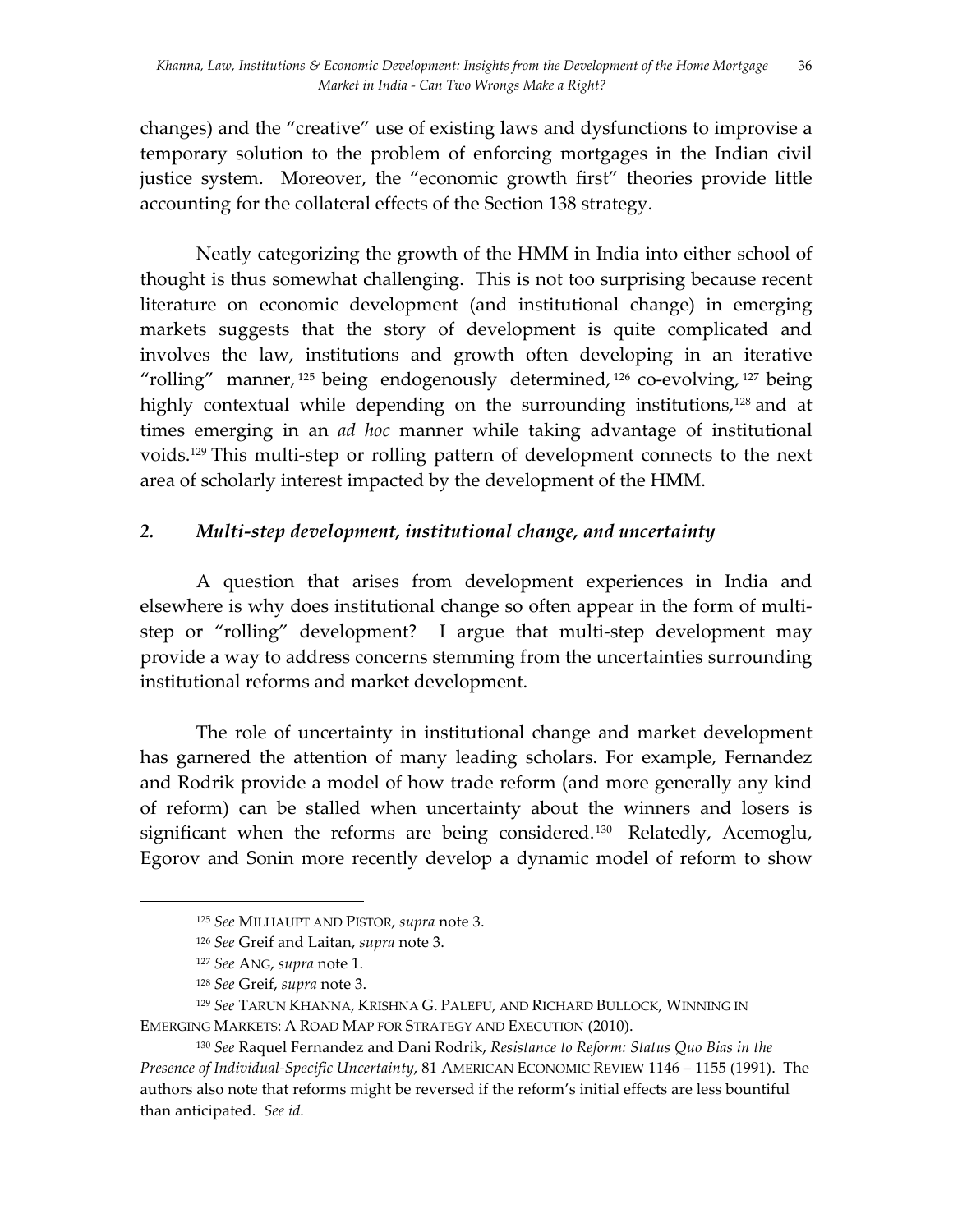changes) and the "creative" use of existing laws and dysfunctions to improvise a temporary solution to the problem of enforcing mortgages in the Indian civil justice system. Moreover, the "economic growth first" theories provide little accounting for the collateral effects of the Section 138 strategy.

Neatly categorizing the growth of the HMM in India into either school of thought is thus somewhat challenging. This is not too surprising because recent literature on economic development (and institutional change) in emerging markets suggests that the story of development is quite complicated and involves the law, institutions and growth often developing in an iterative "rolling" manner,  $^{125}$  being endogenously determined,  $^{126}$  co-evolving,  $^{127}$  being highly contextual while depending on the surrounding institutions,<sup>128</sup> and at times emerging in an *ad hoc* manner while taking advantage of institutional voids. <sup>129</sup> This multi-step or rolling pattern of development connects to the next area of scholarly interest impacted by the development of the HMM.

# *2. Multi-step development, institutional change, and uncertainty*

A question that arises from development experiences in India and elsewhere is why does institutional change so often appear in the form of multistep or "rolling" development? I argue that multi-step development may provide a way to address concerns stemming from the uncertainties surrounding institutional reforms and market development.

The role of uncertainty in institutional change and market development has garnered the attention of many leading scholars. For example, Fernandez and Rodrik provide a model of how trade reform (and more generally any kind of reform) can be stalled when uncertainty about the winners and losers is significant when the reforms are being considered. 130 Relatedly, Acemoglu, Egorov and Sonin more recently develop a dynamic model of reform to show

<sup>125</sup> *See* MILHAUPT AND PISTOR, *supra* note 3.

<sup>126</sup> *See* Greif and Laitan, *supra* note 3.

<sup>127</sup> *See* ANG, *supra* note 1.

<sup>128</sup> *See* Greif, *supra* note 3.

<sup>129</sup> *See* TARUN KHANNA, KRISHNA G. PALEPU, AND RICHARD BULLOCK, WINNING IN EMERGING MARKETS: A ROAD MAP FOR STRATEGY AND EXECUTION (2010).

<sup>130</sup> *See* Raquel Fernandez and Dani Rodrik, *Resistance to Reform: Status Quo Bias in the Presence of Individual-Specific Uncertainty*, 81 AMERICAN ECONOMIC REVIEW 1146 – 1155 (1991). The authors also note that reforms might be reversed if the reform's initial effects are less bountiful than anticipated. *See id.*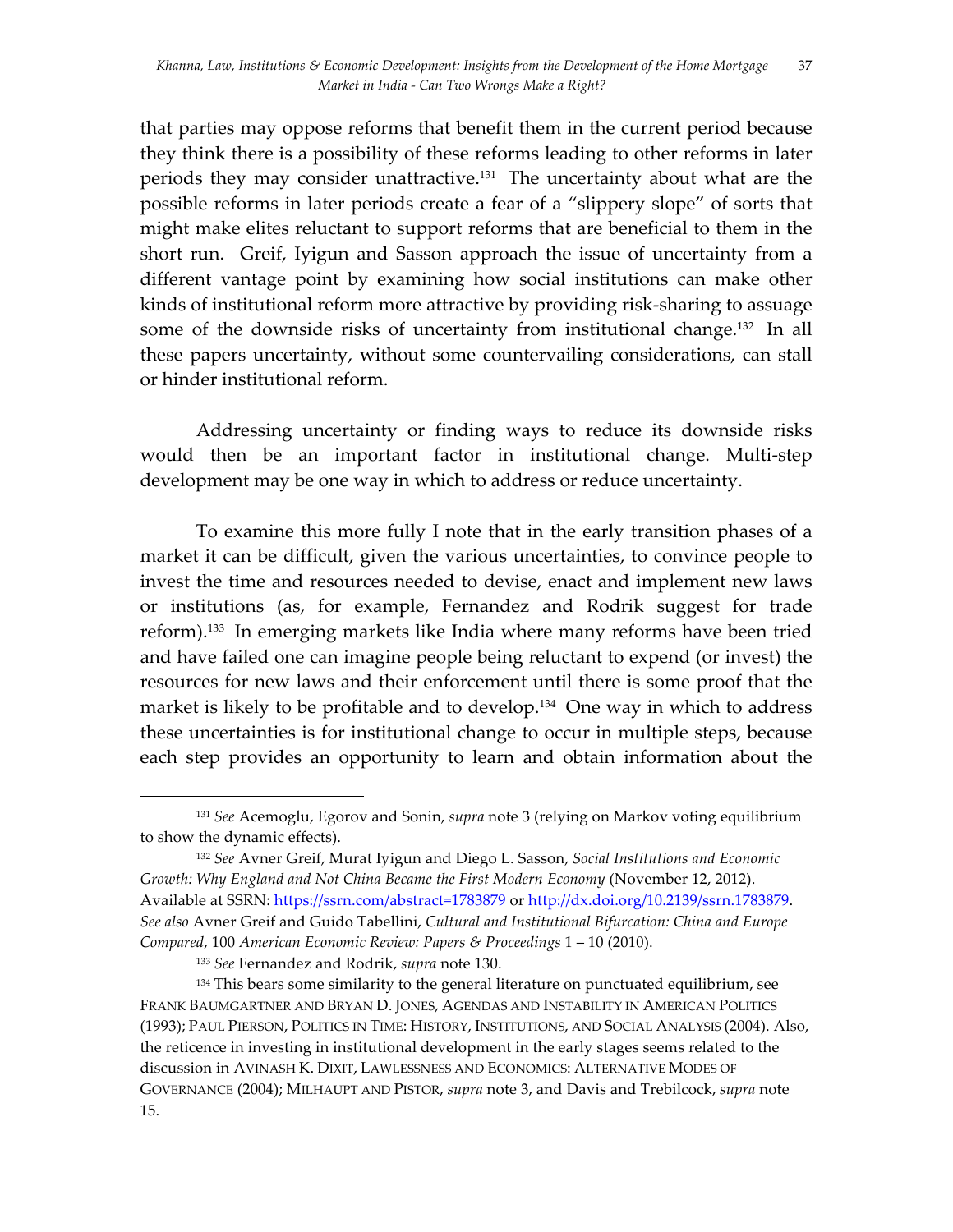that parties may oppose reforms that benefit them in the current period because they think there is a possibility of these reforms leading to other reforms in later periods they may consider unattractive.<sup>131</sup> The uncertainty about what are the possible reforms in later periods create a fear of a "slippery slope" of sorts that might make elites reluctant to support reforms that are beneficial to them in the short run. Greif, Iyigun and Sasson approach the issue of uncertainty from a different vantage point by examining how social institutions can make other kinds of institutional reform more attractive by providing risk-sharing to assuage some of the downside risks of uncertainty from institutional change.<sup>132</sup> In all these papers uncertainty, without some countervailing considerations, can stall or hinder institutional reform.

Addressing uncertainty or finding ways to reduce its downside risks would then be an important factor in institutional change. Multi-step development may be one way in which to address or reduce uncertainty.

To examine this more fully I note that in the early transition phases of a market it can be difficult, given the various uncertainties, to convince people to invest the time and resources needed to devise, enact and implement new laws or institutions (as, for example, Fernandez and Rodrik suggest for trade reform). 133 In emerging markets like India where many reforms have been tried and have failed one can imagine people being reluctant to expend (or invest) the resources for new laws and their enforcement until there is some proof that the market is likely to be profitable and to develop.<sup>134</sup> One way in which to address these uncertainties is for institutional change to occur in multiple steps, because each step provides an opportunity to learn and obtain information about the

<sup>131</sup> *See* Acemoglu, Egorov and Sonin, *supra* note 3 (relying on Markov voting equilibrium to show the dynamic effects).

<sup>132</sup> *See* Avner Greif, Murat Iyigun and Diego L. Sasson, *Social Institutions and Economic Growth: Why England and Not China Became the First Modern Economy* (November 12, 2012). Available at SSRN: https://ssrn.com/abstract=1783879 or http://dx.doi.org/10.2139/ssrn.1783879. *See also* Avner Greif and Guido Tabellini, *Cultural and Institutional Bifurcation: China and Europe Compared*, 100 *American Economic Review: Papers & Proceedings* 1 – 10 (2010).

<sup>133</sup> *See* Fernandez and Rodrik, *supra* note 130.

<sup>&</sup>lt;sup>134</sup> This bears some similarity to the general literature on punctuated equilibrium, see FRANK BAUMGARTNER AND BRYAN D. JONES, AGENDAS AND INSTABILITY IN AMERICAN POLITICS (1993); PAUL PIERSON, POLITICS IN TIME: HISTORY, INSTITUTIONS, AND SOCIAL ANALYSIS (2004). Also, the reticence in investing in institutional development in the early stages seems related to the discussion in AVINASH K. DIXIT, LAWLESSNESS AND ECONOMICS: ALTERNATIVE MODES OF GOVERNANCE (2004); MILHAUPT AND PISTOR, *supra* note 3, and Davis and Trebilcock, *supra* note 15.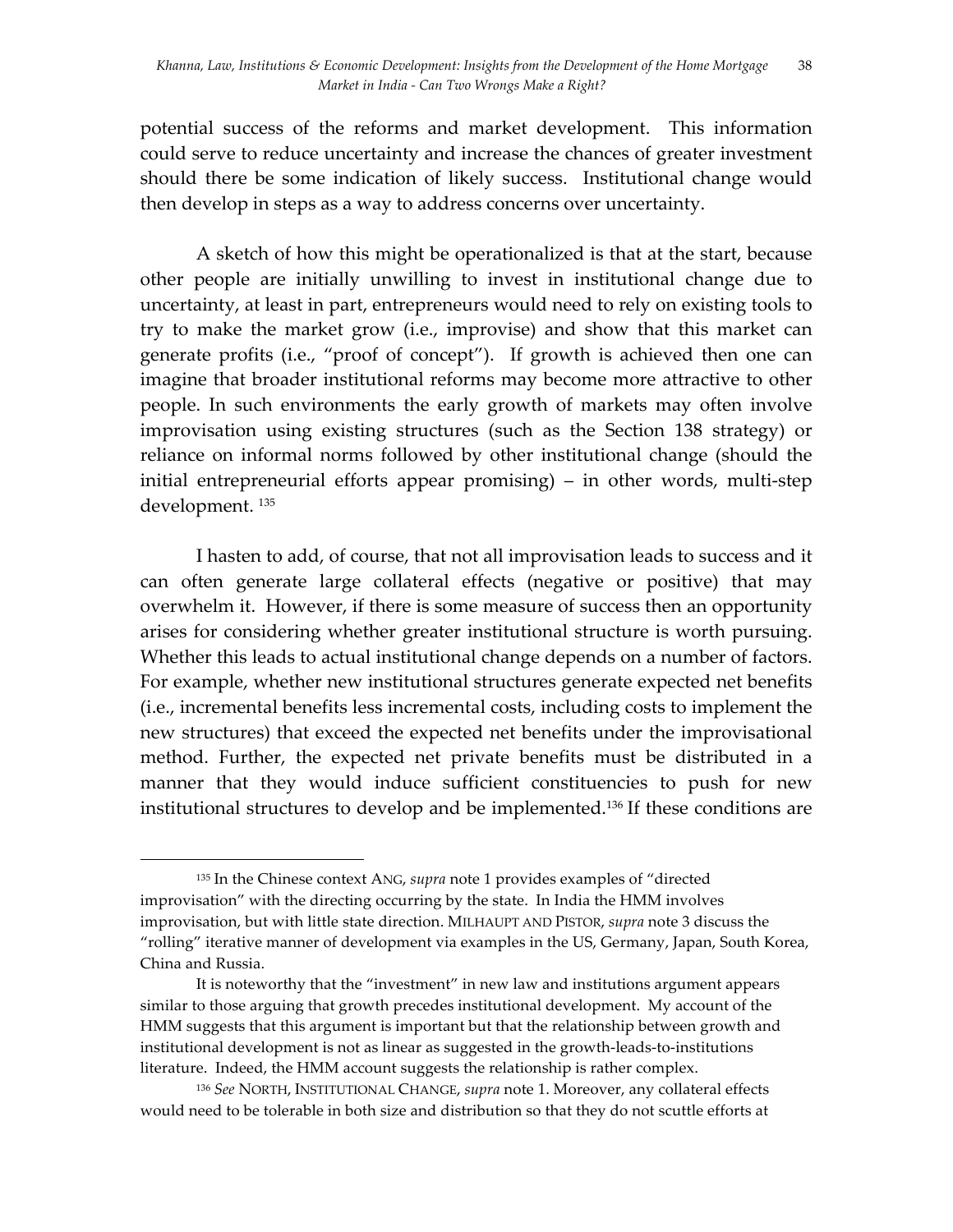potential success of the reforms and market development. This information could serve to reduce uncertainty and increase the chances of greater investment should there be some indication of likely success. Institutional change would then develop in steps as a way to address concerns over uncertainty.

A sketch of how this might be operationalized is that at the start, because other people are initially unwilling to invest in institutional change due to uncertainty, at least in part, entrepreneurs would need to rely on existing tools to try to make the market grow (i.e., improvise) and show that this market can generate profits (i.e., "proof of concept"). If growth is achieved then one can imagine that broader institutional reforms may become more attractive to other people. In such environments the early growth of markets may often involve improvisation using existing structures (such as the Section 138 strategy) or reliance on informal norms followed by other institutional change (should the initial entrepreneurial efforts appear promising) – in other words, multi-step development. 135

I hasten to add, of course, that not all improvisation leads to success and it can often generate large collateral effects (negative or positive) that may overwhelm it. However, if there is some measure of success then an opportunity arises for considering whether greater institutional structure is worth pursuing. Whether this leads to actual institutional change depends on a number of factors. For example, whether new institutional structures generate expected net benefits (i.e., incremental benefits less incremental costs, including costs to implement the new structures) that exceed the expected net benefits under the improvisational method. Further, the expected net private benefits must be distributed in a manner that they would induce sufficient constituencies to push for new institutional structures to develop and be implemented.136 If these conditions are

<sup>135</sup> In the Chinese context ANG, *supra* note 1 provides examples of "directed improvisation" with the directing occurring by the state. In India the HMM involves improvisation, but with little state direction. MILHAUPT AND PISTOR, *supra* note 3 discuss the "rolling" iterative manner of development via examples in the US, Germany, Japan, South Korea, China and Russia.

It is noteworthy that the "investment" in new law and institutions argument appears similar to those arguing that growth precedes institutional development. My account of the HMM suggests that this argument is important but that the relationship between growth and institutional development is not as linear as suggested in the growth-leads-to-institutions literature. Indeed, the HMM account suggests the relationship is rather complex.

<sup>136</sup> *See* NORTH, INSTITUTIONAL CHANGE, *supra* note 1. Moreover, any collateral effects would need to be tolerable in both size and distribution so that they do not scuttle efforts at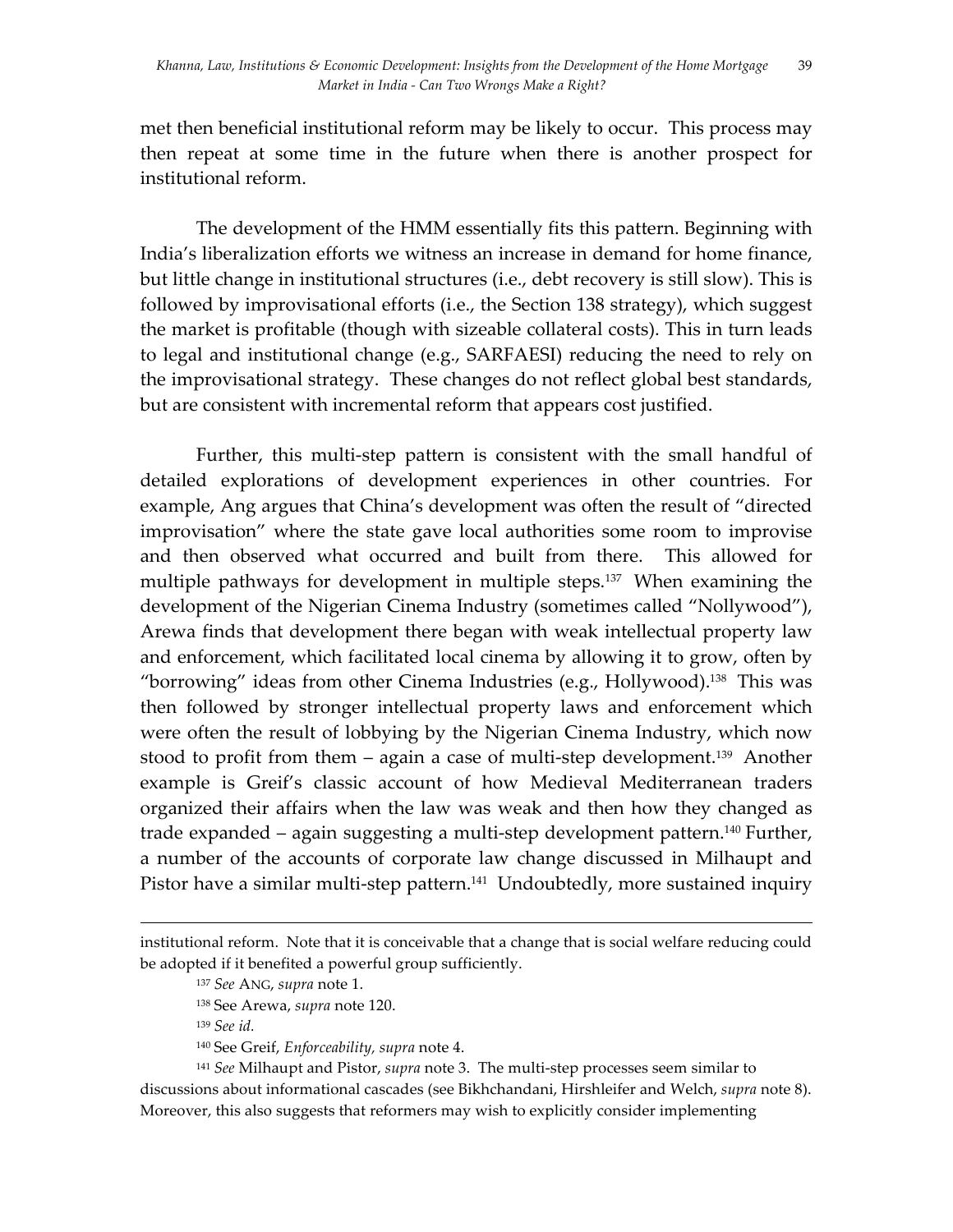met then beneficial institutional reform may be likely to occur. This process may then repeat at some time in the future when there is another prospect for institutional reform.

The development of the HMM essentially fits this pattern. Beginning with India's liberalization efforts we witness an increase in demand for home finance, but little change in institutional structures (i.e., debt recovery is still slow). This is followed by improvisational efforts (i.e., the Section 138 strategy), which suggest the market is profitable (though with sizeable collateral costs). This in turn leads to legal and institutional change (e.g., SARFAESI) reducing the need to rely on the improvisational strategy. These changes do not reflect global best standards, but are consistent with incremental reform that appears cost justified.

Further, this multi-step pattern is consistent with the small handful of detailed explorations of development experiences in other countries. For example, Ang argues that China's development was often the result of "directed improvisation" where the state gave local authorities some room to improvise and then observed what occurred and built from there. This allowed for multiple pathways for development in multiple steps.<sup>137</sup> When examining the development of the Nigerian Cinema Industry (sometimes called "Nollywood"), Arewa finds that development there began with weak intellectual property law and enforcement, which facilitated local cinema by allowing it to grow, often by "borrowing" ideas from other Cinema Industries (e.g., Hollywood).<sup>138</sup> This was then followed by stronger intellectual property laws and enforcement which were often the result of lobbying by the Nigerian Cinema Industry, which now stood to profit from them – again a case of multi-step development.<sup>139</sup> Another example is Greif's classic account of how Medieval Mediterranean traders organized their affairs when the law was weak and then how they changed as trade expanded – again suggesting a multi-step development pattern.<sup>140</sup> Further, a number of the accounts of corporate law change discussed in Milhaupt and Pistor have a similar multi-step pattern.<sup>141</sup> Undoubtedly, more sustained inquiry

<u> 1989 - Andrea San Andrea San Andrea San Andrea San Andrea San Andrea San Andrea San Andrea San Andrea San An</u>

<sup>139</sup> *See id.*

<sup>140</sup> See Greif, *Enforceability, supra* note 4.

<sup>141</sup> *See* Milhaupt and Pistor, *supra* note 3. The multi-step processes seem similar to discussions about informational cascades (see Bikhchandani, Hirshleifer and Welch, *supra* note 8). Moreover, this also suggests that reformers may wish to explicitly consider implementing

institutional reform. Note that it is conceivable that a change that is social welfare reducing could be adopted if it benefited a powerful group sufficiently.

<sup>137</sup> *See* ANG, *supra* note 1.

<sup>138</sup> See Arewa, *supra* note 120.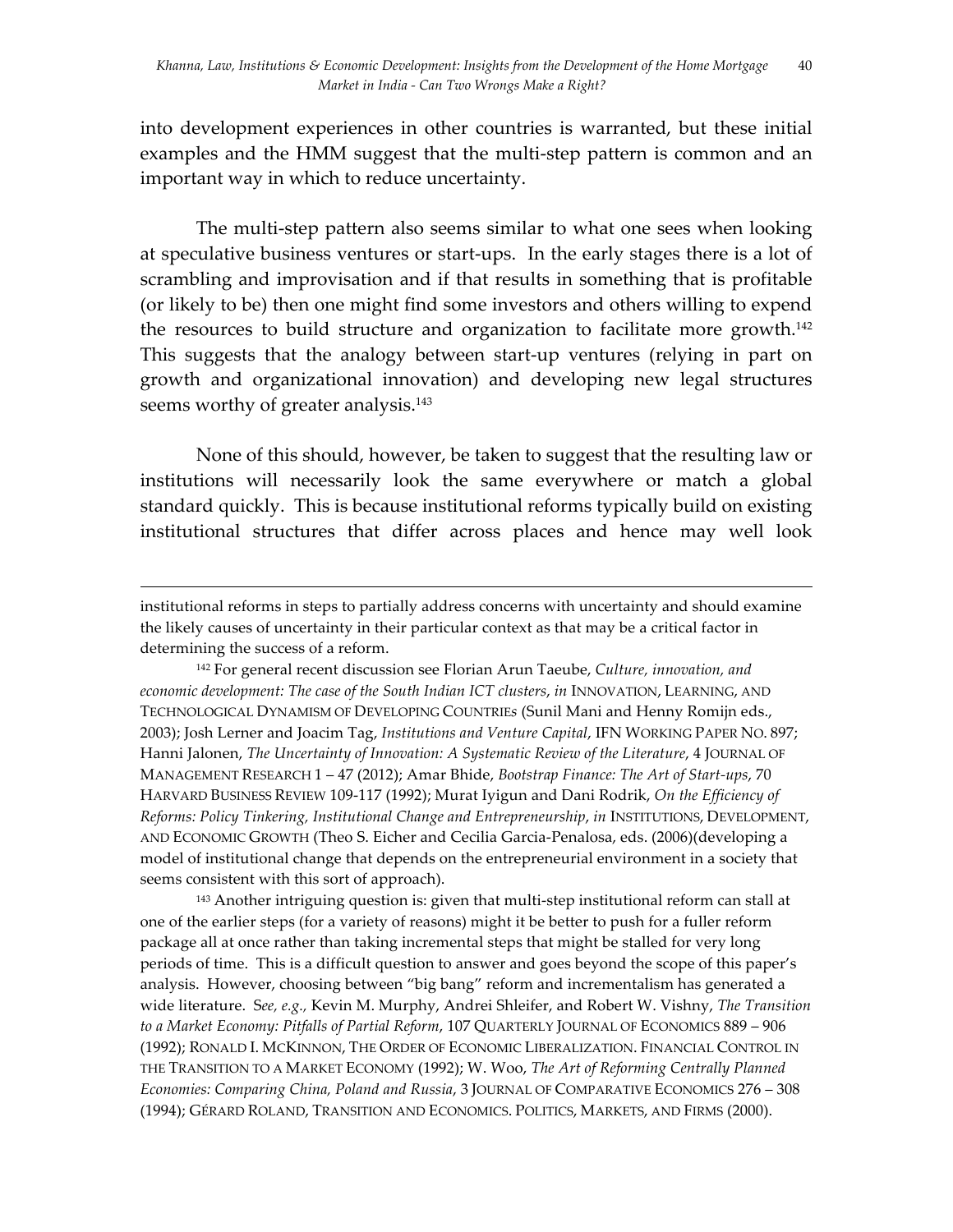into development experiences in other countries is warranted, but these initial examples and the HMM suggest that the multi-step pattern is common and an important way in which to reduce uncertainty.

The multi-step pattern also seems similar to what one sees when looking at speculative business ventures or start-ups. In the early stages there is a lot of scrambling and improvisation and if that results in something that is profitable (or likely to be) then one might find some investors and others willing to expend the resources to build structure and organization to facilitate more growth.142 This suggests that the analogy between start-up ventures (relying in part on growth and organizational innovation) and developing new legal structures seems worthy of greater analysis.<sup>143</sup>

None of this should, however, be taken to suggest that the resulting law or institutions will necessarily look the same everywhere or match a global standard quickly. This is because institutional reforms typically build on existing institutional structures that differ across places and hence may well look

<u> 1989 - Andrea San Andrea San Andrea San Andrea San Andrea San Andrea San Andrea San Andrea San Andrea San An</u>

<sup>143</sup> Another intriguing question is: given that multi-step institutional reform can stall at one of the earlier steps (for a variety of reasons) might it be better to push for a fuller reform package all at once rather than taking incremental steps that might be stalled for very long periods of time. This is a difficult question to answer and goes beyond the scope of this paper's analysis. However, choosing between "big bang" reform and incrementalism has generated a wide literature. S*ee, e.g.,* Kevin M. Murphy, Andrei Shleifer, and Robert W. Vishny, *The Transition to a Market Economy: Pitfalls of Partial Reform*, 107 QUARTERLY JOURNAL OF ECONOMICS 889 – 906 (1992); RONALD I. MCKINNON, THE ORDER OF ECONOMIC LIBERALIZATION. FINANCIAL CONTROL IN THE TRANSITION TO A MARKET ECONOMY (1992); W. Woo, *The Art of Reforming Centrally Planned Economies: Comparing China, Poland and Russia*, 3 JOURNAL OF COMPARATIVE ECONOMICS 276 – 308 (1994); GÉRARD ROLAND, TRANSITION AND ECONOMICS. POLITICS, MARKETS, AND FIRMS (2000).

institutional reforms in steps to partially address concerns with uncertainty and should examine the likely causes of uncertainty in their particular context as that may be a critical factor in determining the success of a reform.

<sup>142</sup> For general recent discussion see Florian Arun Taeube, *Culture, innovation, and economic development: The case of the South Indian ICT clusters*, *in* INNOVATION, LEARNING, AND TECHNOLOGICAL DYNAMISM OF DEVELOPING COUNTRIE*s* (Sunil Mani and Henny Romijn eds., 2003); Josh Lerner and Joacim Tag, *Institutions and Venture Capital*, IFN WORKING PAPER NO. 897; Hanni Jalonen, *The Uncertainty of Innovation: A Systematic Review of the Literature*, 4 JOURNAL OF MANAGEMENT RESEARCH 1 – 47 (2012); Amar Bhide, *Bootstrap Finance: The Art of Start-ups*, 70 HARVARD BUSINESS REVIEW 109-117 (1992); Murat Iyigun and Dani Rodrik, *On the Efficiency of Reforms: Policy Tinkering, Institutional Change and Entrepreneurship*, *in* INSTITUTIONS, DEVELOPMENT, AND ECONOMIC GROWTH (Theo S. Eicher and Cecilia Garcia-Penalosa, eds. (2006)(developing a model of institutional change that depends on the entrepreneurial environment in a society that seems consistent with this sort of approach).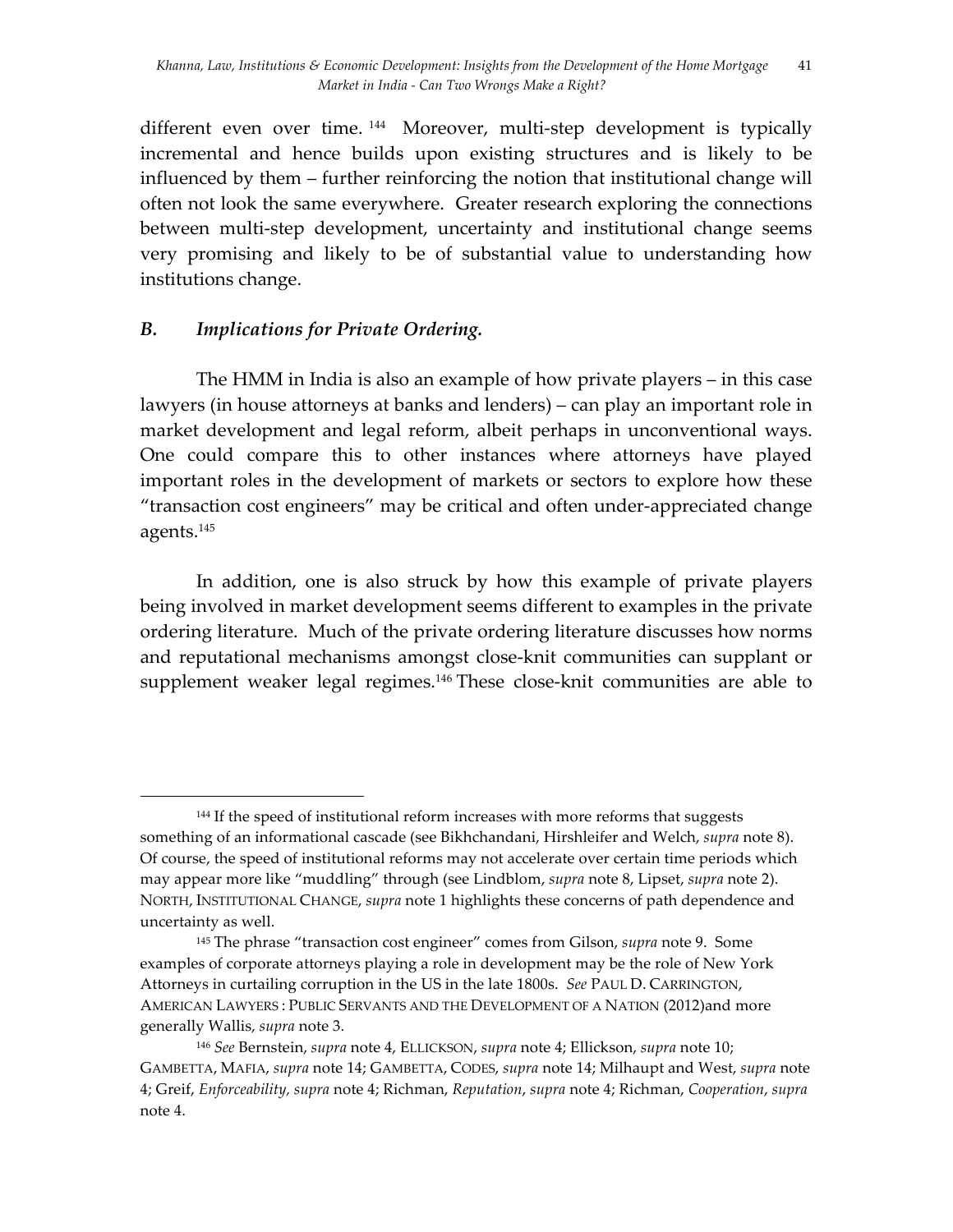different even over time.<sup>144</sup> Moreover, multi-step development is typically incremental and hence builds upon existing structures and is likely to be influenced by them – further reinforcing the notion that institutional change will often not look the same everywhere. Greater research exploring the connections between multi-step development, uncertainty and institutional change seems very promising and likely to be of substantial value to understanding how institutions change.

# *B. Implications for Private Ordering.*

 

The HMM in India is also an example of how private players – in this case lawyers (in house attorneys at banks and lenders) – can play an important role in market development and legal reform, albeit perhaps in unconventional ways. One could compare this to other instances where attorneys have played important roles in the development of markets or sectors to explore how these "transaction cost engineers" may be critical and often under-appreciated change agents. 145

In addition, one is also struck by how this example of private players being involved in market development seems different to examples in the private ordering literature. Much of the private ordering literature discusses how norms and reputational mechanisms amongst close-knit communities can supplant or supplement weaker legal regimes.146 These close-knit communities are able to

<sup>&</sup>lt;sup>144</sup> If the speed of institutional reform increases with more reforms that suggests something of an informational cascade (see Bikhchandani, Hirshleifer and Welch, *supra* note 8). Of course, the speed of institutional reforms may not accelerate over certain time periods which may appear more like "muddling" through (see Lindblom, *supra* note 8, Lipset, *supra* note 2). NORTH, INSTITUTIONAL CHANGE, *supra* note 1 highlights these concerns of path dependence and uncertainty as well.

<sup>145</sup> The phrase "transaction cost engineer" comes from Gilson, *supra* note 9. Some examples of corporate attorneys playing a role in development may be the role of New York Attorneys in curtailing corruption in the US in the late 1800s. *See* PAUL D. CARRINGTON, AMERICAN LAWYERS : PUBLIC SERVANTS AND THE DEVELOPMENT OF A NATION (2012)and more generally Wallis, *supra* note 3.

<sup>146</sup> *See* Bernstein, *supra* note 4, ELLICKSON, *supra* note 4; Ellickson, *supra* note 10; GAMBETTA, MAFIA, *supra* note 14; GAMBETTA, CODES, *supra* note 14; Milhaupt and West, *supra* note 4; Greif, *Enforceability, supra* note 4; Richman, *Reputation*, *supra* note 4; Richman, *Cooperation*, *supra* note 4.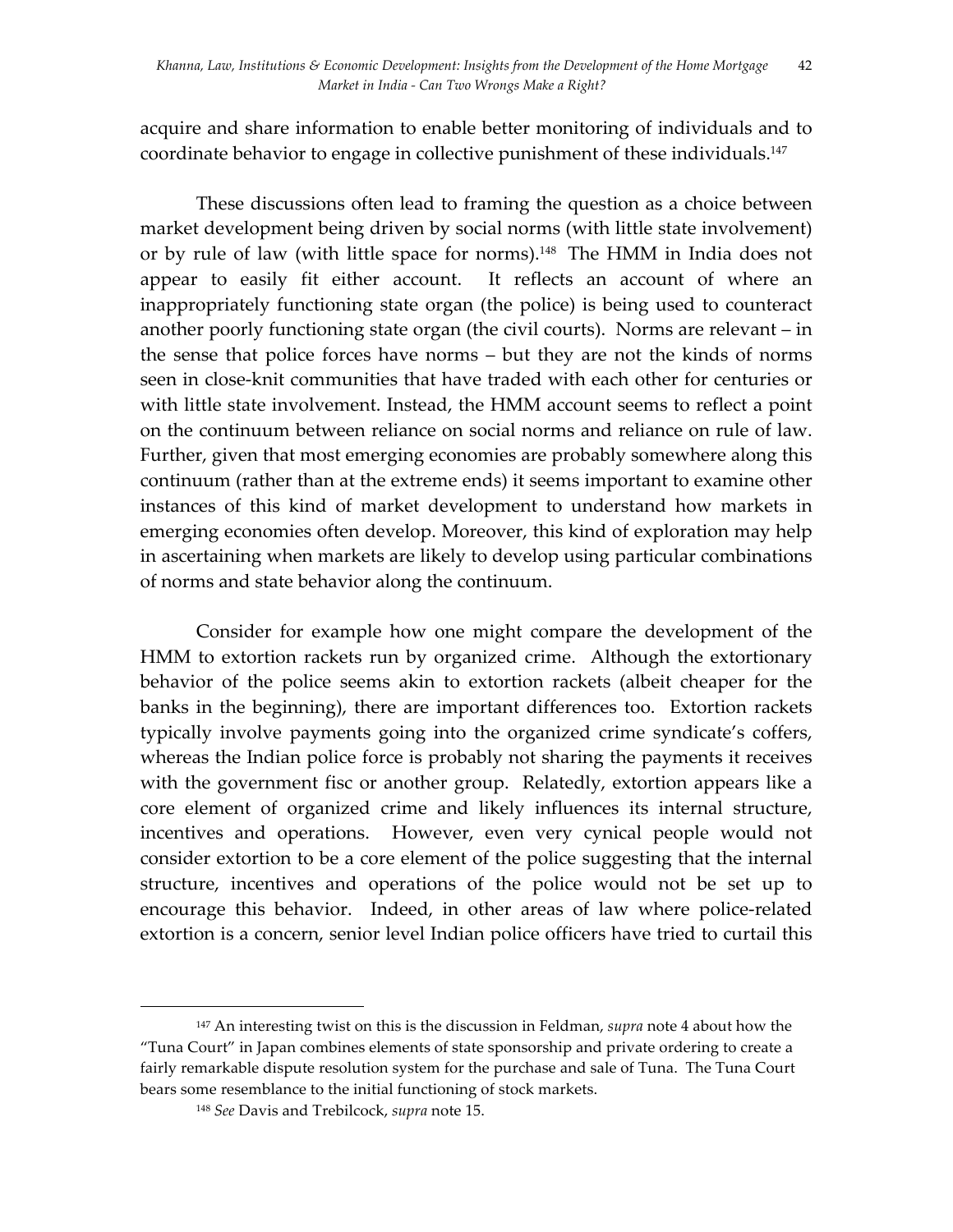acquire and share information to enable better monitoring of individuals and to coordinate behavior to engage in collective punishment of these individuals. 147

These discussions often lead to framing the question as a choice between market development being driven by social norms (with little state involvement) or by rule of law (with little space for norms).<sup>148</sup> The HMM in India does not appear to easily fit either account. It reflects an account of where an inappropriately functioning state organ (the police) is being used to counteract another poorly functioning state organ (the civil courts). Norms are relevant – in the sense that police forces have norms – but they are not the kinds of norms seen in close-knit communities that have traded with each other for centuries or with little state involvement. Instead, the HMM account seems to reflect a point on the continuum between reliance on social norms and reliance on rule of law. Further, given that most emerging economies are probably somewhere along this continuum (rather than at the extreme ends) it seems important to examine other instances of this kind of market development to understand how markets in emerging economies often develop. Moreover, this kind of exploration may help in ascertaining when markets are likely to develop using particular combinations of norms and state behavior along the continuum.

Consider for example how one might compare the development of the HMM to extortion rackets run by organized crime. Although the extortionary behavior of the police seems akin to extortion rackets (albeit cheaper for the banks in the beginning), there are important differences too. Extortion rackets typically involve payments going into the organized crime syndicate's coffers, whereas the Indian police force is probably not sharing the payments it receives with the government fisc or another group. Relatedly, extortion appears like a core element of organized crime and likely influences its internal structure, incentives and operations. However, even very cynical people would not consider extortion to be a core element of the police suggesting that the internal structure, incentives and operations of the police would not be set up to encourage this behavior. Indeed, in other areas of law where police-related extortion is a concern, senior level Indian police officers have tried to curtail this

<sup>147</sup> An interesting twist on this is the discussion in Feldman, *supra* note 4 about how the "Tuna Court" in Japan combines elements of state sponsorship and private ordering to create a fairly remarkable dispute resolution system for the purchase and sale of Tuna. The Tuna Court bears some resemblance to the initial functioning of stock markets.

<sup>148</sup> *See* Davis and Trebilcock, *supra* note 15.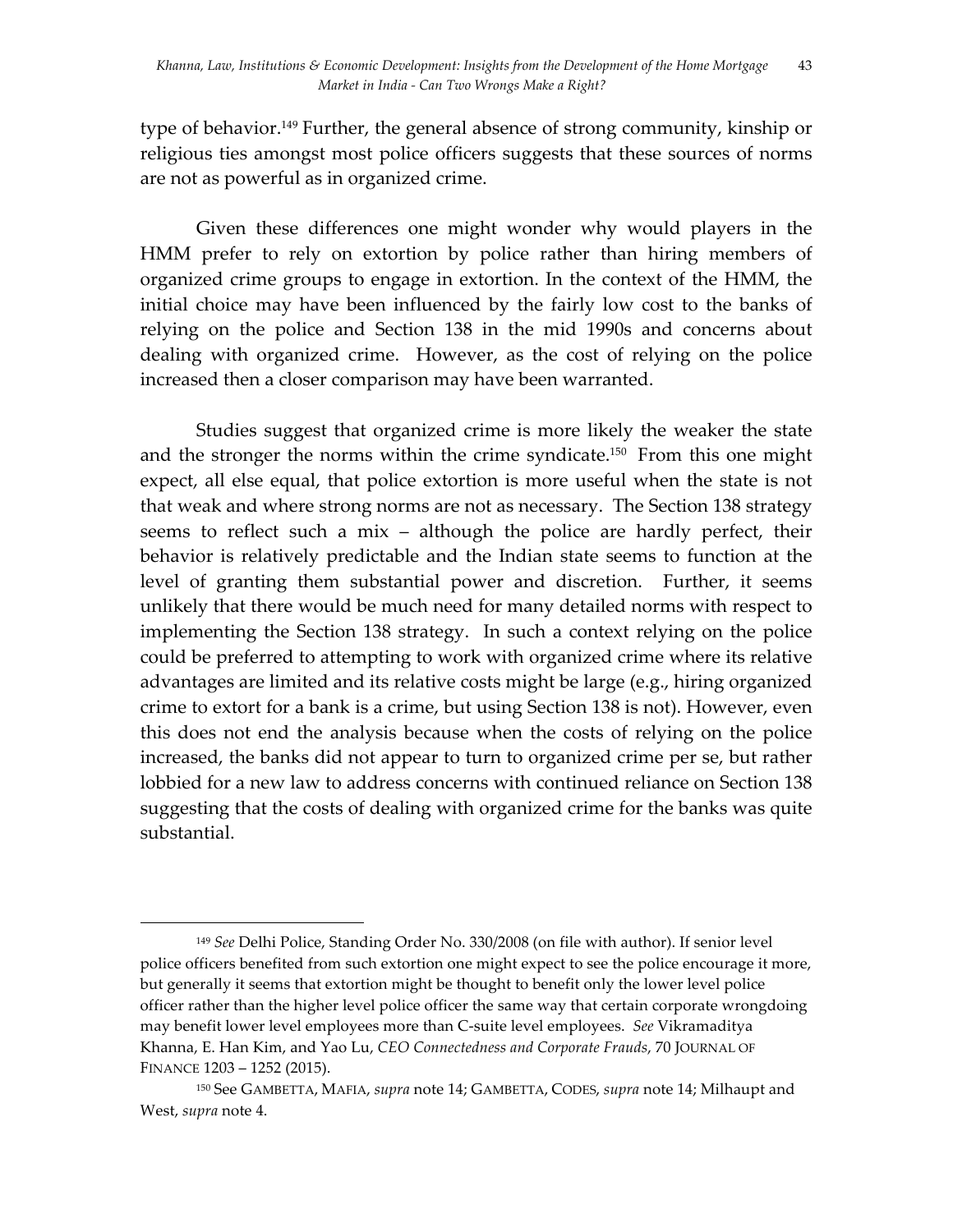type of behavior.149 Further, the general absence of strong community, kinship or religious ties amongst most police officers suggests that these sources of norms are not as powerful as in organized crime.

Given these differences one might wonder why would players in the HMM prefer to rely on extortion by police rather than hiring members of organized crime groups to engage in extortion. In the context of the HMM, the initial choice may have been influenced by the fairly low cost to the banks of relying on the police and Section 138 in the mid 1990s and concerns about dealing with organized crime. However, as the cost of relying on the police increased then a closer comparison may have been warranted.

Studies suggest that organized crime is more likely the weaker the state and the stronger the norms within the crime syndicate.<sup>150</sup> From this one might expect, all else equal, that police extortion is more useful when the state is not that weak and where strong norms are not as necessary. The Section 138 strategy seems to reflect such a mix – although the police are hardly perfect, their behavior is relatively predictable and the Indian state seems to function at the level of granting them substantial power and discretion. Further, it seems unlikely that there would be much need for many detailed norms with respect to implementing the Section 138 strategy. In such a context relying on the police could be preferred to attempting to work with organized crime where its relative advantages are limited and its relative costs might be large (e.g., hiring organized crime to extort for a bank is a crime, but using Section 138 is not). However, even this does not end the analysis because when the costs of relying on the police increased, the banks did not appear to turn to organized crime per se, but rather lobbied for a new law to address concerns with continued reliance on Section 138 suggesting that the costs of dealing with organized crime for the banks was quite substantial.

<sup>149</sup> *See* Delhi Police, Standing Order No. 330/2008 (on file with author). If senior level police officers benefited from such extortion one might expect to see the police encourage it more, but generally it seems that extortion might be thought to benefit only the lower level police officer rather than the higher level police officer the same way that certain corporate wrongdoing may benefit lower level employees more than C-suite level employees. *See* Vikramaditya Khanna, E. Han Kim, and Yao Lu, *CEO Connectedness and Corporate Frauds*, 70 JOURNAL OF FINANCE 1203 – 1252 (2015).

<sup>150</sup> See GAMBETTA, MAFIA, *supra* note 14; GAMBETTA, CODES, *supra* note 14; Milhaupt and West, *supra* note 4.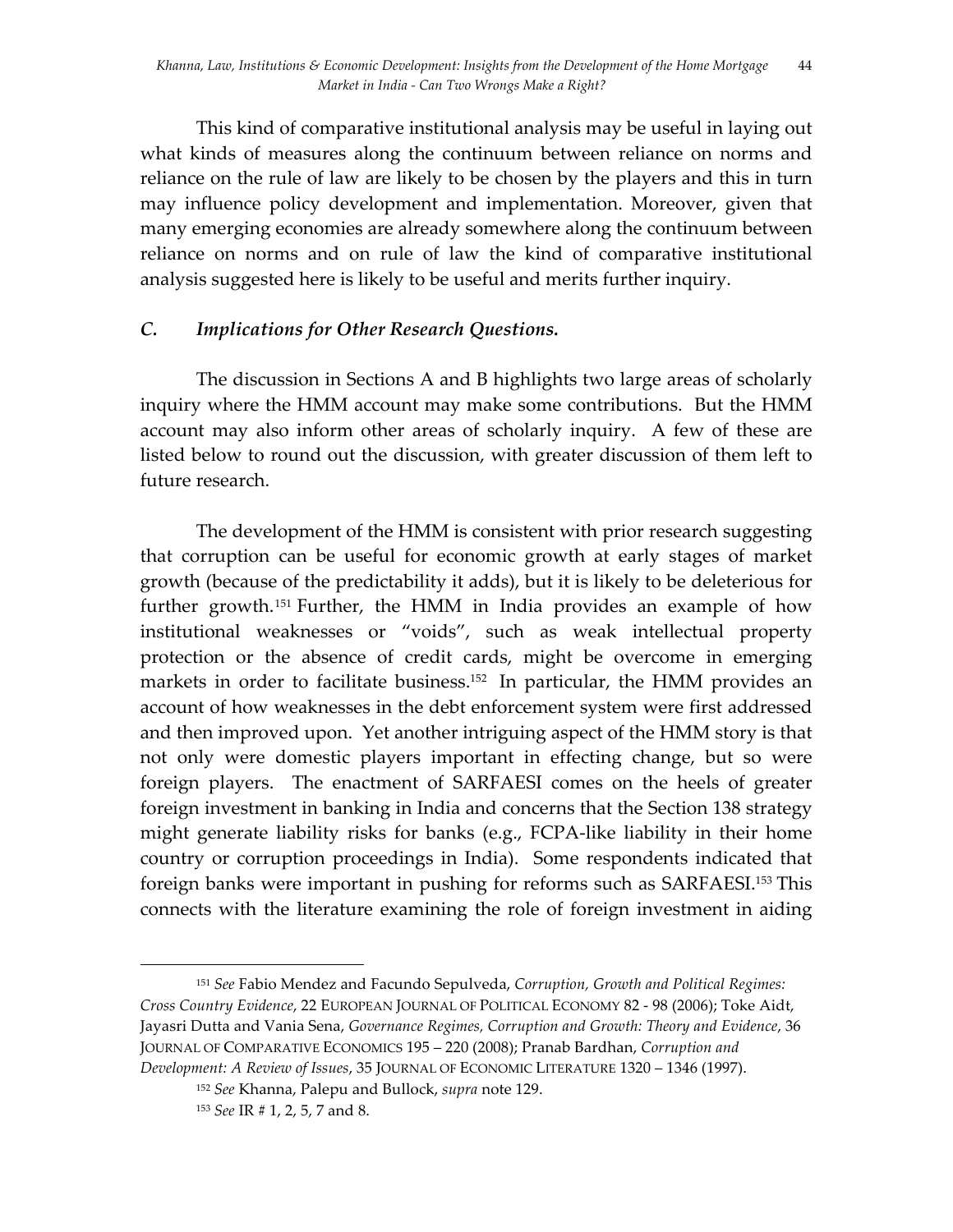This kind of comparative institutional analysis may be useful in laying out what kinds of measures along the continuum between reliance on norms and reliance on the rule of law are likely to be chosen by the players and this in turn may influence policy development and implementation. Moreover, given that many emerging economies are already somewhere along the continuum between reliance on norms and on rule of law the kind of comparative institutional analysis suggested here is likely to be useful and merits further inquiry.

## *C. Implications for Other Research Questions.*

The discussion in Sections A and B highlights two large areas of scholarly inquiry where the HMM account may make some contributions. But the HMM account may also inform other areas of scholarly inquiry. A few of these are listed below to round out the discussion, with greater discussion of them left to future research.

The development of the HMM is consistent with prior research suggesting that corruption can be useful for economic growth at early stages of market growth (because of the predictability it adds), but it is likely to be deleterious for further growth. <sup>151</sup> Further, the HMM in India provides an example of how institutional weaknesses or "voids", such as weak intellectual property protection or the absence of credit cards, might be overcome in emerging markets in order to facilitate business. 152 In particular, the HMM provides an account of how weaknesses in the debt enforcement system were first addressed and then improved upon. Yet another intriguing aspect of the HMM story is that not only were domestic players important in effecting change, but so were foreign players. The enactment of SARFAESI comes on the heels of greater foreign investment in banking in India and concerns that the Section 138 strategy might generate liability risks for banks (e.g., FCPA-like liability in their home country or corruption proceedings in India). Some respondents indicated that foreign banks were important in pushing for reforms such as SARFAESI.153 This connects with the literature examining the role of foreign investment in aiding

<sup>151</sup> *See* Fabio Mendez and Facundo Sepulveda, *Corruption, Growth and Political Regimes: Cross Country Evidence*, 22 EUROPEAN JOURNAL OF POLITICAL ECONOMY 82 - 98 (2006); Toke Aidt, Jayasri Dutta and Vania Sena, *Governance Regimes, Corruption and Growth: Theory and Evidence*, 36 JOURNAL OF COMPARATIVE ECONOMICS 195 – 220 (2008); Pranab Bardhan, *Corruption and Development: A Review of Issues*, 35 JOURNAL OF ECONOMIC LITERATURE 1320 – 1346 (1997).

<sup>152</sup> *See* Khanna, Palepu and Bullock, *supra* note 129.

<sup>153</sup> *See* IR # 1, 2, 5, 7 and 8.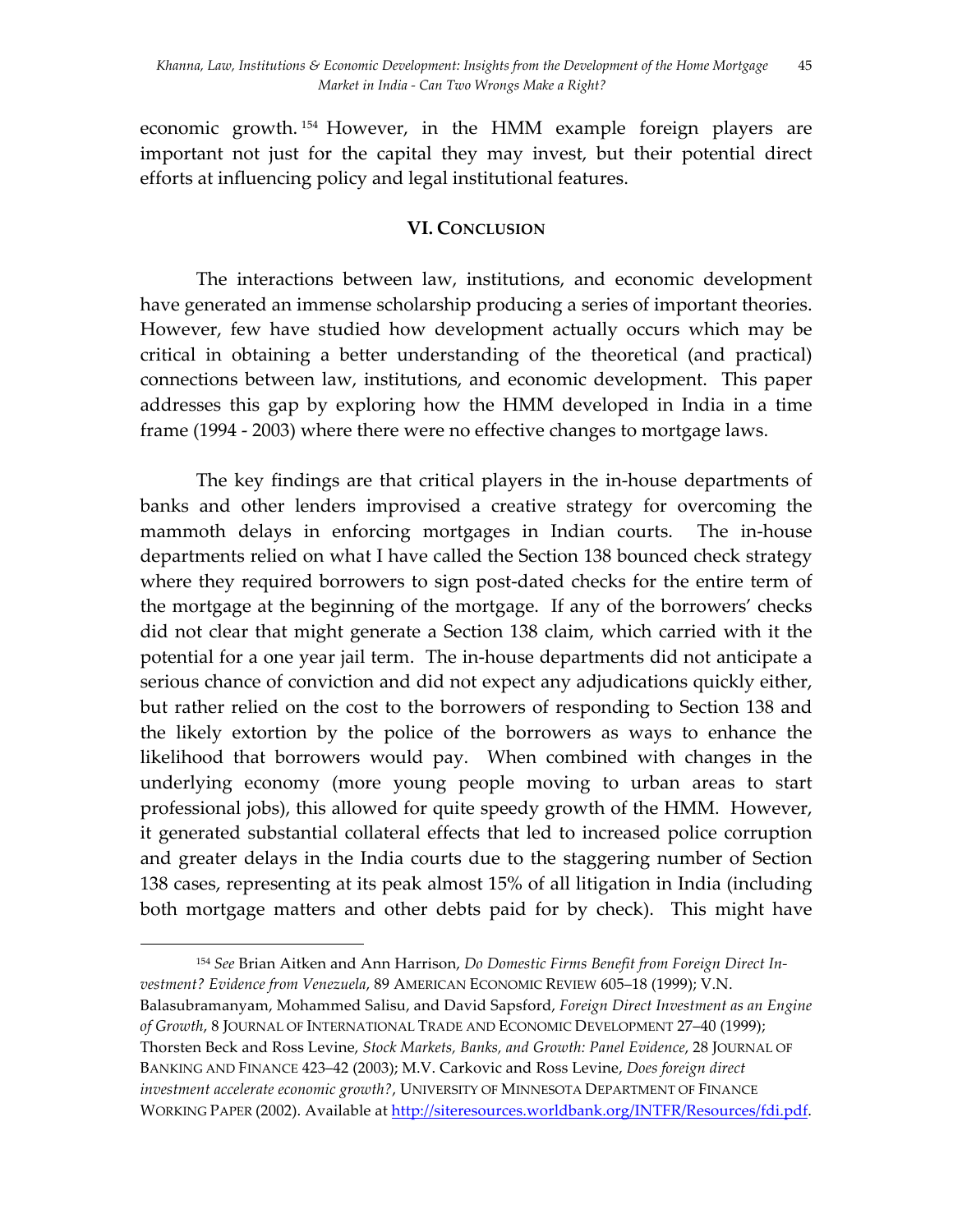economic growth. <sup>154</sup> However, in the HMM example foreign players are important not just for the capital they may invest, but their potential direct efforts at influencing policy and legal institutional features.

#### **VI. CONCLUSION**

The interactions between law, institutions, and economic development have generated an immense scholarship producing a series of important theories. However, few have studied how development actually occurs which may be critical in obtaining a better understanding of the theoretical (and practical) connections between law, institutions, and economic development. This paper addresses this gap by exploring how the HMM developed in India in a time frame (1994 - 2003) where there were no effective changes to mortgage laws.

The key findings are that critical players in the in-house departments of banks and other lenders improvised a creative strategy for overcoming the mammoth delays in enforcing mortgages in Indian courts. The in-house departments relied on what I have called the Section 138 bounced check strategy where they required borrowers to sign post-dated checks for the entire term of the mortgage at the beginning of the mortgage. If any of the borrowers' checks did not clear that might generate a Section 138 claim, which carried with it the potential for a one year jail term. The in-house departments did not anticipate a serious chance of conviction and did not expect any adjudications quickly either, but rather relied on the cost to the borrowers of responding to Section 138 and the likely extortion by the police of the borrowers as ways to enhance the likelihood that borrowers would pay. When combined with changes in the underlying economy (more young people moving to urban areas to start professional jobs), this allowed for quite speedy growth of the HMM. However, it generated substantial collateral effects that led to increased police corruption and greater delays in the India courts due to the staggering number of Section 138 cases, representing at its peak almost 15% of all litigation in India (including both mortgage matters and other debts paid for by check). This might have

<sup>154</sup> *See* Brian Aitken and Ann Harrison, *Do Domestic Firms Benefit from Foreign Direct Investment? Evidence from Venezuela*, 89 AMERICAN ECONOMIC REVIEW 605–18 (1999); V.N. Balasubramanyam, Mohammed Salisu, and David Sapsford, *Foreign Direct Investment as an Engine of Growth*, 8 JOURNAL OF INTERNATIONAL TRADE AND ECONOMIC DEVELOPMENT 27–40 (1999); Thorsten Beck and Ross Levine, *Stock Markets, Banks, and Growth: Panel Evidence*, 28 JOURNAL OF BANKING AND FINANCE 423–42 (2003); M.V. Carkovic and Ross Levine, *Does foreign direct investment accelerate economic growth?*, UNIVERSITY OF MINNESOTA DEPARTMENT OF FINANCE WORKING PAPER (2002). Available at http://siteresources.worldbank.org/INTFR/Resources/fdi.pdf.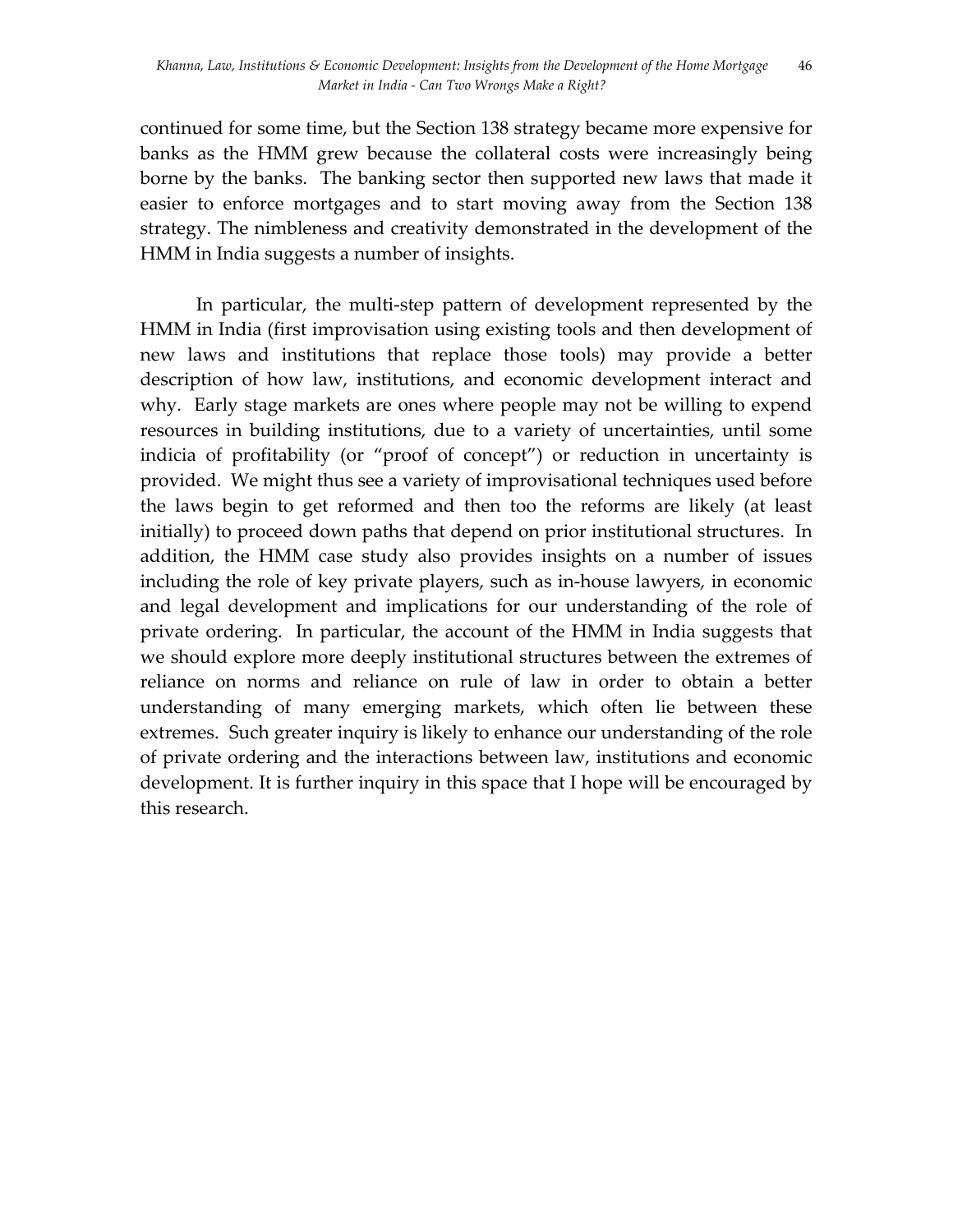continued for some time, but the Section 138 strategy became more expensive for banks as the HMM grew because the collateral costs were increasingly being borne by the banks. The banking sector then supported new laws that made it easier to enforce mortgages and to start moving away from the Section 138 strategy. The nimbleness and creativity demonstrated in the development of the HMM in India suggests a number of insights.

In particular, the multi-step pattern of development represented by the HMM in India (first improvisation using existing tools and then development of new laws and institutions that replace those tools) may provide a better description of how law, institutions, and economic development interact and why. Early stage markets are ones where people may not be willing to expend resources in building institutions, due to a variety of uncertainties, until some indicia of profitability (or "proof of concept") or reduction in uncertainty is provided. We might thus see a variety of improvisational techniques used before the laws begin to get reformed and then too the reforms are likely (at least initially) to proceed down paths that depend on prior institutional structures. In addition, the HMM case study also provides insights on a number of issues including the role of key private players, such as in-house lawyers, in economic and legal development and implications for our understanding of the role of private ordering. In particular, the account of the HMM in India suggests that we should explore more deeply institutional structures between the extremes of reliance on norms and reliance on rule of law in order to obtain a better understanding of many emerging markets, which often lie between these extremes. Such greater inquiry is likely to enhance our understanding of the role of private ordering and the interactions between law, institutions and economic development. It is further inquiry in this space that I hope will be encouraged by this research.